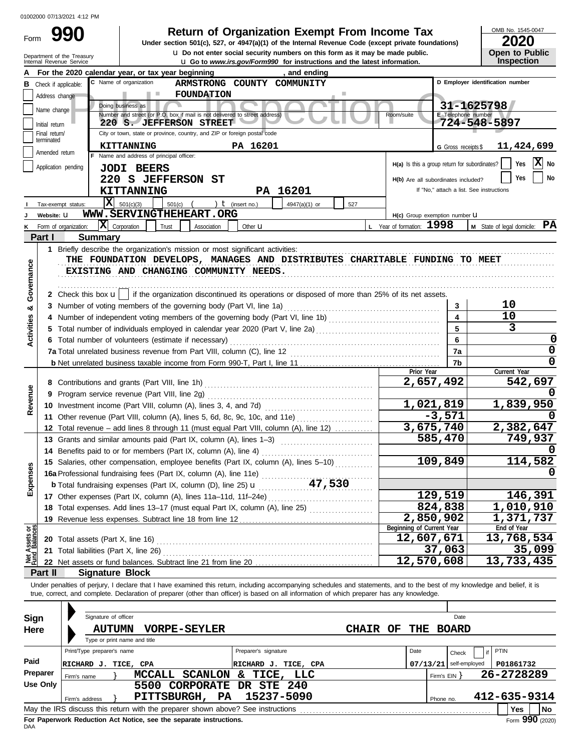| Form | 990                                                    |
|------|--------------------------------------------------------|
|      | Department of the Treasury<br>Internal Revenue Service |

# **Return of Organization Exempt From Income Tax**  $\frac{\text{OMB No. 1545-00}}{2020}$

**u** Go to *www.irs.gov/Form990* for instructions and the latest information. **u** Do not enter social security numbers on this form as it may be made public. **Under section 501(c), 527, or 4947(a)(1) of the Internal Revenue Code (except private foundations)** OMB No. 1545-0047

|  | LVLV                  |
|--|-----------------------|
|  | <b>Open to Public</b> |
|  | <b>Inspection</b>     |

|                                |                 | For the 2020 calendar year, or tax year beginning<br>, and ending                                                                                                                                                                                                                                                        |                                               |                          |                                          |  |  |  |  |  |  |  |
|--------------------------------|-----------------|--------------------------------------------------------------------------------------------------------------------------------------------------------------------------------------------------------------------------------------------------------------------------------------------------------------------------|-----------------------------------------------|--------------------------|------------------------------------------|--|--|--|--|--|--|--|
| в                              |                 | C Name of organization<br>ARMSTRONG COUNTY COMMUNITY<br>Check if applicable:                                                                                                                                                                                                                                             |                                               |                          | D Employer identification number         |  |  |  |  |  |  |  |
|                                | Address change  | <b>FOUNDATION</b><br><b>The Co</b>                                                                                                                                                                                                                                                                                       |                                               |                          |                                          |  |  |  |  |  |  |  |
|                                | Name change     | 31-1625798<br>Doing business as                                                                                                                                                                                                                                                                                          |                                               |                          |                                          |  |  |  |  |  |  |  |
|                                | Initial return  | Number and street (or P.O. box if mail is not delivered to street address)<br>E Telephone number<br>Room/suite<br>724-548-5897<br>220 S. JEFFERSON STREET                                                                                                                                                                |                                               |                          |                                          |  |  |  |  |  |  |  |
|                                | Final return/   | City or town, state or province, country, and ZIP or foreign postal code                                                                                                                                                                                                                                                 |                                               |                          |                                          |  |  |  |  |  |  |  |
|                                | terminated      | PA 16201<br><b>KITTANNING</b>                                                                                                                                                                                                                                                                                            |                                               | G Gross receipts \$      | 11,424,699                               |  |  |  |  |  |  |  |
|                                | Amended return  | F Name and address of principal officer:                                                                                                                                                                                                                                                                                 |                                               |                          |                                          |  |  |  |  |  |  |  |
|                                |                 | Application pending<br><b>JODI BEERS</b>                                                                                                                                                                                                                                                                                 | H(a) Is this a group return for subordinates? |                          | X No<br>Yes                              |  |  |  |  |  |  |  |
|                                |                 | 220 S JEFFERSON ST                                                                                                                                                                                                                                                                                                       | H(b) Are all subordinates included?           |                          | No<br>Yes                                |  |  |  |  |  |  |  |
|                                |                 | PA 16201<br>KITTANNING                                                                                                                                                                                                                                                                                                   |                                               |                          | If "No," attach a list. See instructions |  |  |  |  |  |  |  |
|                                |                 | Iх<br>501(c)(3)<br>501(c)<br>) $t$ (insert no.)<br>Tax-exempt status:<br>4947(a)(1) or<br>527                                                                                                                                                                                                                            |                                               |                          |                                          |  |  |  |  |  |  |  |
|                                | Website: U      | WWW.SERVINGTHEHEART.ORG                                                                                                                                                                                                                                                                                                  | H(c) Group exemption number U                 |                          |                                          |  |  |  |  |  |  |  |
|                                |                 | $ \mathbf{X} $ Corporation<br>Form of organization:<br>Trust<br>Association<br>Other <b>u</b>                                                                                                                                                                                                                            | L Year of formation: 1998                     |                          | M State of legal domicile: PA            |  |  |  |  |  |  |  |
|                                | Part I          | <b>Summary</b>                                                                                                                                                                                                                                                                                                           |                                               |                          |                                          |  |  |  |  |  |  |  |
|                                |                 |                                                                                                                                                                                                                                                                                                                          |                                               |                          |                                          |  |  |  |  |  |  |  |
|                                |                 | THE FOUNDATION DEVELOPS, MANAGES AND DISTRIBUTES CHARITABLE FUNDING TO MEET                                                                                                                                                                                                                                              |                                               |                          |                                          |  |  |  |  |  |  |  |
|                                |                 | EXISTING AND CHANGING COMMUNITY NEEDS.                                                                                                                                                                                                                                                                                   |                                               |                          |                                          |  |  |  |  |  |  |  |
| Governance                     |                 |                                                                                                                                                                                                                                                                                                                          |                                               |                          |                                          |  |  |  |  |  |  |  |
|                                |                 | 2 Check this box $\mathbf{u}$   if the organization discontinued its operations or disposed of more than 25% of its net assets.                                                                                                                                                                                          |                                               |                          |                                          |  |  |  |  |  |  |  |
| ಯ                              |                 | 3 Number of voting members of the governing body (Part VI, line 1a)                                                                                                                                                                                                                                                      |                                               | 3                        | 10                                       |  |  |  |  |  |  |  |
|                                |                 |                                                                                                                                                                                                                                                                                                                          |                                               | 4                        | 10                                       |  |  |  |  |  |  |  |
| <b>Activities</b>              |                 |                                                                                                                                                                                                                                                                                                                          |                                               | 5                        | 3                                        |  |  |  |  |  |  |  |
|                                |                 | 6 Total number of volunteers (estimate if necessary)                                                                                                                                                                                                                                                                     |                                               | 6                        | 0                                        |  |  |  |  |  |  |  |
|                                |                 |                                                                                                                                                                                                                                                                                                                          |                                               | 7a                       | 0                                        |  |  |  |  |  |  |  |
|                                |                 |                                                                                                                                                                                                                                                                                                                          |                                               | 7b                       | 0                                        |  |  |  |  |  |  |  |
|                                |                 |                                                                                                                                                                                                                                                                                                                          | Prior Year<br>2,657,492                       |                          | Current Year<br>542,697                  |  |  |  |  |  |  |  |
|                                |                 |                                                                                                                                                                                                                                                                                                                          |                                               |                          |                                          |  |  |  |  |  |  |  |
| Revenue                        |                 | 9 Program service revenue (Part VIII, line 2g)<br>10 Investment income (Part VIII, column (A), lines 3, 4, and 7d)                                                                                                                                                                                                       |                                               | 1,021,819                | 1,839,950                                |  |  |  |  |  |  |  |
|                                |                 | 11 Other revenue (Part VIII, column (A), lines 5, 6d, 8c, 9c, 10c, and 11e)                                                                                                                                                                                                                                              |                                               | $-3,571$                 |                                          |  |  |  |  |  |  |  |
|                                |                 | 12 Total revenue - add lines 8 through 11 (must equal Part VIII, column (A), line 12)                                                                                                                                                                                                                                    |                                               | 3,675,740                | 2,382,647                                |  |  |  |  |  |  |  |
|                                |                 | 13 Grants and similar amounts paid (Part IX, column (A), lines 1-3)                                                                                                                                                                                                                                                      |                                               | 585,470                  | 749,937                                  |  |  |  |  |  |  |  |
|                                |                 | 14 Benefits paid to or for members (Part IX, column (A), line 4)                                                                                                                                                                                                                                                         |                                               |                          |                                          |  |  |  |  |  |  |  |
|                                |                 | 15 Salaries, other compensation, employee benefits (Part IX, column (A), lines 5-10)                                                                                                                                                                                                                                     |                                               | 109,849                  | 114,582                                  |  |  |  |  |  |  |  |
| xpenses                        |                 | 15 Salaries, other components, and the Californian CA, line 11e)<br>16a Professional fundraising fees (Part IX, column (A), line 11e)<br>25 Million 25h 11                                                                                                                                                               |                                               |                          |                                          |  |  |  |  |  |  |  |
|                                |                 |                                                                                                                                                                                                                                                                                                                          |                                               |                          |                                          |  |  |  |  |  |  |  |
| ш                              |                 | 17 Other expenses (Part IX, column (A), lines 11a-11d, 11f-24e)                                                                                                                                                                                                                                                          |                                               | 129,519                  | 146,391                                  |  |  |  |  |  |  |  |
|                                |                 | 18 Total expenses. Add lines 13-17 (must equal Part IX, column (A), line 25) [                                                                                                                                                                                                                                           |                                               | 824,838                  | 1,010,910                                |  |  |  |  |  |  |  |
|                                |                 | 19 Revenue less expenses. Subtract line 18 from line 12                                                                                                                                                                                                                                                                  |                                               | 2,850,902                | 1,371,737                                |  |  |  |  |  |  |  |
|                                |                 |                                                                                                                                                                                                                                                                                                                          | Beginning of Current Year                     |                          | End of Year                              |  |  |  |  |  |  |  |
| Net Assets or<br>Fund Balances |                 |                                                                                                                                                                                                                                                                                                                          | 12,607,671                                    |                          | 13,768,534                               |  |  |  |  |  |  |  |
|                                |                 |                                                                                                                                                                                                                                                                                                                          |                                               | 37,063                   | 35,099                                   |  |  |  |  |  |  |  |
|                                |                 | 22 Net assets or fund balances. Subtract line 21 from line 20                                                                                                                                                                                                                                                            | 12,570,608                                    |                          | 13,733,435                               |  |  |  |  |  |  |  |
|                                | Part II         | <b>Signature Block</b>                                                                                                                                                                                                                                                                                                   |                                               |                          |                                          |  |  |  |  |  |  |  |
|                                |                 | Under penalties of perjury, I declare that I have examined this return, including accompanying schedules and statements, and to the best of my knowledge and belief, it is<br>true, correct, and complete. Declaration of preparer (other than officer) is based on all information of which preparer has any knowledge. |                                               |                          |                                          |  |  |  |  |  |  |  |
|                                |                 |                                                                                                                                                                                                                                                                                                                          |                                               |                          |                                          |  |  |  |  |  |  |  |
| Sign                           |                 | Signature of officer                                                                                                                                                                                                                                                                                                     |                                               | Date                     |                                          |  |  |  |  |  |  |  |
| Here                           |                 | <b>AUTUMN</b><br><b>VORPE-SEYLER</b><br><b>CHAIR</b>                                                                                                                                                                                                                                                                     | THE<br>OF                                     | <b>BOARD</b>             |                                          |  |  |  |  |  |  |  |
|                                |                 | Type or print name and title                                                                                                                                                                                                                                                                                             |                                               |                          |                                          |  |  |  |  |  |  |  |
|                                |                 | Print/Type preparer's name<br>Preparer's signature                                                                                                                                                                                                                                                                       | Date                                          | Check                    | <b>PTIN</b>                              |  |  |  |  |  |  |  |
| Paid                           |                 | RICHARD J. TICE, CPA<br>RICHARD J. TICE, CPA                                                                                                                                                                                                                                                                             |                                               | $07/13/21$ self-employed | P01861732                                |  |  |  |  |  |  |  |
|                                | Preparer        | MCCALL SCANLON & TICE, LLC<br>Firm's name                                                                                                                                                                                                                                                                                |                                               | Firm's $EIN$ }           | 26-2728289                               |  |  |  |  |  |  |  |
|                                | <b>Use Only</b> | 5500 CORPORATE<br>DR STE 240                                                                                                                                                                                                                                                                                             |                                               |                          |                                          |  |  |  |  |  |  |  |
|                                |                 | 15237-5090<br>PITTSBURGH, PA<br>Firm's address                                                                                                                                                                                                                                                                           |                                               | Phone no.                | 412-635-9314                             |  |  |  |  |  |  |  |
|                                |                 | May the IRS discuss this return with the preparer shown above? See instructions                                                                                                                                                                                                                                          |                                               |                          | Yes<br>No                                |  |  |  |  |  |  |  |

| Sign     |                            | Signature of officer                   |                                                                               |                     |    |                                                                                 |              |    |      |              | Date                     |              |      |           |
|----------|----------------------------|----------------------------------------|-------------------------------------------------------------------------------|---------------------|----|---------------------------------------------------------------------------------|--------------|----|------|--------------|--------------------------|--------------|------|-----------|
| Here     |                            | AUTUMN<br>Type or print name and title |                                                                               | <b>VORPE-SEYLER</b> |    |                                                                                 | <b>CHAIR</b> | OF | THE  |              | <b>BOARD</b>             |              |      |           |
|          | Print/Type preparer's name |                                        |                                                                               |                     |    | Preparer's signature                                                            |              |    | Date |              | Check                    | PTIN         |      |           |
| Paid     | RICHARD J.                 | TICE, CPA                              |                                                                               |                     |    | TICE, CPA<br>RICHARD J.                                                         |              |    |      |              | $07/13/21$ self-employed | P01861732    |      |           |
| Preparer | Firm's name                |                                        | MCCALL                                                                        | <b>SCANLON</b>      |    | TICE, LLC<br>&.                                                                 |              |    |      | Firm's $EIN$ |                          | 26-2728289   |      |           |
| Use Only |                            |                                        | 5500                                                                          |                     |    | CORPORATE DR STE 240                                                            |              |    |      |              |                          |              |      |           |
|          | Firm's address             |                                        | <b>PITTSBURGH,</b>                                                            |                     | PA | 15237-5090                                                                      |              |    |      | Phone no.    |                          | 412-635-9314 |      |           |
|          |                            |                                        |                                                                               |                     |    | May the IRS discuss this return with the preparer shown above? See instructions |              |    |      |              |                          | <b>Yes</b>   |      | <b>No</b> |
|          |                            |                                        | Fig. Recognized Reduceted April 1945 - and 45 and 2014 to the composited to a |                     |    |                                                                                 |              |    |      |              |                          |              | 000. |           |

For<br>DAA **For Paperwork Reduction Act Notice, see the separate instructions.**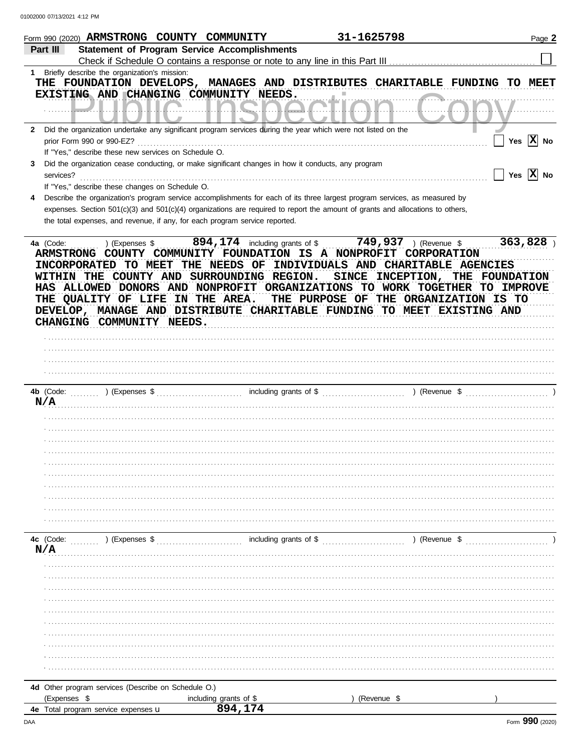|              | 31-1625798<br>Form 990 (2020) ARMSTRONG COUNTY COMMUNITY                                                                                                                                                                                                                                                                                                                                                                                                                                    | Page 2                |
|--------------|---------------------------------------------------------------------------------------------------------------------------------------------------------------------------------------------------------------------------------------------------------------------------------------------------------------------------------------------------------------------------------------------------------------------------------------------------------------------------------------------|-----------------------|
|              | Part III<br><b>Statement of Program Service Accomplishments</b>                                                                                                                                                                                                                                                                                                                                                                                                                             |                       |
|              | Check if Schedule O contains a response or note to any line in this Part III                                                                                                                                                                                                                                                                                                                                                                                                                |                       |
| 1            | Briefly describe the organization's mission:                                                                                                                                                                                                                                                                                                                                                                                                                                                |                       |
|              | THE FOUNDATION DEVELOPS, MANAGES AND DISTRIBUTES CHARITABLE FUNDING                                                                                                                                                                                                                                                                                                                                                                                                                         | TO MEET               |
|              | EXISTING AND CHANGING COMMUNITY NEEDS.                                                                                                                                                                                                                                                                                                                                                                                                                                                      |                       |
|              | .                                                                                                                                                                                                                                                                                                                                                                                                                                                                                           |                       |
|              |                                                                                                                                                                                                                                                                                                                                                                                                                                                                                             |                       |
| $\mathbf{2}$ | Did the organization undertake any significant program services during the year which were not listed on the                                                                                                                                                                                                                                                                                                                                                                                |                       |
|              | prior Form 990 or 990-EZ?                                                                                                                                                                                                                                                                                                                                                                                                                                                                   | Yes $\overline{X}$ No |
|              | If "Yes," describe these new services on Schedule O.                                                                                                                                                                                                                                                                                                                                                                                                                                        |                       |
| 3            | Did the organization cease conducting, or make significant changes in how it conducts, any program                                                                                                                                                                                                                                                                                                                                                                                          |                       |
|              | $\sqrt{}$ Yes $\boxed{\text{X}}$ No<br>services?                                                                                                                                                                                                                                                                                                                                                                                                                                            |                       |
|              | If "Yes," describe these changes on Schedule O.                                                                                                                                                                                                                                                                                                                                                                                                                                             |                       |
| 4            | Describe the organization's program service accomplishments for each of its three largest program services, as measured by                                                                                                                                                                                                                                                                                                                                                                  |                       |
|              | expenses. Section 501(c)(3) and 501(c)(4) organizations are required to report the amount of grants and allocations to others,                                                                                                                                                                                                                                                                                                                                                              |                       |
|              | the total expenses, and revenue, if any, for each program service reported.                                                                                                                                                                                                                                                                                                                                                                                                                 |                       |
|              |                                                                                                                                                                                                                                                                                                                                                                                                                                                                                             |                       |
|              | $894, 174$ including grants of \$<br>$749,937$ ) (Revenue \$<br>4a (Code:<br>) (Expenses \$                                                                                                                                                                                                                                                                                                                                                                                                 | 363,828               |
|              | ARMSTRONG COUNTY COMMUNITY FOUNDATION IS A NONPROFIT CORPORATION<br>INCORPORATED TO MEET THE NEEDS OF INDIVIDUALS AND CHARITABLE AGENCIES<br>WITHIN THE COUNTY AND SURROUNDING REGION.<br>SINCE INCEPTION, THE FOUNDATION<br>HAS ALLOWED DONORS AND NONPROFIT ORGANIZATIONS TO WORK TOGETHER TO IMPROVE<br>THE QUALITY OF LIFE IN THE AREA.<br>THE PURPOSE OF THE ORGANIZATION IS TO<br>DEVELOP, MANAGE AND DISTRIBUTE CHARITABLE FUNDING TO MEET EXISTING AND<br>CHANGING COMMUNITY NEEDS. |                       |
|              |                                                                                                                                                                                                                                                                                                                                                                                                                                                                                             |                       |
|              |                                                                                                                                                                                                                                                                                                                                                                                                                                                                                             |                       |
|              |                                                                                                                                                                                                                                                                                                                                                                                                                                                                                             |                       |
|              |                                                                                                                                                                                                                                                                                                                                                                                                                                                                                             |                       |
|              |                                                                                                                                                                                                                                                                                                                                                                                                                                                                                             |                       |
|              | 4b (Code:                                                                                                                                                                                                                                                                                                                                                                                                                                                                                   |                       |
|              | N/A                                                                                                                                                                                                                                                                                                                                                                                                                                                                                         |                       |
|              |                                                                                                                                                                                                                                                                                                                                                                                                                                                                                             |                       |
|              |                                                                                                                                                                                                                                                                                                                                                                                                                                                                                             |                       |
|              |                                                                                                                                                                                                                                                                                                                                                                                                                                                                                             |                       |
|              |                                                                                                                                                                                                                                                                                                                                                                                                                                                                                             |                       |
|              |                                                                                                                                                                                                                                                                                                                                                                                                                                                                                             |                       |
|              |                                                                                                                                                                                                                                                                                                                                                                                                                                                                                             |                       |
|              |                                                                                                                                                                                                                                                                                                                                                                                                                                                                                             |                       |
|              |                                                                                                                                                                                                                                                                                                                                                                                                                                                                                             |                       |
|              |                                                                                                                                                                                                                                                                                                                                                                                                                                                                                             |                       |
|              |                                                                                                                                                                                                                                                                                                                                                                                                                                                                                             |                       |
|              |                                                                                                                                                                                                                                                                                                                                                                                                                                                                                             |                       |
|              | including grants of \$<br>4c (Code:<br>) (Expenses \$<br>) (Revenue \$                                                                                                                                                                                                                                                                                                                                                                                                                      |                       |
|              | N/A                                                                                                                                                                                                                                                                                                                                                                                                                                                                                         |                       |
|              |                                                                                                                                                                                                                                                                                                                                                                                                                                                                                             |                       |
|              |                                                                                                                                                                                                                                                                                                                                                                                                                                                                                             |                       |
|              |                                                                                                                                                                                                                                                                                                                                                                                                                                                                                             |                       |
|              |                                                                                                                                                                                                                                                                                                                                                                                                                                                                                             |                       |
|              |                                                                                                                                                                                                                                                                                                                                                                                                                                                                                             |                       |
|              |                                                                                                                                                                                                                                                                                                                                                                                                                                                                                             |                       |
|              |                                                                                                                                                                                                                                                                                                                                                                                                                                                                                             |                       |
|              |                                                                                                                                                                                                                                                                                                                                                                                                                                                                                             |                       |
|              |                                                                                                                                                                                                                                                                                                                                                                                                                                                                                             |                       |
|              |                                                                                                                                                                                                                                                                                                                                                                                                                                                                                             |                       |
|              |                                                                                                                                                                                                                                                                                                                                                                                                                                                                                             |                       |
|              | 4d Other program services (Describe on Schedule O.)                                                                                                                                                                                                                                                                                                                                                                                                                                         |                       |
|              | (Revenue \$<br>(Expenses \$<br>including grants of \$                                                                                                                                                                                                                                                                                                                                                                                                                                       |                       |
|              | 894,174<br>4e Total program service expenses u                                                                                                                                                                                                                                                                                                                                                                                                                                              |                       |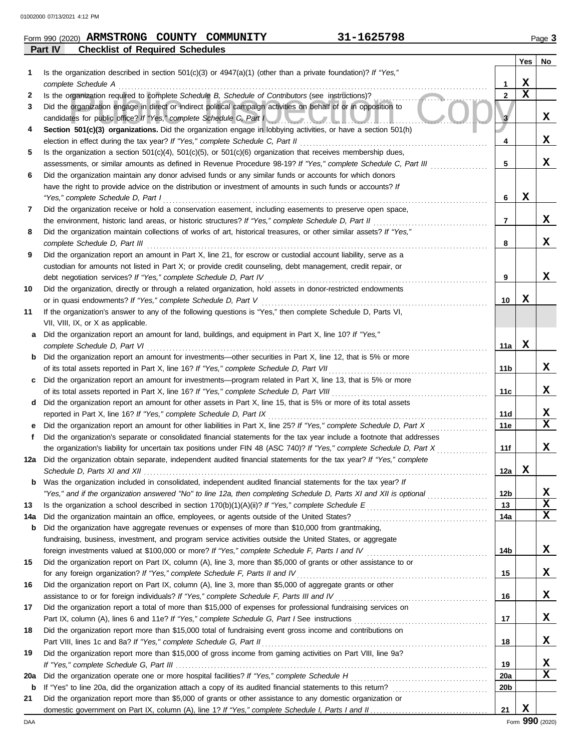| Form 990 (2020) | <b>ARMSTRONG</b>                       | <b>COUNTY</b> | COMMUNITY | 1625798- | $P$ aqe $\ddot{\phantom{2}}$ |
|-----------------|----------------------------------------|---------------|-----------|----------|------------------------------|
| <b>Part IV</b>  | <b>Checklist of Required Schedules</b> |               |           |          |                              |

|     |                                                                                                                                                                                                                                     |                 | Yes         | No          |
|-----|-------------------------------------------------------------------------------------------------------------------------------------------------------------------------------------------------------------------------------------|-----------------|-------------|-------------|
| 1   | Is the organization described in section $501(c)(3)$ or $4947(a)(1)$ (other than a private foundation)? If "Yes,"                                                                                                                   |                 |             |             |
|     | complete Schedule A                                                                                                                                                                                                                 | 1               | X           |             |
| 2   | Is the organization required to complete Schedule B, Schedule of Contributors (see instructions)?                                                                                                                                   | $\mathbf{2}$    | $\mathbf x$ |             |
| 3   | Did the organization engage in direct or indirect political campaign activities on behalf of or in opposition to                                                                                                                    |                 |             |             |
|     | candidates for public office? If "Yes," complete Schedule C, Part I                                                                                                                                                                 | 3               |             | X           |
| 4   | Section 501(c)(3) organizations. Did the organization engage in lobbying activities, or have a section 501(h)                                                                                                                       |                 |             |             |
|     |                                                                                                                                                                                                                                     | 4               |             | X           |
| 5   | Is the organization a section $501(c)(4)$ , $501(c)(5)$ , or $501(c)(6)$ organization that receives membership dues,                                                                                                                |                 |             |             |
|     | assessments, or similar amounts as defined in Revenue Procedure 98-19? If "Yes," complete Schedule C, Part III                                                                                                                      | 5               |             | x           |
| 6   | Did the organization maintain any donor advised funds or any similar funds or accounts for which donors                                                                                                                             |                 |             |             |
|     | have the right to provide advice on the distribution or investment of amounts in such funds or accounts? If                                                                                                                         |                 |             |             |
|     | "Yes," complete Schedule D, Part I                                                                                                                                                                                                  | 6               | X           |             |
| 7   | Did the organization receive or hold a conservation easement, including easements to preserve open space,                                                                                                                           |                 |             |             |
|     | the environment, historic land areas, or historic structures? If "Yes," complete Schedule D, Part II                                                                                                                                | 7               |             | X           |
| 8   | Did the organization maintain collections of works of art, historical treasures, or other similar assets? If "Yes,"                                                                                                                 |                 |             |             |
|     | complete Schedule D, Part III                                                                                                                                                                                                       | 8               |             | x           |
| 9   | Did the organization report an amount in Part X, line 21, for escrow or custodial account liability, serve as a                                                                                                                     |                 |             |             |
|     | custodian for amounts not listed in Part X; or provide credit counseling, debt management, credit repair, or                                                                                                                        |                 |             |             |
|     | debt negotiation services? If "Yes," complete Schedule D, Part IV                                                                                                                                                                   | 9               |             | x           |
| 10  | Did the organization, directly or through a related organization, hold assets in donor-restricted endowments                                                                                                                        |                 |             |             |
|     | or in quasi endowments? If "Yes," complete Schedule D, Part V                                                                                                                                                                       | 10              | х           |             |
| 11  | If the organization's answer to any of the following questions is "Yes," then complete Schedule D, Parts VI,                                                                                                                        |                 |             |             |
|     | VII, VIII, IX, or X as applicable.                                                                                                                                                                                                  |                 |             |             |
| a   | Did the organization report an amount for land, buildings, and equipment in Part X, line 10? If "Yes,"                                                                                                                              |                 |             |             |
|     | complete Schedule D, Part VI                                                                                                                                                                                                        | 11a             | х           |             |
| b   | Did the organization report an amount for investments—other securities in Part X, line 12, that is 5% or more                                                                                                                       |                 |             |             |
|     | of its total assets reported in Part X, line 16? If "Yes," complete Schedule D, Part VII                                                                                                                                            | 11b             |             | x           |
| C   | Did the organization report an amount for investments—program related in Part X, line 13, that is 5% or more                                                                                                                        |                 |             | x           |
|     | of its total assets reported in Part X, line 16? If "Yes," complete Schedule D, Part VIII [[[[[[[[[[[[[[[[[[[[<br>Did the organization report an amount for other assets in Part X, line 15, that is 5% or more of its total assets | 11c             |             |             |
| d   | reported in Part X, line 16? If "Yes," complete Schedule D, Part IX                                                                                                                                                                 | 11d             |             | X           |
| е   | Did the organization report an amount for other liabilities in Part X, line 25? If "Yes," complete Schedule D, Part X                                                                                                               | 11e             |             | $\mathbf x$ |
| f   | Did the organization's separate or consolidated financial statements for the tax year include a footnote that addresses                                                                                                             |                 |             |             |
|     | the organization's liability for uncertain tax positions under FIN 48 (ASC 740)? If "Yes," complete Schedule D, Part X                                                                                                              | 11f             |             | x           |
| 12a | Did the organization obtain separate, independent audited financial statements for the tax year? If "Yes," complete                                                                                                                 |                 |             |             |
|     |                                                                                                                                                                                                                                     | 12a             | x           |             |
| b   | Was the organization included in consolidated, independent audited financial statements for the tax year? If                                                                                                                        |                 |             |             |
|     | "Yes," and if the organization answered "No" to line 12a, then completing Schedule D, Parts XI and XII is optional                                                                                                                  | 12 <sub>b</sub> |             | х           |
| 13  |                                                                                                                                                                                                                                     | 13              |             | $\mathbf x$ |
| 14a |                                                                                                                                                                                                                                     | 14a             |             | $\mathbf x$ |
| b   | Did the organization have aggregate revenues or expenses of more than \$10,000 from grantmaking,                                                                                                                                    |                 |             |             |
|     | fundraising, business, investment, and program service activities outside the United States, or aggregate                                                                                                                           |                 |             |             |
|     |                                                                                                                                                                                                                                     | 14b             |             | X           |
| 15  | Did the organization report on Part IX, column (A), line 3, more than \$5,000 of grants or other assistance to or                                                                                                                   |                 |             |             |
|     | for any foreign organization? If "Yes," complete Schedule F, Parts II and IV                                                                                                                                                        | 15              |             | X           |
| 16  | Did the organization report on Part IX, column (A), line 3, more than \$5,000 of aggregate grants or other                                                                                                                          |                 |             |             |
|     | assistance to or for foreign individuals? If "Yes," complete Schedule F, Parts III and IV [[[[[[[[[[[[[[[[[[[                                                                                                                       | 16              |             | X           |
| 17  | Did the organization report a total of more than \$15,000 of expenses for professional fundraising services on                                                                                                                      |                 |             |             |
|     |                                                                                                                                                                                                                                     | 17              |             | X           |
| 18  | Did the organization report more than \$15,000 total of fundraising event gross income and contributions on                                                                                                                         |                 |             |             |
|     |                                                                                                                                                                                                                                     | 18              |             | X           |
| 19  | Did the organization report more than \$15,000 of gross income from gaming activities on Part VIII, line 9a?                                                                                                                        |                 |             |             |
|     |                                                                                                                                                                                                                                     | 19              |             | х           |
| 20a |                                                                                                                                                                                                                                     | <b>20a</b>      |             | $\mathbf x$ |
| b   |                                                                                                                                                                                                                                     | 20 <sub>b</sub> |             |             |
| 21  | Did the organization report more than \$5,000 of grants or other assistance to any domestic organization or                                                                                                                         |                 |             |             |
|     |                                                                                                                                                                                                                                     | 21              | X           |             |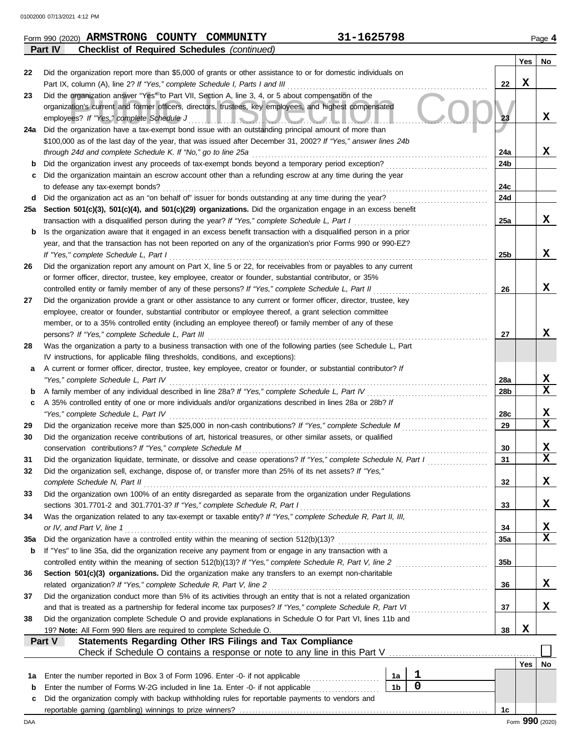|     | <b>Checklist of Required Schedules (continued)</b><br><b>Part IV</b>                                               |                 |     |                              |
|-----|--------------------------------------------------------------------------------------------------------------------|-----------------|-----|------------------------------|
|     |                                                                                                                    |                 | Yes | No                           |
| 22  | Did the organization report more than \$5,000 of grants or other assistance to or for domestic individuals on      |                 |     |                              |
|     | Part IX, column (A), line 2? If "Yes," complete Schedule I, Parts I and III                                        | 22              | x   |                              |
| 23  | Did the organization answer "Yes" to Part VII, Section A, line 3, 4, or 5 about compensation of the                |                 |     |                              |
|     | organization's current and former officers, directors, trustees, key employees, and highest compensated            |                 |     |                              |
|     | employees? If "Yes," complete Schedule J<br><u>LIJUVJUHV</u>                                                       | 23              |     | x                            |
| 24a | Did the organization have a tax-exempt bond issue with an outstanding principal amount of more than                |                 |     |                              |
|     | \$100,000 as of the last day of the year, that was issued after December 31, 2002? If "Yes," answer lines 24b      |                 |     |                              |
|     | through 24d and complete Schedule K. If "No," go to line 25a                                                       | 24a             |     | x                            |
| b   | Did the organization invest any proceeds of tax-exempt bonds beyond a temporary period exception?                  | 24b             |     |                              |
| c   | Did the organization maintain an escrow account other than a refunding escrow at any time during the year          |                 |     |                              |
|     | to defease any tax-exempt bonds?                                                                                   | 24c             |     |                              |
|     |                                                                                                                    |                 |     |                              |
| d   | Did the organization act as an "on behalf of" issuer for bonds outstanding at any time during the year?            | 24d             |     |                              |
| 25a | Section 501(c)(3), 501(c)(4), and 501(c)(29) organizations. Did the organization engage in an excess benefit       |                 |     |                              |
|     | transaction with a disqualified person during the year? If "Yes," complete Schedule L, Part I                      | 25a             |     | x                            |
| b   | Is the organization aware that it engaged in an excess benefit transaction with a disqualified person in a prior   |                 |     |                              |
|     | year, and that the transaction has not been reported on any of the organization's prior Forms 990 or 990-EZ?       |                 |     |                              |
|     | If "Yes," complete Schedule L, Part I                                                                              | 25 <sub>b</sub> |     | x                            |
| 26  | Did the organization report any amount on Part X, line 5 or 22, for receivables from or payables to any current    |                 |     |                              |
|     | or former officer, director, trustee, key employee, creator or founder, substantial contributor, or 35%            |                 |     |                              |
|     | controlled entity or family member of any of these persons? If "Yes," complete Schedule L, Part II                 | 26              |     | x                            |
| 27  | Did the organization provide a grant or other assistance to any current or former officer, director, trustee, key  |                 |     |                              |
|     | employee, creator or founder, substantial contributor or employee thereof, a grant selection committee             |                 |     |                              |
|     | member, or to a 35% controlled entity (including an employee thereof) or family member of any of these             |                 |     |                              |
|     | persons? If "Yes," complete Schedule L, Part III                                                                   | 27              |     | x                            |
| 28  | Was the organization a party to a business transaction with one of the following parties (see Schedule L, Part     |                 |     |                              |
|     | IV instructions, for applicable filing thresholds, conditions, and exceptions):                                    |                 |     |                              |
| а   | A current or former officer, director, trustee, key employee, creator or founder, or substantial contributor? If   |                 |     |                              |
|     | "Yes," complete Schedule L, Part IV                                                                                | 28a             |     | x                            |
| b   | A family member of any individual described in line 28a? If "Yes," complete Schedule L, Part IV                    | 28b             |     | $\mathbf x$                  |
| c   | A 35% controlled entity of one or more individuals and/or organizations described in lines 28a or 28b? If          |                 |     |                              |
|     | "Yes," complete Schedule L, Part IV                                                                                | 28c             |     | X                            |
| 29  | Did the organization receive more than \$25,000 in non-cash contributions? If "Yes," complete Schedule M           | 29              |     | $\mathbf x$                  |
| 30  | Did the organization receive contributions of art, historical treasures, or other similar assets, or qualified     |                 |     |                              |
|     | conservation contributions? If "Yes," complete Schedule M                                                          | 30              |     | X                            |
| 31  | Did the organization liquidate, terminate, or dissolve and cease operations? If "Yes," complete Schedule N, Part I | 31              |     | $\overline{\mathbf{x}}$      |
|     | Did the organization sell, exchange, dispose of, or transfer more than 25% of its net assets? If "Yes,"            |                 |     |                              |
|     | complete Schedule N, Part II                                                                                       | 32              |     | X                            |
| 33  | Did the organization own 100% of an entity disregarded as separate from the organization under Regulations         |                 |     |                              |
|     |                                                                                                                    |                 |     | X                            |
|     | sections 301.7701-2 and 301.7701-3? If "Yes," complete Schedule R, Part I                                          | 33              |     |                              |
| 34  | Was the organization related to any tax-exempt or taxable entity? If "Yes," complete Schedule R, Part II, III,     |                 |     |                              |
|     | or IV, and Part V, line 1                                                                                          | 34              |     | X<br>$\overline{\mathbf{x}}$ |
| 35a |                                                                                                                    | 35a             |     |                              |
| b   | If "Yes" to line 35a, did the organization receive any payment from or engage in any transaction with a            |                 |     |                              |
|     | controlled entity within the meaning of section 512(b)(13)? If "Yes," complete Schedule R, Part V, line 2          | 35b             |     |                              |
| 36  | Section 501(c)(3) organizations. Did the organization make any transfers to an exempt non-charitable               |                 |     |                              |
|     | related organization? If "Yes," complete Schedule R, Part V, line 2                                                | 36              |     | X.                           |
| 37  | Did the organization conduct more than 5% of its activities through an entity that is not a related organization   |                 |     |                              |
|     | and that is treated as a partnership for federal income tax purposes? If "Yes," complete Schedule R, Part VI       | 37              |     | x                            |
| 38  | Did the organization complete Schedule O and provide explanations in Schedule O for Part VI, lines 11b and         |                 |     |                              |
|     | 19? Note: All Form 990 filers are required to complete Schedule O.                                                 | 38              | x   |                              |
|     | Statements Regarding Other IRS Filings and Tax Compliance<br>Part V                                                |                 |     |                              |
|     |                                                                                                                    |                 |     |                              |
|     |                                                                                                                    |                 | Yes | No                           |
| 1а  | 1<br>Enter the number reported in Box 3 of Form 1096. Enter -0- if not applicable<br>1a                            |                 |     |                              |
| b   | $\mathbf 0$<br>1 <sub>b</sub><br>Enter the number of Forms W-2G included in line 1a. Enter -0- if not applicable   |                 |     |                              |
| c   | Did the organization comply with backup withholding rules for reportable payments to vendors and                   |                 |     |                              |
|     |                                                                                                                    | 1c              |     |                              |
| DAA |                                                                                                                    |                 |     | Form 990 (2020)              |

| Form 990 (2020) ARMSTRONG COUNTY | COMMUNITY | 31-1625798 | Page |
|----------------------------------|-----------|------------|------|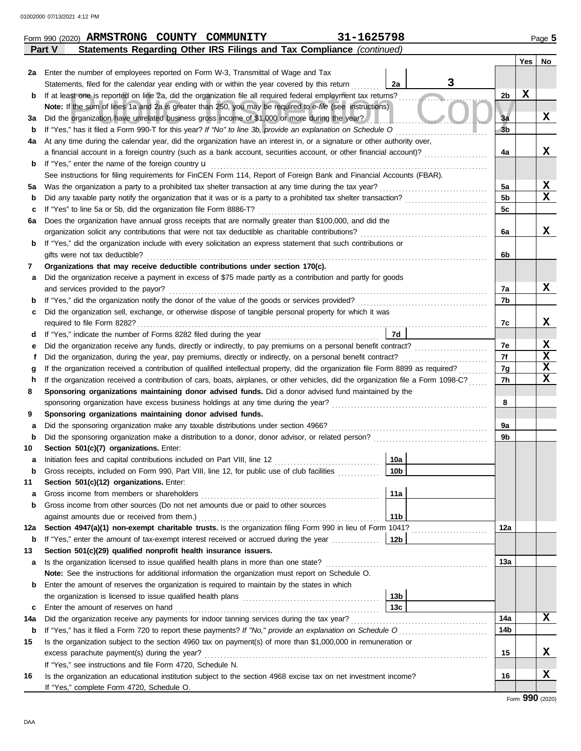|             | Part V<br>Statements Regarding Other IRS Filings and Tax Compliance (continued)                                                                                                                                                                                             |                |     |                         |  |  |  |
|-------------|-----------------------------------------------------------------------------------------------------------------------------------------------------------------------------------------------------------------------------------------------------------------------------|----------------|-----|-------------------------|--|--|--|
|             |                                                                                                                                                                                                                                                                             |                | Yes | No                      |  |  |  |
| 2a          | Enter the number of employees reported on Form W-3, Transmittal of Wage and Tax                                                                                                                                                                                             |                |     |                         |  |  |  |
|             | 3<br>Statements, filed for the calendar year ending with or within the year covered by this return<br>2a                                                                                                                                                                    |                |     |                         |  |  |  |
| b           | If at least one is reported on line 2a, did the organization file all required federal employment tax returns?                                                                                                                                                              | 2b             | х   |                         |  |  |  |
|             | Note: If the sum of lines 1a and 2a is greater than 250, you may be required to e-file (see instructions)                                                                                                                                                                   |                |     |                         |  |  |  |
| за          | Did the organization have unrelated business gross income of \$1,000 or more during the year?                                                                                                                                                                               | Зa             |     | x                       |  |  |  |
| b           | If "Yes," has it filed a Form 990-T for this year? If "No" to line 3b, provide an explanation on Schedule O                                                                                                                                                                 | 3 <sub>b</sub> |     |                         |  |  |  |
| 4a          | At any time during the calendar year, did the organization have an interest in, or a signature or other authority over,                                                                                                                                                     |                |     |                         |  |  |  |
|             | a financial account in a foreign country (such as a bank account, securities account, or other financial account)?                                                                                                                                                          | 4a             |     | x                       |  |  |  |
| b           | If "Yes," enter the name of the foreign country $\mathbf u$                                                                                                                                                                                                                 |                |     |                         |  |  |  |
|             | See instructions for filing requirements for FinCEN Form 114, Report of Foreign Bank and Financial Accounts (FBAR).                                                                                                                                                         |                |     |                         |  |  |  |
| 5а          | Was the organization a party to a prohibited tax shelter transaction at any time during the tax year?                                                                                                                                                                       | 5a             |     | X                       |  |  |  |
| b           | Did any taxable party notify the organization that it was or is a party to a prohibited tax shelter transaction?                                                                                                                                                            | 5 <sub>b</sub> |     | $\overline{\mathbf{x}}$ |  |  |  |
| c           | If "Yes" to line 5a or 5b, did the organization file Form 8886-T?                                                                                                                                                                                                           | 5c             |     |                         |  |  |  |
| 6а          | Does the organization have annual gross receipts that are normally greater than \$100,000, and did the                                                                                                                                                                      |                |     |                         |  |  |  |
|             | organization solicit any contributions that were not tax deductible as charitable contributions?                                                                                                                                                                            | 6a             |     | x                       |  |  |  |
| b           | If "Yes," did the organization include with every solicitation an express statement that such contributions or                                                                                                                                                              |                |     |                         |  |  |  |
|             | gifts were not tax deductible?                                                                                                                                                                                                                                              | 6b             |     |                         |  |  |  |
| 7           | Organizations that may receive deductible contributions under section 170(c).                                                                                                                                                                                               |                |     |                         |  |  |  |
| а           | Did the organization receive a payment in excess of \$75 made partly as a contribution and partly for goods                                                                                                                                                                 |                |     |                         |  |  |  |
|             | and services provided to the payor?                                                                                                                                                                                                                                         | 7a             |     | x                       |  |  |  |
| b           | If "Yes," did the organization notify the donor of the value of the goods or services provided?                                                                                                                                                                             | 7b             |     |                         |  |  |  |
| c           | Did the organization sell, exchange, or otherwise dispose of tangible personal property for which it was                                                                                                                                                                    |                |     |                         |  |  |  |
|             | required to file Form 8282?                                                                                                                                                                                                                                                 | 7c             |     | X                       |  |  |  |
| d           | 7d                                                                                                                                                                                                                                                                          |                |     | X                       |  |  |  |
| е           | Did the organization receive any funds, directly or indirectly, to pay premiums on a personal benefit contract?                                                                                                                                                             | 7е<br>7f       |     | $\overline{\mathbf{x}}$ |  |  |  |
| f           | Did the organization, during the year, pay premiums, directly or indirectly, on a personal benefit contract?                                                                                                                                                                | 7g             |     | $\overline{\mathbf{x}}$ |  |  |  |
| h           | If the organization received a contribution of qualified intellectual property, did the organization file Form 8899 as required?<br>g<br>If the organization received a contribution of cars, boats, airplanes, or other vehicles, did the organization file a Form 1098-C? |                |     |                         |  |  |  |
| 8           | Sponsoring organizations maintaining donor advised funds. Did a donor advised fund maintained by the                                                                                                                                                                        | 7h             |     | $\mathbf x$             |  |  |  |
|             | sponsoring organization have excess business holdings at any time during the year?                                                                                                                                                                                          | 8              |     |                         |  |  |  |
| 9           | Sponsoring organizations maintaining donor advised funds.                                                                                                                                                                                                                   |                |     |                         |  |  |  |
| a           | Did the sponsoring organization make any taxable distributions under section 4966?                                                                                                                                                                                          | 9a             |     |                         |  |  |  |
| $\mathbf b$ | Did the sponsoring organization make a distribution to a donor, donor advisor, or related person?                                                                                                                                                                           | 9b             |     |                         |  |  |  |
| 10          | Section 501(c)(7) organizations. Enter:                                                                                                                                                                                                                                     |                |     |                         |  |  |  |
| a           | 10a<br>Initiation fees and capital contributions included on Part VIII, line 12 [11][11][11][11][11][11][11][11][11][                                                                                                                                                       |                |     |                         |  |  |  |
|             | 10b <br>Gross receipts, included on Form 990, Part VIII, line 12, for public use of club facilities                                                                                                                                                                         |                |     |                         |  |  |  |
| 11          | Section 501(c)(12) organizations. Enter:                                                                                                                                                                                                                                    |                |     |                         |  |  |  |
| а           | 11a<br>Gross income from members or shareholders                                                                                                                                                                                                                            |                |     |                         |  |  |  |
| b           | Gross income from other sources (Do not net amounts due or paid to other sources                                                                                                                                                                                            |                |     |                         |  |  |  |
|             | 11 <sub>b</sub>                                                                                                                                                                                                                                                             |                |     |                         |  |  |  |
| 12a         | Section 4947(a)(1) non-exempt charitable trusts. Is the organization filing Form 990 in lieu of Form 1041?                                                                                                                                                                  | 12a            |     |                         |  |  |  |
| b           | If "Yes," enter the amount of tax-exempt interest received or accrued during the year<br>  12b                                                                                                                                                                              |                |     |                         |  |  |  |
| 13          | Section 501(c)(29) qualified nonprofit health insurance issuers.                                                                                                                                                                                                            |                |     |                         |  |  |  |
| а           | Is the organization licensed to issue qualified health plans in more than one state?                                                                                                                                                                                        | 13a            |     |                         |  |  |  |
|             | Note: See the instructions for additional information the organization must report on Schedule O.                                                                                                                                                                           |                |     |                         |  |  |  |
| b           | Enter the amount of reserves the organization is required to maintain by the states in which                                                                                                                                                                                |                |     |                         |  |  |  |
|             | 13b                                                                                                                                                                                                                                                                         |                |     |                         |  |  |  |
| c           | 13 <sub>c</sub><br>Enter the amount of reserves on hand                                                                                                                                                                                                                     |                |     |                         |  |  |  |
| 14a         | Did the organization receive any payments for indoor tanning services during the tax year?                                                                                                                                                                                  | 14a            |     | X                       |  |  |  |
| b           | If "Yes," has it filed a Form 720 to report these payments? If "No," provide an explanation on Schedule O                                                                                                                                                                   | 14b            |     |                         |  |  |  |
| 15          | Is the organization subject to the section 4960 tax on payment(s) of more than \$1,000,000 in remuneration or                                                                                                                                                               |                |     |                         |  |  |  |
|             | excess parachute payment(s) during the year?                                                                                                                                                                                                                                | 15             |     | X                       |  |  |  |
|             | If "Yes," see instructions and file Form 4720, Schedule N.                                                                                                                                                                                                                  |                |     |                         |  |  |  |
| 16          | Is the organization an educational institution subject to the section 4968 excise tax on net investment income?                                                                                                                                                             | 16             |     | X                       |  |  |  |
|             | If "Yes," complete Form 4720, Schedule O.                                                                                                                                                                                                                                   |                |     |                         |  |  |  |

**Form 990 (2020) ARMSTRONG COUNTY COMMUNITY** 221-1625798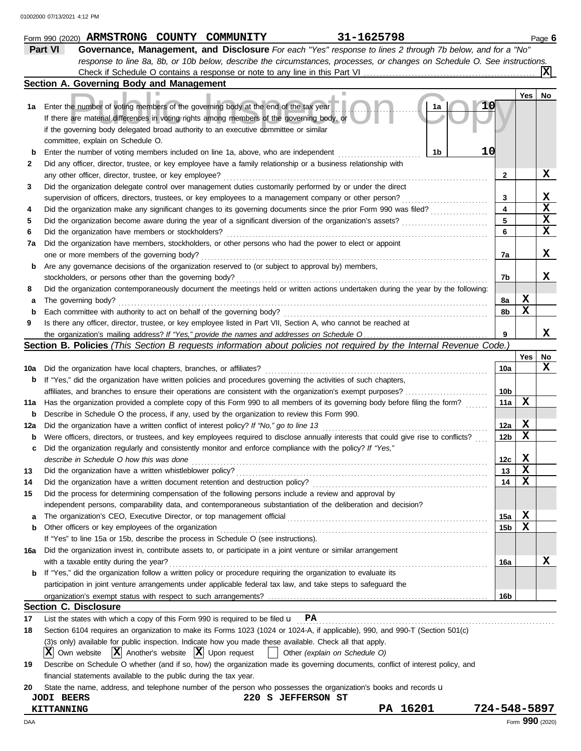|     | 31-1625798<br>Form 990 (2020) ARMSTRONG COUNTY COMMUNITY                                                                                 |                 |             | Page 6          |
|-----|------------------------------------------------------------------------------------------------------------------------------------------|-----------------|-------------|-----------------|
|     | Part VI<br>Governance, Management, and Disclosure For each "Yes" response to lines 2 through 7b below, and for a "No"                    |                 |             |                 |
|     | response to line 8a, 8b, or 10b below, describe the circumstances, processes, or changes on Schedule O. See instructions.                |                 |             |                 |
|     |                                                                                                                                          |                 |             |                 |
|     | Section A. Governing Body and Management                                                                                                 |                 |             |                 |
|     |                                                                                                                                          |                 | Yes         | No              |
| 1а  | Enter the number of voting members of the governing body at the end of the tax year<br>1a                                                |                 |             |                 |
|     | If there are material differences in voting rights among members of the governing body, or                                               |                 |             |                 |
|     | if the governing body delegated broad authority to an executive committee or similar                                                     |                 |             |                 |
|     | committee, explain on Schedule O.                                                                                                        |                 |             |                 |
| b   | 10<br>1 <sub>b</sub><br>Enter the number of voting members included on line 1a, above, who are independent                               |                 |             |                 |
| 2   | Did any officer, director, trustee, or key employee have a family relationship or a business relationship with                           |                 |             |                 |
|     | any other officer, director, trustee, or key employee?                                                                                   | 2               |             | X               |
| 3   | Did the organization delegate control over management duties customarily performed by or under the direct                                |                 |             |                 |
|     | supervision of officers, directors, trustees, or key employees to a management company or other person?                                  | 3               |             | X               |
| 4   | .<br>Did the organization make any significant changes to its governing documents since the prior Form 990 was filed?                    | 4               |             | $\mathbf x$     |
| 5   | Did the organization become aware during the year of a significant diversion of the organization's assets?                               | 5               |             | X               |
| 6   | Did the organization have members or stockholders?                                                                                       | 6               |             | $\mathbf x$     |
| 7a  | Did the organization have members, stockholders, or other persons who had the power to elect or appoint                                  |                 |             |                 |
|     | one or more members of the governing body?                                                                                               | 7a              |             | X               |
|     | Are any governance decisions of the organization reserved to (or subject to approval by) members,                                        |                 |             |                 |
| b   | stockholders, or persons other than the governing body?                                                                                  | 7b              |             | x               |
|     | Did the organization contemporaneously document the meetings held or written actions undertaken during the year by the following:        |                 |             |                 |
| 8   |                                                                                                                                          |                 | X           |                 |
| а   | The governing body?                                                                                                                      | 8a              | X           |                 |
| b   | Each committee with authority to act on behalf of the governing body?                                                                    | 8b              |             |                 |
| 9   | Is there any officer, director, trustee, or key employee listed in Part VII, Section A, who cannot be reached at                         |                 |             | x               |
|     |                                                                                                                                          | 9               |             |                 |
|     | Section B. Policies (This Section B requests information about policies not required by the Internal Revenue Code.)                      |                 |             |                 |
|     |                                                                                                                                          |                 | Yes         | No<br>x         |
| 10a | Did the organization have local chapters, branches, or affiliates?                                                                       | 10a             |             |                 |
| b   | If "Yes," did the organization have written policies and procedures governing the activities of such chapters,                           |                 |             |                 |
|     | affiliates, and branches to ensure their operations are consistent with the organization's exempt purposes?                              | 10b             | X           |                 |
| 11a | Has the organization provided a complete copy of this Form 990 to all members of its governing body before filing the form?              | 11a             |             |                 |
| b   | Describe in Schedule O the process, if any, used by the organization to review this Form 990.                                            |                 |             |                 |
| 12a | Did the organization have a written conflict of interest policy? If "No," go to line 13                                                  | 12a             | X           |                 |
| b   | Were officers, directors, or trustees, and key employees required to disclose annually interests that could give rise to conflicts?      | 12b             | X           |                 |
| c   | Did the organization regularly and consistently monitor and enforce compliance with the policy? If "Yes,"                                |                 |             |                 |
|     | describe in Schedule O how this was done                                                                                                 | 12c             | $\mathbf x$ |                 |
| 13  | Did the organization have a written whistleblower policy?                                                                                | 13              | X           |                 |
| 14  | Did the organization have a written document retention and destruction policy?                                                           | 14              | х           |                 |
| 15  | Did the process for determining compensation of the following persons include a review and approval by                                   |                 |             |                 |
|     | independent persons, comparability data, and contemporaneous substantiation of the deliberation and decision?                            |                 |             |                 |
| а   |                                                                                                                                          | 15a             | X           |                 |
| b   | Other officers or key employees of the organization                                                                                      | 15b             | х           |                 |
|     | If "Yes" to line 15a or 15b, describe the process in Schedule O (see instructions).                                                      |                 |             |                 |
| 16a | Did the organization invest in, contribute assets to, or participate in a joint venture or similar arrangement                           |                 |             |                 |
|     | with a taxable entity during the year?                                                                                                   | 16a             |             | x               |
| b   | If "Yes," did the organization follow a written policy or procedure requiring the organization to evaluate its                           |                 |             |                 |
|     | participation in joint venture arrangements under applicable federal tax law, and take steps to safeguard the                            |                 |             |                 |
|     |                                                                                                                                          | 16 <sub>b</sub> |             |                 |
|     | <b>Section C. Disclosure</b>                                                                                                             |                 |             |                 |
| 17  | List the states with which a copy of this Form 990 is required to be filed $\mathbf{u}$ PA                                               |                 |             |                 |
| 18  | Section 6104 requires an organization to make its Forms 1023 (1024 or 1024-A, if applicable), 990, and 990-T (Section 501(c)             |                 |             |                 |
|     | (3)s only) available for public inspection. Indicate how you made these available. Check all that apply.                                 |                 |             |                 |
|     | $ \mathbf{X} $ Own website $ \mathbf{X} $ Another's website $ \mathbf{X} $ Upon request<br>Other (explain on Schedule O)<br>$\mathbf{1}$ |                 |             |                 |
| 19  | Describe on Schedule O whether (and if so, how) the organization made its governing documents, conflict of interest policy, and          |                 |             |                 |
|     | financial statements available to the public during the tax year.                                                                        |                 |             |                 |
| 20  | State the name, address, and telephone number of the person who possesses the organization's books and records u                         |                 |             |                 |
|     | 220 S JEFFERSON ST<br><b>JODI BEERS</b>                                                                                                  |                 |             |                 |
|     | PA 16201<br>KITTANNING                                                                                                                   | 724-548-5897    |             |                 |
| DAA |                                                                                                                                          |                 |             | Form 990 (2020) |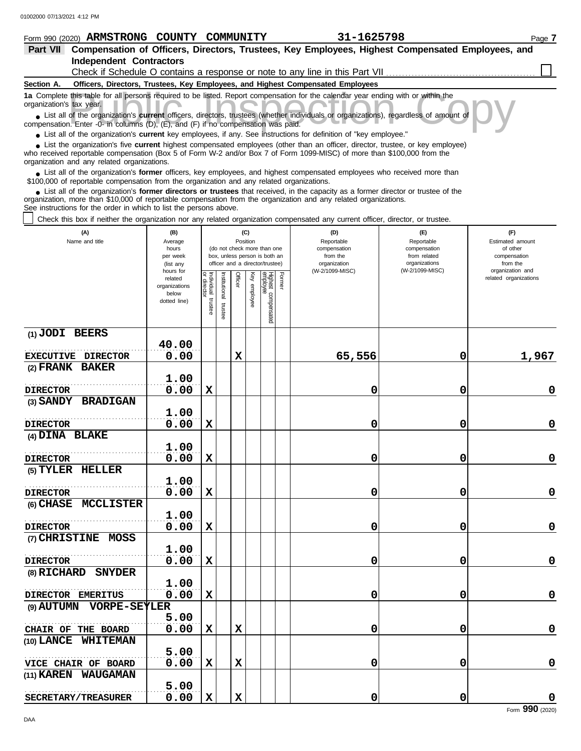### **Form 990 (2020) ARMSTRONG COUNTY COMMUNITY** 31-1625798 Page 7 **Part VII Compensation of Officers, Directors, Trustees, Key Employees, Highest Compensated Employees, and Independent Contractors** Check if Schedule O contains a response or note to any line in this Part VII **Section A. Officers, Directors, Trustees, Key Employees, and Highest Compensated Employees** this table for all persons required to be listed. Report compensation for the calendar year ending with or within the tax year.<br>
of the organization's **current** officers, directors, trustees (whether individuals or organiz **1a** Complete this table for all persons required to be listed. Report compensation for the calendar year ending with or within the organization's tax year. ■ List all of the organization's **current** officers, directors, trustees (whether individuals or organizations), regardless of amount of compensation. Enter -0- in columns (D), (E), and (F) if no compensation was paid. ● List all of the organization's **current** key employees, if any. See instructions for definition of "key employee." ■ List the organization's five **current** highest compensated employees (other than an officer, director, trustee, or key employee)<br> **•** Preceived reportable compensation (Box 5 of Form W.2 and/or Box 7 of Form 1000 MISC) who received reportable compensation (Box 5 of Form W-2 and/or Box 7 of Form 1099-MISC) of more than \$100,000 from the organization and any related organizations. ■ List all of the organization's **former** officers, key employees, and highest compensated employees who received more than<br> **•** 00,000 of reportable compensation from the ergonization and any related ergonizations \$100,000 of reportable compensation from the organization and any related organizations. ■ List all of the organization's **former directors or trustees** that received, in the capacity as a former director or trustee of the<br>paization, more than \$10,000 of reportable compensation from the organization and any r organization, more than \$10,000 of reportable compensation from the organization and any related organizations. See instructions for the order in which to list the persons above. Check this box if neither the organization nor any related organization compensated any current officer, director, or trustee. **(A) (B) (C) (D) (E) (F)** Name and title **Name and title Rosition** Average Reportable Reportable Estimated amount (do not check more than one compensation compensation of other<br>compensation hours box, unless person is both an per week from the state of the from related and the compensation officer and a director/trustee) organization organizations from the (list any (W-2/1099-MISC) (W-2/1099-MISC) organization and hours for Former or director Individual trustee Institutional trustee Officer Key employee related related organizations lighest compensated<br>mployee dividual stitutional director organizations enployee below dotted line) trustee trustee **(1) JODI BEERS 40.00** . . . . . . . . . . . . . . . . . . . . . . . . . . . . . . . . . . . . . . . . . . . . . . . . . . . . . . . **EXECUTIVE DIRECTOR 0.00 X 65,556 0 1,967 (2) FRANK BAKER 1.00** . . . . . . . . . . . . . . . . . . . . . . . . . . . . . . . . . . . . . . . . . . . . . . . . . . . . . . . **DIRECTOR 0.00 X 0 0 0 (3) SANDY BRADIGAN 1.00** . . . . . . . . . . . . . . . . . . . . . . . . . . . . . . . . . . . . . . . . . . . . . . . . . . . . . . . **0.00 X 0 0 0 DIRECTOR (4) DINA BLAKE 1.00** . . . . . . . . . . . . . . . . . . . . . . . . . . . . . . . . . . . . . . . . . . . . . . . . . . . . . . . **DIRECTOR 0.00 X 0 0 0 (5) TYLER HELLER 1.00** . . . . . . . . . . . . . . . . . . . . . . . . . . . . . . . . . . . . . . . . . . . . . . . . . . . . . . . **DIRECTOR 0.00 X 0 0 0 (6) CHASE MCCLISTER 1.00** . . . . . . . . . . . . . . . . . . . . . . . . . . . . . . . . . . . . . . . . . . . . . . . . . . . . . . . **DIRECTOR 0.00 X 0 0 0 (7) CHRISTINE MOSS 1.00** . . . . . . . . . . . . . . . . . . . . . . . . . . . . . . . . . . . . . . . . . . . . . . . . . . . . . . . **0.00 X 0 0 0 DIRECTOR (8) RICHARD SNYDER 1.00** . . . . . . . . . . . . . . . . . . . . . . . . . . . . . . . . . . . . . . . . . . . . . . . . . . . . . . . **0.00 X 0 0 0 DIRECTOR EMERITUS AUTUMN VORPE-SEYLER (9)**

**0.00 X X 0 0 0**

**0.00 X X 0 0 0**

**(10) LANCE WHITEMAN**

**CHAIR OF THE BOARD 0.00** 

**5.00**

**5.00**

**5.00**

. . . . . . . . . . . . . . . . . . . . . . . . . . . . . . . . . . . . . . . . . . . . . . . . . . . . . . .

. . . . . . . . . . . . . . . . . . . . . . . . . . . . . . . . . . . . . . . . . . . . . . . . . . . . . . .

**(11) KAREN WAUGAMAN**

**SECRETARY/TREASURER**

**VICE CHAIR OF BOARD**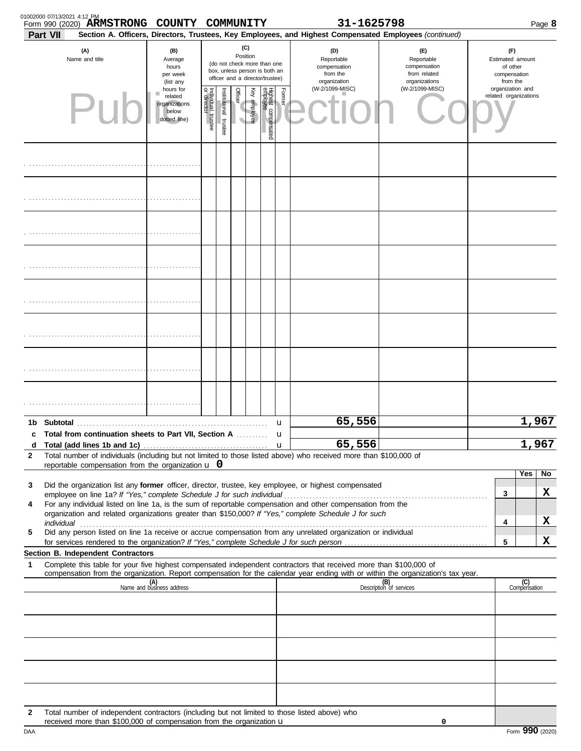| 01002000 07/13/2021 4:12 PM | Form 990 (2020) ARMSTRONG COUNTY COMMUNITY                                                                                                                                      |                                                                |                                   |                       |                                                                                                                                                                                                                                                            |              |                                 |             | 31-1625798                                                                                                                                                                                                                                             |                                |  |                                           | Page 8              |                                                                    |  |                                                                 |  |
|-----------------------------|---------------------------------------------------------------------------------------------------------------------------------------------------------------------------------|----------------------------------------------------------------|-----------------------------------|-----------------------|------------------------------------------------------------------------------------------------------------------------------------------------------------------------------------------------------------------------------------------------------------|--------------|---------------------------------|-------------|--------------------------------------------------------------------------------------------------------------------------------------------------------------------------------------------------------------------------------------------------------|--------------------------------|--|-------------------------------------------|---------------------|--------------------------------------------------------------------|--|-----------------------------------------------------------------|--|
| <b>Part VII</b>             | (A)<br>Name and title                                                                                                                                                           | (B)<br>Average<br>hours<br>per week<br>(list any               | (C)<br>Position                   |                       | Section A. Officers, Directors, Trustees, Key Employees, and Highest Compensated Employees (continued)<br>(D)<br>Reportable<br>(do not check more than one<br>compensation<br>box, unless person is both an<br>from the<br>officer and a director/trustee) |              |                                 |             |                                                                                                                                                                                                                                                        |                                |  |                                           | organization        | (E)<br>Reportable<br>compensation<br>from related<br>organizations |  | (F)<br>Estimated amount<br>of other<br>compensation<br>from the |  |
|                             |                                                                                                                                                                                 | hours for<br>related<br>organizations<br>below<br>dotted line) | Individual trustee<br>or director | Institutional trustee | <b>Officer</b>                                                                                                                                                                                                                                             | Key employee | Highest compensated<br>employee | Former      | (W-2/1099-MISC)                                                                                                                                                                                                                                        | (W-2/1099-MISC)                |  | organization and<br>related organizations |                     |                                                                    |  |                                                                 |  |
|                             |                                                                                                                                                                                 |                                                                |                                   |                       |                                                                                                                                                                                                                                                            |              |                                 |             |                                                                                                                                                                                                                                                        |                                |  |                                           |                     |                                                                    |  |                                                                 |  |
|                             |                                                                                                                                                                                 |                                                                |                                   |                       |                                                                                                                                                                                                                                                            |              |                                 |             |                                                                                                                                                                                                                                                        |                                |  |                                           |                     |                                                                    |  |                                                                 |  |
|                             |                                                                                                                                                                                 |                                                                |                                   |                       |                                                                                                                                                                                                                                                            |              |                                 |             |                                                                                                                                                                                                                                                        |                                |  |                                           |                     |                                                                    |  |                                                                 |  |
|                             |                                                                                                                                                                                 |                                                                |                                   |                       |                                                                                                                                                                                                                                                            |              |                                 |             |                                                                                                                                                                                                                                                        |                                |  |                                           |                     |                                                                    |  |                                                                 |  |
|                             |                                                                                                                                                                                 |                                                                |                                   |                       |                                                                                                                                                                                                                                                            |              |                                 |             |                                                                                                                                                                                                                                                        |                                |  |                                           |                     |                                                                    |  |                                                                 |  |
|                             |                                                                                                                                                                                 |                                                                |                                   |                       |                                                                                                                                                                                                                                                            |              |                                 |             |                                                                                                                                                                                                                                                        |                                |  |                                           |                     |                                                                    |  |                                                                 |  |
|                             |                                                                                                                                                                                 |                                                                |                                   |                       |                                                                                                                                                                                                                                                            |              |                                 |             |                                                                                                                                                                                                                                                        |                                |  |                                           |                     |                                                                    |  |                                                                 |  |
|                             |                                                                                                                                                                                 |                                                                |                                   |                       |                                                                                                                                                                                                                                                            |              |                                 |             |                                                                                                                                                                                                                                                        |                                |  |                                           |                     |                                                                    |  |                                                                 |  |
|                             | c Total from continuation sheets to Part VII, Section A                                                                                                                         |                                                                |                                   |                       |                                                                                                                                                                                                                                                            |              |                                 | u<br>u      | 65,556                                                                                                                                                                                                                                                 |                                |  |                                           | 1,967               |                                                                    |  |                                                                 |  |
| d<br>2                      | reportable compensation from the organization $\bf{u}$ 0                                                                                                                        |                                                                |                                   |                       |                                                                                                                                                                                                                                                            |              |                                 | $\mathbf u$ | 65,556<br>Total number of individuals (including but not limited to those listed above) who received more than \$100,000 of                                                                                                                            |                                |  |                                           | 1,967               |                                                                    |  |                                                                 |  |
| 3                           |                                                                                                                                                                                 |                                                                |                                   |                       |                                                                                                                                                                                                                                                            |              |                                 |             | Did the organization list any former officer, director, trustee, key employee, or highest compensated                                                                                                                                                  |                                |  |                                           | Yes<br>No           |                                                                    |  |                                                                 |  |
| 4                           |                                                                                                                                                                                 |                                                                |                                   |                       |                                                                                                                                                                                                                                                            |              |                                 |             | For any individual listed on line 1a, is the sum of reportable compensation and other compensation from the                                                                                                                                            |                                |  | 3                                         | X                   |                                                                    |  |                                                                 |  |
|                             |                                                                                                                                                                                 |                                                                |                                   |                       |                                                                                                                                                                                                                                                            |              |                                 |             | organization and related organizations greater than \$150,000? If "Yes," complete Schedule J for such                                                                                                                                                  |                                |  | 4                                         | X                   |                                                                    |  |                                                                 |  |
| 5                           |                                                                                                                                                                                 |                                                                |                                   |                       |                                                                                                                                                                                                                                                            |              |                                 |             | Did any person listed on line 1a receive or accrue compensation from any unrelated organization or individual                                                                                                                                          |                                |  | 5                                         | X                   |                                                                    |  |                                                                 |  |
|                             | Section B. Independent Contractors                                                                                                                                              |                                                                |                                   |                       |                                                                                                                                                                                                                                                            |              |                                 |             |                                                                                                                                                                                                                                                        |                                |  |                                           |                     |                                                                    |  |                                                                 |  |
| 1                           |                                                                                                                                                                                 |                                                                |                                   |                       |                                                                                                                                                                                                                                                            |              |                                 |             | Complete this table for your five highest compensated independent contractors that received more than \$100,000 of<br>compensation from the organization. Report compensation for the calendar year ending with or within the organization's tax year. |                                |  |                                           |                     |                                                                    |  |                                                                 |  |
|                             |                                                                                                                                                                                 | (A)<br>Name and business address                               |                                   |                       |                                                                                                                                                                                                                                                            |              |                                 |             |                                                                                                                                                                                                                                                        | (B)<br>Description of services |  |                                           | (C)<br>Compensation |                                                                    |  |                                                                 |  |
|                             |                                                                                                                                                                                 |                                                                |                                   |                       |                                                                                                                                                                                                                                                            |              |                                 |             |                                                                                                                                                                                                                                                        |                                |  |                                           |                     |                                                                    |  |                                                                 |  |
|                             |                                                                                                                                                                                 |                                                                |                                   |                       |                                                                                                                                                                                                                                                            |              |                                 |             |                                                                                                                                                                                                                                                        |                                |  |                                           |                     |                                                                    |  |                                                                 |  |
|                             |                                                                                                                                                                                 |                                                                |                                   |                       |                                                                                                                                                                                                                                                            |              |                                 |             |                                                                                                                                                                                                                                                        |                                |  |                                           |                     |                                                                    |  |                                                                 |  |
| $\mathbf{2}$                | Total number of independent contractors (including but not limited to those listed above) who<br>received more than \$100,000 of compensation from the organization $\mathbf u$ |                                                                |                                   |                       |                                                                                                                                                                                                                                                            |              |                                 |             |                                                                                                                                                                                                                                                        | 0                              |  |                                           |                     |                                                                    |  |                                                                 |  |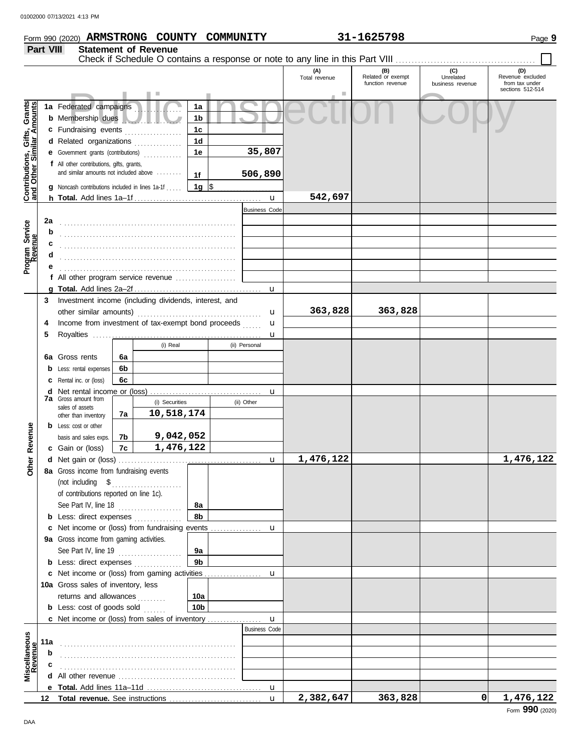### **Form 990 (2020) ARMSTRONG COUNTY COMMUNITY** 31-1625798 Page 9 **Part VIII Statement of Revenue** Check if Schedule O contains a response or note to any line in this Part VIII **(A) (B) (C) (D)** Total revenue Related or exempt Unrelated Revenue excluded function revenue business revenue from tax under sections 512-514 Public Inspection Copy Contributions, Gifts, Grants<br>and Other Similar Amounts **Contributions, Gifts, Grants and Other Similar Amounts 1a** Federated campaigns **. . . . . . . . . . . . 1a 1b b** Membership dues . . . . . . . . . . . . . . . . . . . **1c c** Fundraising events **. . . . . . . . . . . . . .** . . **1d d** Related organizations . . . . . . . . . . . . . **35,807 1e e** Government grants (contributions) . . . . . . . . . . . . **f** All other contributions, gifts, grants, and similar amounts not included above ........ **506,890 1f 1g g** Noncash contributions included in lines 1a-1f . . . . .  $\frac{\$}{\$}$ **542,697** u **h Total.** Add lines 1a–1f . . . . . . . . . . . . . . . . . . . . . . . . . . . . . . . . . . . . . . . . Business Code Program Service<br>Revenue **2a Program Service** . . . . . . . . . . . . . . . . . . . . . . . . . . . . . . . . . . . . . . . . . . . . . . . . . . . . . . . **b c** . . . . . . . . . . . . . . . . . . . . . . . . . . . . . . . . . . . . . . . . . . . . . . . . . . . . . . . **d** . . . . . . . . . . . . . . . . . . . . . . . . . . . . . . . . . . . . . . . . . . . . . . . . . . . . . . . **e** . . . . . . . . . . . . . . . . . . . . . . . . . . . . . . . . . . . . . . . . . . . . . . . . . . . . . . . **f** All other program service revenue . . . . . . . . . . . . . . . . . . . **g Total.** Add lines 2a–2f . . . . . . . . . . . . . . . . . . . . . . . . . . . . . . . . . . . . . . . . u **3** Investment income (including dividends, interest, and **363,828 363,828** other similar amounts) . . . . . . . . . . . . . . . . . . . . . . . . . . . . . . . . . . . . . . . u u **4** Income from investment of tax-exempt bond proceeds ...... **5** Royalties . . . . . . . . . . . . . . . . . . . . . . . . . . . . . . . . . . . . . . . . . . . . . . . . . . . . . u (i) Real (ii) Personal **6a 6a** Gross rents **6b b** Less: rental expenses **6c c** Rental inc. or (loss) **d** Net rental income or (loss) . . . . . . . . . . . . . . . . . . . . . . . . . . . . . . . . . . . u **7a** Gross amount from (i) Securities (ii) Other sales of assets **10,518,174 7a** other than inventory **Other Revenue b** Less: cost or other **Other Revenue 7b 9,042,052** basis and sales exps. **1,476,122 7c c** Gain or (loss) **1,476,122 1,476,122 d** u Net gain or (loss) . . . . . . . . . . . . . . . . . . . . . . . . . . . . . . . . . . . . . . . . . . . . . **8a** Gross income from fundraising events (not including \$ . . . . . . . . . . . . . . . . . . . . . . of contributions reported on line 1c). See Part IV, line 18 . . . . . . . . . . . . . . . . . . . . **8a 8b b** Less: direct expenses . . . . . . . . . . . . . u **c** Net income or (loss) from fundraising events ............... **9a** Gross income from gaming activities. See Part IV, line 19 . . . . . . . . . . . . . . . . . . . . **9a 9b b** Less: direct expenses ............... u Net income or (loss) from gaming activities . . . . . . . . . . . . . . . . . . **c** 10a Gross sales of inventory, less returns and allowances ......... **10a 10b b** Less: cost of goods sold  $\ldots$ Net income or (loss) from sales of inventory . . . . . . . . . . . . . . . . . **c** u Business Code **Revenue Miscellaneous 11a** . . . . . . . . . . . . . . . . . . . . . . . . . . . . . . . . . . . . . . . . . . . . . . . . . . . . . . . **b c d** All other revenue . . . . . . . . . . . . . . . . . . . . . . . . . . . . . . . . . . . . . **e Total.** Add lines 11a–11d . . . . . . . . . . . . . . . . . . . . . . . . . . . . . . . . . . . . u **2,382,647 363,828 0 1,476,122 Total revenue.** See instructions **12** u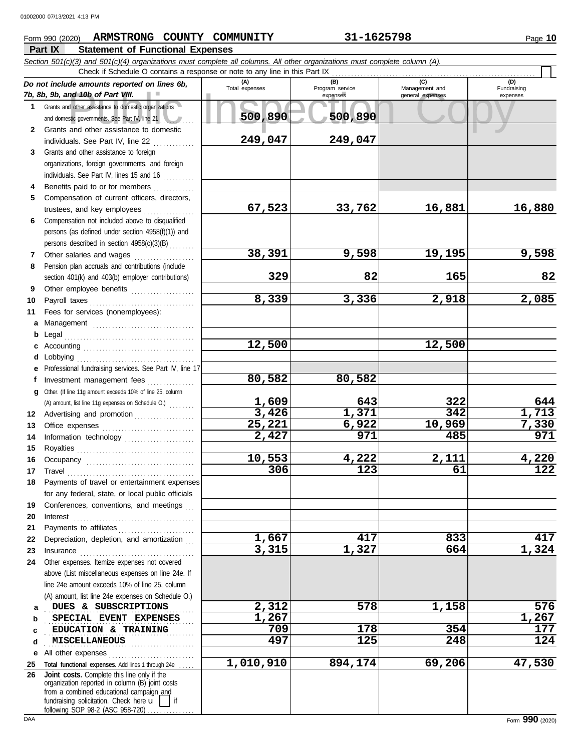# **Form 990 (2020) ARMSTRONG COUNTY COMMUNITY 31-1625798** Page 10

## **Part IX Statement of Functional Expenses**

|              | Section 501(c)(3) and 501(c)(4) organizations must complete all columns. All other organizations must complete column (A).<br>Check if Schedule O contains a response or note to any line in this Part IX                            |                       |                                    |                                           |                                |
|--------------|--------------------------------------------------------------------------------------------------------------------------------------------------------------------------------------------------------------------------------------|-----------------------|------------------------------------|-------------------------------------------|--------------------------------|
|              | Do not include amounts reported on lines 6b,<br>7b, 8b, 9b, and 10b of Part VIII.                                                                                                                                                    | (A)<br>Total expenses | (B)<br>Program service<br>expenses | (C)<br>Management and<br>general expenses | (D)<br>Fundraising<br>expenses |
| 1            | Grants and other assistance to domestic organizations<br>and domestic governments. See Part IV, line 21                                                                                                                              | 500,890               | 500,890                            |                                           |                                |
| $\mathbf{2}$ | Grants and other assistance to domestic                                                                                                                                                                                              | 249,047               |                                    |                                           |                                |
| 3            | individuals. See Part IV, line 22<br>Grants and other assistance to foreign                                                                                                                                                          |                       | 249,047                            |                                           |                                |
|              | organizations, foreign governments, and foreign<br>individuals. See Part IV, lines 15 and 16                                                                                                                                         |                       |                                    |                                           |                                |
| 4            | Benefits paid to or for members                                                                                                                                                                                                      |                       |                                    |                                           |                                |
| 5            | Compensation of current officers, directors,<br>trustees, and key employees                                                                                                                                                          | 67,523                | 33,762                             | 16,881                                    | 16,880                         |
| 6            | Compensation not included above to disqualified                                                                                                                                                                                      |                       |                                    |                                           |                                |
|              | persons (as defined under section 4958(f)(1)) and<br>persons described in section 4958(c)(3)(B)                                                                                                                                      |                       |                                    |                                           |                                |
| 7            |                                                                                                                                                                                                                                      | 38,391                | 9,598                              | 19,195                                    | 9,598                          |
| 8            | Pension plan accruals and contributions (include                                                                                                                                                                                     |                       |                                    |                                           |                                |
|              | section 401(k) and 403(b) employer contributions)                                                                                                                                                                                    | 329                   | 82                                 | 165                                       | 82                             |
| 9            | Other employee benefits                                                                                                                                                                                                              |                       |                                    |                                           |                                |
| 10           |                                                                                                                                                                                                                                      | 8,339                 | 3,336                              | 2,918                                     | 2,085                          |
| 11           | Fees for services (nonemployees):                                                                                                                                                                                                    |                       |                                    |                                           |                                |
| a            |                                                                                                                                                                                                                                      |                       |                                    |                                           |                                |
| b            |                                                                                                                                                                                                                                      |                       |                                    |                                           |                                |
| c            |                                                                                                                                                                                                                                      | 12,500                |                                    | 12,500                                    |                                |
| d            |                                                                                                                                                                                                                                      |                       |                                    |                                           |                                |
| е            | Professional fundraising services. See Part IV, line 17                                                                                                                                                                              | 80,582                | 80,582                             |                                           |                                |
| f            | Investment management fees                                                                                                                                                                                                           |                       |                                    |                                           |                                |
| a            | Other. (If line 11g amount exceeds 10% of line 25, column                                                                                                                                                                            | 1,609                 | 643                                | 322                                       | 644                            |
| 12           | Advertising and promotion                                                                                                                                                                                                            | 3,426                 | 1,371                              | 342                                       | 1,713                          |
| 13           |                                                                                                                                                                                                                                      | 25,221                | 6,922                              | 10,969                                    | 7,330                          |
| 14           | Information technology                                                                                                                                                                                                               | 2,427                 | 971                                | 485                                       | 971                            |
| 15           |                                                                                                                                                                                                                                      |                       |                                    |                                           |                                |
| 16           | Occupancy                                                                                                                                                                                                                            | 10,553                | 4,222                              | 2,111                                     | 4,220                          |
| 17           | $\begin{minipage}{0.5\textwidth} \centering \begin{tabular}{@{}c@{}} \textbf{True} & \textbf{True} \\ \textbf{True} & \textbf{True} \\ \textbf{True} & \textbf{True} \\ \end{tabular} \end{minipage}$                                | 306                   | 123                                | 61                                        | 122                            |
| 18           | Payments of travel or entertainment expenses                                                                                                                                                                                         |                       |                                    |                                           |                                |
|              | for any federal, state, or local public officials                                                                                                                                                                                    |                       |                                    |                                           |                                |
| 19           | Conferences, conventions, and meetings                                                                                                                                                                                               |                       |                                    |                                           |                                |
| 20<br>21     | Interest                                                                                                                                                                                                                             |                       |                                    |                                           |                                |
| 22           | Depreciation, depletion, and amortization                                                                                                                                                                                            | 1,667                 | 417                                | 833                                       | 417                            |
| 23           | Insurance <i>manufacture in the continuum of the continuum of the continuum of the continuum of the continuum of the continuum of the continuum of the continuum of the continuum of the continuum of the continuum of the conti</i> | 3,315                 | 1,327                              | 664                                       | 1,324                          |
| 24           | Other expenses. Itemize expenses not covered                                                                                                                                                                                         |                       |                                    |                                           |                                |
|              | above (List miscellaneous expenses on line 24e. If                                                                                                                                                                                   |                       |                                    |                                           |                                |
|              | line 24e amount exceeds 10% of line 25, column                                                                                                                                                                                       |                       |                                    |                                           |                                |
|              | (A) amount, list line 24e expenses on Schedule O.)                                                                                                                                                                                   |                       |                                    |                                           |                                |
| a            | DUES & SUBSCRIPTIONS                                                                                                                                                                                                                 | 2,312                 | 578                                | 1,158                                     | 576                            |
| b            | SPECIAL EVENT EXPENSES                                                                                                                                                                                                               | 1,267                 |                                    |                                           | 1,267                          |
| c            | EDUCATION & TRAINING                                                                                                                                                                                                                 | 709                   | 178                                | 354                                       | 177                            |
| d            | MISCELLANEOUS                                                                                                                                                                                                                        | 497                   | 125                                | 248                                       | 124                            |
| е            | All other expenses                                                                                                                                                                                                                   |                       |                                    |                                           |                                |
| 25           | Total functional expenses. Add lines 1 through 24e.                                                                                                                                                                                  | 1,010,910             | 894,174                            | 69,206                                    | 47,530                         |
| 26           | Joint costs. Complete this line only if the<br>organization reported in column (B) joint costs<br>from a combined educational campaign and<br>fundraising solicitation. Check here u                                                 |                       |                                    |                                           |                                |

following SOP 98-2 (ASC 958-720) . . . . . . . . . . . . .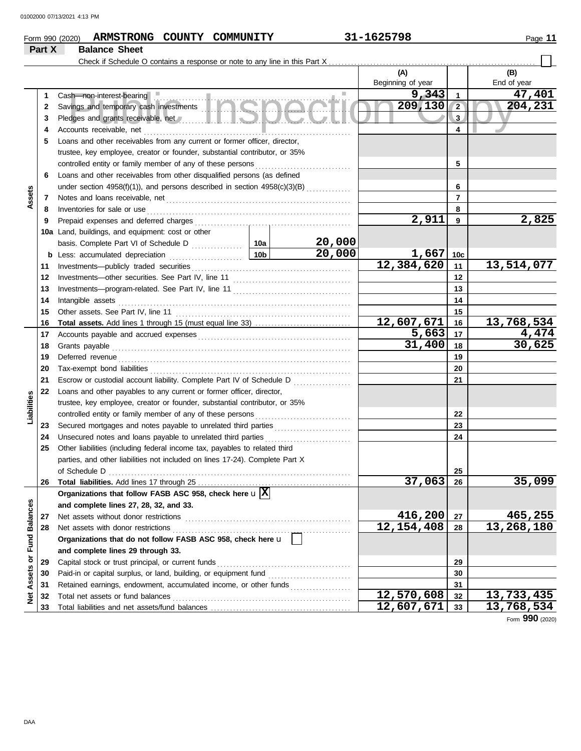### **Form 990 (2020) ARMSTRONG COUNTY COMMUNITY 31-1625798** Page 11 **Part X Balance Sheet**

| חוזו |  |  |
|------|--|--|
|------|--|--|

#### Check if Schedule O contains a response or note to any line in this Part X **(A) (B)** Beginning of year | End of year sh—non-interest-bearing<br>vings and temporary cash investments<br>cloges and grants receivable, net and grants receivable, net and a series and grants receivable, net **9,343 47,401**<br>**9,130 2 204,231** Cash—non-interest-bearing **Executive Cash—non-interest-bearing 1 1 209,130 204,231 2 2** Savings and temporary cash investments . . . . . . . . . . . . . . . . . . . . . . . . . . . . . . . . . . . . . . . . . . . . . . . **3 3** Pledges and grants receivable, net **All and School and School and School and School and School and School and School and School and School and School and School and School and School and School and School and School and Sc 4 4** Accounts receivable, net . . . . . . . . . . . . . . . . . . . . . . . . . . . . . . . . . . . . . . . . . . . . . . . . . . . . . . . . . . . . . . . . . **5** Loans and other receivables from any current or former officer, director, trustee, key employee, creator or founder, substantial contributor, or 35% controlled entity or family member of any of these persons **5 6** Loans and other receivables from other disqualified persons (as defined **6** under section  $4958(f)(1)$ , and persons described in section  $4958(c)(3)(B)$  ............. **Assets 7 7** Notes and loans receivable, net . . . . . . . . . . . . . . . . . . . . . . . . . . . . . . . . . . . . . . . . . . . . . . . . . . . . . . . . . . **8 8** Inventories for sale or use . . . . . . . . . . . . . . . . . . . . . . . . . . . . . . . . . . . . . . . . . . . . . . . . . . . . . . . . . . . . . . . . Prepaid expenses and deferred charges . . . . . . . . . . . . . . . . . . . . . . . . . . . . . . . . . . . . . . . . . . . . . . . . . **2,911 2,825 9 9 10a** Land, buildings, and equipment: cost or other **10a 20,000** basis. Complete Part VI of Schedule D **20,000 1,667 10c b** Less: accumulated depreciation . . . . . . . . . . . . . . . . . . . . . . . **10b 12,384,620 13,514,077** Investments—publicly traded securities . . . . . . . . . . . . . . . . . . . . . . . . . . . . . . . . . . . . . . . . . . . . . . . . . . **11 11** Investments—other securities. See Part IV, line 11 . . . . . . . . . . . . . . . . . . . . . . . . . . . . . . . . . . . . . **12 12 13 13** Investments—program-related. See Part IV, line 11 . . . . . . . . . . . . . . . . . . . . . . . . . . . . . . . . . . . . . Intangible assets . . . . . . . . . . . . . . . . . . . . . . . . . . . . . . . . . . . . . . . . . . . . . . . . . . . . . . . . . . . . . . . . . . . . . . . . . **14 14 15 15** Other assets. See Part IV, line 11 . . . . . . . . . . . . . . . . . . . . . . . . . . . . . . . . . . . . . . . . . . . . . . . . . . . . . . . **12,607,671 13,768,534 Total assets.** Add lines 1 through 15 (must equal line 33) . . . . . . . . . . . . . . . . . . . . . . . . . . . . . . **16 16 5,663 4,474 17** Accounts payable and accrued expenses . . . . . . . . . . . . . . . . . . . . . . . . . . . . . . . . . . . . . . . . . . . . . . . . **17 30,625 18 18** Grants payable . . . . . . . . . . . . . . . . . . . . . . . . . . . . . . . . . . . . . . . . . . . . . . . . . . . . . . . . . . . . . . . . . . . . . . . . . . . Deferred revenue . . . . . . . . . . . . . . . . . . . . . . . . . . . . . . . . . . . . . . . . . . . . . . . . . . . . . . . . . . . . . . . . . . . . . . . . . **19 19** Tax-exempt bond liabilities . . . . . . . . . . . . . . . . . . . . . . . . . . . . . . . . . . . . . . . . . . . . . . . . . . . . . . . . . . . . . . . **20 20 21** Escrow or custodial account liability. Complete Part IV of Schedule D . . . . . . . . . . . . . . . . . . **21 22** Loans and other payables to any current or former officer, director, **Liabilities** trustee, key employee, creator or founder, substantial contributor, or 35% **22** controlled entity or family member of any of these persons Secured mortgages and notes payable to unrelated third parties . . . . . . . . . . . . . . . . . . . . . . . . **23 23** Unsecured notes and loans payable to unrelated third parties . . . . . . . . . . . . . . . . . . . . . . . . . . . **24 24 25** Other liabilities (including federal income tax, payables to related third parties, and other liabilities not included on lines 17-24). Complete Part X of Schedule D . . . . . . . . . . . . . . . . . . . . . . . . . . . . . . . . . . . . . . . . . . . . . . . . . . . . . . . . . . . . . . . . . . . . . . . . . . . . **25 37,063 35,099 26** Total liabilities. Add lines 17 through 25 **26 Organizations that follow FASB ASC 958, check here** u **X** Net Assets or Fund Balances **Net Assets or Fund Balances and complete lines 27, 28, 32, and 33. 27** Net assets without donor restrictions . . . . . . . . . . . . . . . . . . . . . . . . . . . . . . . . . . . . . . . . . . . . . . . . . . . . **416,200 465,255 27 12,154,408 13,268,180 28 28** Net assets with donor restrictions . . . . . . . . . . . . . . . . . . . . . . . . . . . . . . . . . . . . . . . . . . . . . . . . . . . . . . . . **Organizations that do not follow FASB ASC 958, check here** u **and complete lines 29 through 33.** Capital stock or trust principal, or current funds . . . . . . . . . . . . . . . . . . . . . . . . . . . . . . . . . . . . . . . . . . **29 29** Paid-in or capital surplus, or land, building, or equipment fund ........................... **30 30 31** Retained earnings, endowment, accumulated income, or other funds . . . . . . . . . . . . . . . . . . . **31** Total net assets or fund balances . . . . . . . . . . . . . . . . . . . . . . . . . . . . . . . . . . . . . . . . . . . . . . . . . . . . . . . . **12,570,608 13,733,435 32 32 33** Total liabilities and net assets/fund balances . **12,607,671 13,768,534 33**

Form **990** (2020)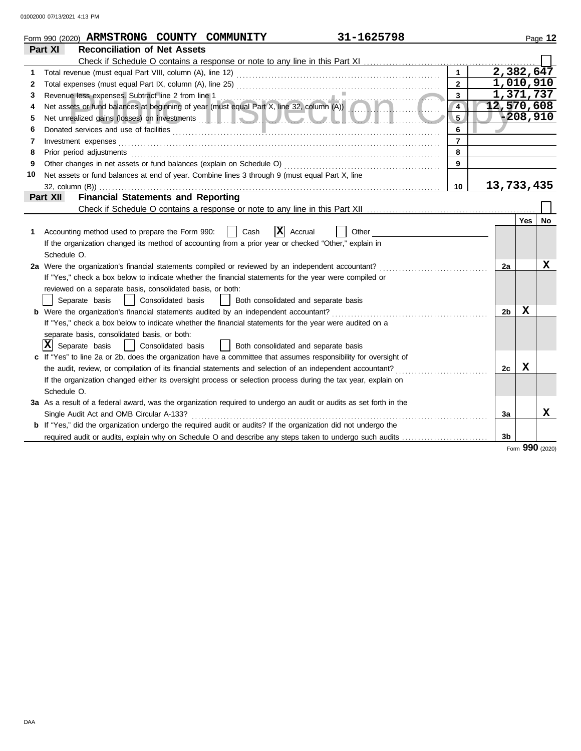|    | 31-1625798<br>Form 990 (2020) ARMSTRONG COUNTY COMMUNITY                                                                                        |                |                |            | Page 12         |
|----|-------------------------------------------------------------------------------------------------------------------------------------------------|----------------|----------------|------------|-----------------|
|    | <b>Reconciliation of Net Assets</b><br>Part XI                                                                                                  |                |                |            |                 |
|    | Check if Schedule O contains a response or note to any line in this Part XI                                                                     |                |                |            |                 |
| 1  | Total revenue (must equal Part VIII, column (A), line 12)                                                                                       |                | 2,382,647      |            |                 |
| 2  |                                                                                                                                                 | $\overline{2}$ | 1,010,910      |            |                 |
| 3  | Revenue less expenses. Subtract line 2 from line 1                                                                                              | 3              | 1,371,737      |            |                 |
| 4  | Revenue less expenses. Subtract line 2 from line 1<br>Net assets or fund balances at beginning of year (must equal Part X, line 32, column (A)) | $\overline{4}$ | 12,570,608     |            |                 |
| 5  |                                                                                                                                                 | 5 <sub>1</sub> |                | $-208,910$ |                 |
| 6  |                                                                                                                                                 | 6              |                |            |                 |
| 7  | Investment expenses                                                                                                                             | $\overline{7}$ |                |            |                 |
| 8  | Prior period adjustments                                                                                                                        | 8              |                |            |                 |
| 9  | Other changes in net assets or fund balances (explain on Schedule O)                                                                            | 9              |                |            |                 |
| 10 | Net assets or fund balances at end of year. Combine lines 3 through 9 (must equal Part X, line                                                  |                |                |            |                 |
|    | $32$ , column $(B)$ )                                                                                                                           | 10             | 13,733,435     |            |                 |
|    | <b>Financial Statements and Reporting</b><br>Part XII                                                                                           |                |                |            |                 |
|    | Check if Schedule O contains a response or note to any line in this Part XII                                                                    |                |                |            |                 |
|    |                                                                                                                                                 |                |                | Yes        | No              |
| 1. | $ \mathbf{X} $ Accrual<br>Accounting method used to prepare the Form 990:<br>Cash<br>Other                                                      |                |                |            |                 |
|    | If the organization changed its method of accounting from a prior year or checked "Other," explain in                                           |                |                |            |                 |
|    | Schedule O.                                                                                                                                     |                |                |            |                 |
|    | 2a Were the organization's financial statements compiled or reviewed by an independent accountant?                                              |                | 2a             |            | X               |
|    | If "Yes," check a box below to indicate whether the financial statements for the year were compiled or                                          |                |                |            |                 |
|    | reviewed on a separate basis, consolidated basis, or both:                                                                                      |                |                |            |                 |
|    | Separate basis<br>Consolidated basis<br>Both consolidated and separate basis                                                                    |                |                |            |                 |
|    | <b>b</b> Were the organization's financial statements audited by an independent accountant?                                                     |                | 2 <sub>b</sub> | X          |                 |
|    | If "Yes," check a box below to indicate whether the financial statements for the year were audited on a                                         |                |                |            |                 |
|    | separate basis, consolidated basis, or both:                                                                                                    |                |                |            |                 |
|    | X <br>Separate basis<br>Consolidated basis<br>Both consolidated and separate basis                                                              |                |                |            |                 |
|    | c If "Yes" to line 2a or 2b, does the organization have a committee that assumes responsibility for oversight of                                |                |                |            |                 |
|    | the audit, review, or compilation of its financial statements and selection of an independent accountant?                                       |                | 2c             | X          |                 |
|    | If the organization changed either its oversight process or selection process during the tax year, explain on                                   |                |                |            |                 |
|    | Schedule O.                                                                                                                                     |                |                |            |                 |
|    | 3a As a result of a federal award, was the organization required to undergo an audit or audits as set forth in the                              |                |                |            |                 |
|    | Single Audit Act and OMB Circular A-133?                                                                                                        |                | 3a             |            | x               |
|    | <b>b</b> If "Yes," did the organization undergo the required audit or audits? If the organization did not undergo the                           |                |                |            |                 |
|    | required audit or audits, explain why on Schedule O and describe any steps taken to undergo such audits                                         |                | 3b             |            |                 |
|    |                                                                                                                                                 |                |                |            | Form 990 (2020) |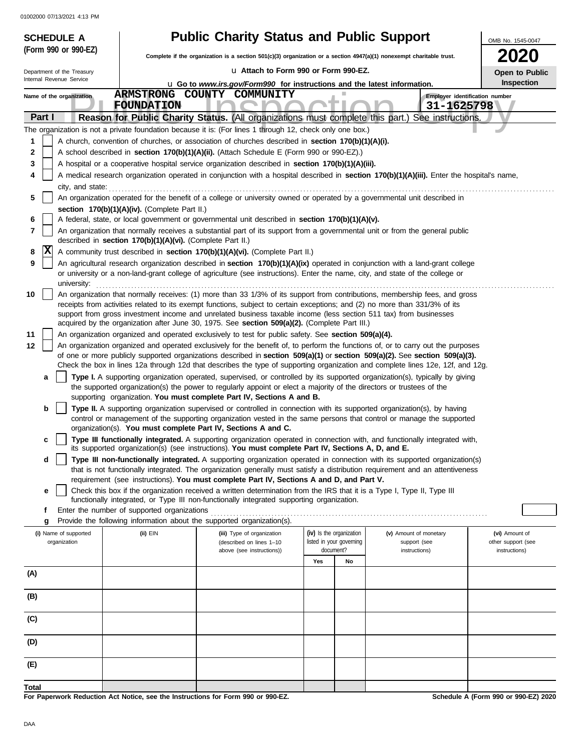| <b>SCHEDULE A</b>                     |                                                                                                   | <b>Public Charity Status and Public Support</b>                                                                                                                                                                                                                |                                                      |                                        | OMB No. 1545-0047                    |  |  |
|---------------------------------------|---------------------------------------------------------------------------------------------------|----------------------------------------------------------------------------------------------------------------------------------------------------------------------------------------------------------------------------------------------------------------|------------------------------------------------------|----------------------------------------|--------------------------------------|--|--|
| (Form 990 or 990-EZ)                  |                                                                                                   | Complete if the organization is a section 501(c)(3) organization or a section 4947(a)(1) nonexempt charitable trust.                                                                                                                                           |                                                      |                                        | <b>2020</b>                          |  |  |
| Department of the Treasury            |                                                                                                   | La Attach to Form 990 or Form 990-EZ.                                                                                                                                                                                                                          |                                                      |                                        | Open to Public                       |  |  |
| Internal Revenue Service              | Inspection<br><b>u</b> Go to www.irs.gov/Form990 for instructions and the latest information.     |                                                                                                                                                                                                                                                                |                                                      |                                        |                                      |  |  |
| Name of the organization              |                                                                                                   | ARMSTRONG COUNTY COMMUNITY                                                                                                                                                                                                                                     |                                                      |                                        | Employer identification number       |  |  |
| Part I                                | <b>FOUNDATION</b>                                                                                 | Reason for Public Charity Status. (All organizations must complete this part.) See instructions.                                                                                                                                                               |                                                      | 31-1625798                             |                                      |  |  |
|                                       |                                                                                                   | The organization is not a private foundation because it is: (For lines 1 through 12, check only one box.)                                                                                                                                                      |                                                      |                                        |                                      |  |  |
| 1                                     |                                                                                                   | A church, convention of churches, or association of churches described in <b>section 170(b)(1)(A)(i).</b>                                                                                                                                                      |                                                      |                                        |                                      |  |  |
| 2                                     |                                                                                                   | A school described in section 170(b)(1)(A)(ii). (Attach Schedule E (Form 990 or 990-EZ).)                                                                                                                                                                      |                                                      |                                        |                                      |  |  |
| 3                                     | A hospital or a cooperative hospital service organization described in section 170(b)(1)(A)(iii). |                                                                                                                                                                                                                                                                |                                                      |                                        |                                      |  |  |
| 4                                     |                                                                                                   | A medical research organization operated in conjunction with a hospital described in section 170(b)(1)(A)(iii). Enter the hospital's name,                                                                                                                     |                                                      |                                        |                                      |  |  |
| city, and state:                      |                                                                                                   |                                                                                                                                                                                                                                                                |                                                      |                                        |                                      |  |  |
| 5                                     | section 170(b)(1)(A)(iv). (Complete Part II.)                                                     | An organization operated for the benefit of a college or university owned or operated by a governmental unit described in                                                                                                                                      |                                                      |                                        |                                      |  |  |
| 6                                     |                                                                                                   | A federal, state, or local government or governmental unit described in section 170(b)(1)(A)(v).                                                                                                                                                               |                                                      |                                        |                                      |  |  |
| 7                                     | described in section 170(b)(1)(A)(vi). (Complete Part II.)                                        | An organization that normally receives a substantial part of its support from a governmental unit or from the general public                                                                                                                                   |                                                      |                                        |                                      |  |  |
| X<br>8                                |                                                                                                   | A community trust described in section 170(b)(1)(A)(vi). (Complete Part II.)                                                                                                                                                                                   |                                                      |                                        |                                      |  |  |
| 9                                     |                                                                                                   | An agricultural research organization described in section 170(b)(1)(A)(ix) operated in conjunction with a land-grant college                                                                                                                                  |                                                      |                                        |                                      |  |  |
| university:                           |                                                                                                   | or university or a non-land-grant college of agriculture (see instructions). Enter the name, city, and state of the college or                                                                                                                                 |                                                      |                                        |                                      |  |  |
| 10                                    |                                                                                                   | An organization that normally receives: (1) more than 33 1/3% of its support from contributions, membership fees, and gross                                                                                                                                    |                                                      |                                        |                                      |  |  |
|                                       |                                                                                                   | receipts from activities related to its exempt functions, subject to certain exceptions; and (2) no more than 331/3% of its                                                                                                                                    |                                                      |                                        |                                      |  |  |
|                                       |                                                                                                   | support from gross investment income and unrelated business taxable income (less section 511 tax) from businesses<br>acquired by the organization after June 30, 1975. See section 509(a)(2). (Complete Part III.)                                             |                                                      |                                        |                                      |  |  |
| 11                                    |                                                                                                   | An organization organized and operated exclusively to test for public safety. See section 509(a)(4).                                                                                                                                                           |                                                      |                                        |                                      |  |  |
| 12                                    |                                                                                                   | An organization organized and operated exclusively for the benefit of, to perform the functions of, or to carry out the purposes                                                                                                                               |                                                      |                                        |                                      |  |  |
|                                       |                                                                                                   | of one or more publicly supported organizations described in section 509(a)(1) or section 509(a)(2). See section 509(a)(3).<br>Check the box in lines 12a through 12d that describes the type of supporting organization and complete lines 12e, 12f, and 12g. |                                                      |                                        |                                      |  |  |
| a                                     |                                                                                                   | Type I. A supporting organization operated, supervised, or controlled by its supported organization(s), typically by giving                                                                                                                                    |                                                      |                                        |                                      |  |  |
|                                       |                                                                                                   | the supported organization(s) the power to regularly appoint or elect a majority of the directors or trustees of the<br>supporting organization. You must complete Part IV, Sections A and B.                                                                  |                                                      |                                        |                                      |  |  |
| b                                     |                                                                                                   | Type II. A supporting organization supervised or controlled in connection with its supported organization(s), by having                                                                                                                                        |                                                      |                                        |                                      |  |  |
|                                       |                                                                                                   | control or management of the supporting organization vested in the same persons that control or manage the supported<br>organization(s). You must complete Part IV, Sections A and C.                                                                          |                                                      |                                        |                                      |  |  |
| c                                     |                                                                                                   | Type III functionally integrated. A supporting organization operated in connection with, and functionally integrated with,                                                                                                                                     |                                                      |                                        |                                      |  |  |
|                                       |                                                                                                   | its supported organization(s) (see instructions). You must complete Part IV, Sections A, D, and E.                                                                                                                                                             |                                                      |                                        |                                      |  |  |
| d                                     |                                                                                                   | Type III non-functionally integrated. A supporting organization operated in connection with its supported organization(s)<br>that is not functionally integrated. The organization generally must satisfy a distribution requirement and an attentiveness      |                                                      |                                        |                                      |  |  |
|                                       |                                                                                                   | requirement (see instructions). You must complete Part IV, Sections A and D, and Part V.                                                                                                                                                                       |                                                      |                                        |                                      |  |  |
| е                                     |                                                                                                   | Check this box if the organization received a written determination from the IRS that it is a Type I, Type II, Type III<br>functionally integrated, or Type III non-functionally integrated supporting organization.                                           |                                                      |                                        |                                      |  |  |
| f                                     | Enter the number of supported organizations                                                       |                                                                                                                                                                                                                                                                |                                                      |                                        |                                      |  |  |
| g                                     |                                                                                                   | Provide the following information about the supported organization(s).                                                                                                                                                                                         |                                                      |                                        |                                      |  |  |
| (i) Name of supported<br>organization | (ii) EIN                                                                                          | (iii) Type of organization<br>(described on lines 1-10                                                                                                                                                                                                         | (iv) Is the organization<br>listed in your governing | (v) Amount of monetary<br>support (see | (vi) Amount of<br>other support (see |  |  |
|                                       |                                                                                                   | above (see instructions))                                                                                                                                                                                                                                      | document?<br>Yes<br>No                               | instructions)                          | instructions)                        |  |  |
| (A)                                   |                                                                                                   |                                                                                                                                                                                                                                                                |                                                      |                                        |                                      |  |  |
|                                       |                                                                                                   |                                                                                                                                                                                                                                                                |                                                      |                                        |                                      |  |  |
| (B)                                   |                                                                                                   |                                                                                                                                                                                                                                                                |                                                      |                                        |                                      |  |  |
| (C)                                   |                                                                                                   |                                                                                                                                                                                                                                                                |                                                      |                                        |                                      |  |  |
| (D)                                   |                                                                                                   |                                                                                                                                                                                                                                                                |                                                      |                                        |                                      |  |  |
| (E)                                   |                                                                                                   |                                                                                                                                                                                                                                                                |                                                      |                                        |                                      |  |  |
| Total                                 |                                                                                                   |                                                                                                                                                                                                                                                                |                                                      |                                        |                                      |  |  |
|                                       |                                                                                                   | For Paperwork Reduction Act Notice, see the Instructions for Form 990 or 990-EZ.                                                                                                                                                                               |                                                      |                                        | Schedule A (Form 990 or 990-EZ) 2020 |  |  |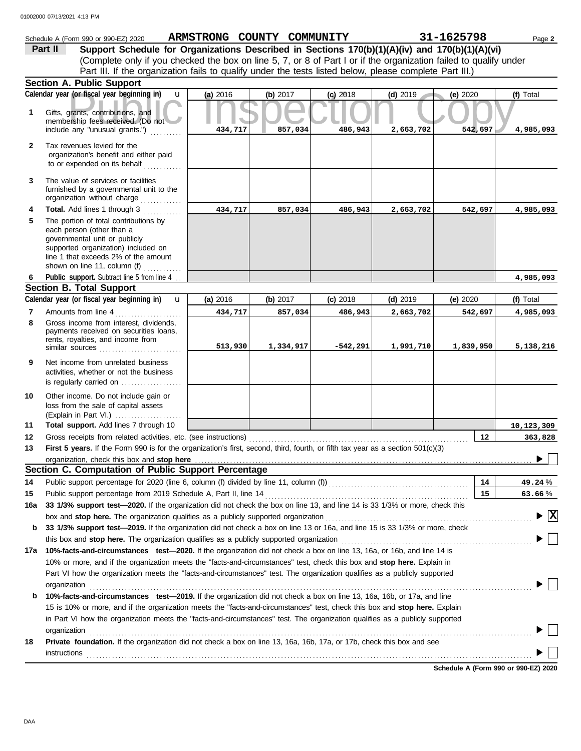|                | Schedule A (Form 990 or 990-EZ) 2020                                                                                                                                                                                                                                 | ARMSTRONG COUNTY COMMUNITY |            |            |            | 31-1625798 | Page 2                  |
|----------------|----------------------------------------------------------------------------------------------------------------------------------------------------------------------------------------------------------------------------------------------------------------------|----------------------------|------------|------------|------------|------------|-------------------------|
|                | Support Schedule for Organizations Described in Sections 170(b)(1)(A)(iv) and 170(b)(1)(A)(vi)<br>Part II                                                                                                                                                            |                            |            |            |            |            |                         |
|                | (Complete only if you checked the box on line 5, 7, or 8 of Part I or if the organization failed to qualify under                                                                                                                                                    |                            |            |            |            |            |                         |
|                | Part III. If the organization fails to qualify under the tests listed below, please complete Part III.)                                                                                                                                                              |                            |            |            |            |            |                         |
|                | <b>Section A. Public Support</b>                                                                                                                                                                                                                                     |                            |            |            |            |            |                         |
|                | Calendar year (or fiscal year beginning in)<br>$\mathbf{u}$                                                                                                                                                                                                          | (a) 2016                   | (b) $2017$ | $(c)$ 2018 | $(d)$ 2019 | (e) 2020   | (f) Total               |
| 1              | Gifts, grants, contributions, and<br>membership fees received. (Do not<br>include any "unusual grants.")                                                                                                                                                             | 434,717                    | 857,034    | 486,943    | 2,663,702  | 542,697    | 4,985,093               |
| $\mathbf{2}$   | Tax revenues levied for the<br>organization's benefit and either paid<br>to or expended on its behalf                                                                                                                                                                |                            |            |            |            |            |                         |
| 3              | The value of services or facilities<br>furnished by a governmental unit to the<br>organization without charge                                                                                                                                                        |                            |            |            |            |            |                         |
| 4              | Total. Add lines 1 through 3                                                                                                                                                                                                                                         | 434,717                    | 857,034    | 486,943    | 2,663,702  | 542,697    | 4,985,093               |
| 5              | The portion of total contributions by<br>each person (other than a<br>governmental unit or publicly<br>supported organization) included on<br>line 1 that exceeds 2% of the amount<br>shown on line 11, column (f)<br>.                                              |                            |            |            |            |            |                         |
| 6              | Public support. Subtract line 5 from line 4                                                                                                                                                                                                                          |                            |            |            |            |            | 4,985,093               |
|                | <b>Section B. Total Support</b>                                                                                                                                                                                                                                      |                            |            |            |            |            |                         |
|                | Calendar year (or fiscal year beginning in)<br>$\mathbf{u}$                                                                                                                                                                                                          | (a) 2016                   | (b) 2017   | $(c)$ 2018 | $(d)$ 2019 | (e) $2020$ | (f) Total               |
| $\overline{7}$ | Amounts from line 4 [11] [11] [11] Amounts from line 4                                                                                                                                                                                                               | 434,717                    | 857,034    | 486,943    | 2,663,702  | 542,697    | 4,985,093               |
| 8              | Gross income from interest, dividends,<br>payments received on securities loans,<br>rents, royalties, and income from                                                                                                                                                | 513,930                    | 1,334,917  | $-542,291$ | 1,991,710  | 1,839,950  | 5,138,216               |
| 9              | Net income from unrelated business<br>activities, whether or not the business<br>is regularly carried on                                                                                                                                                             |                            |            |            |            |            |                         |
| 10             | Other income. Do not include gain or<br>loss from the sale of capital assets<br>(Explain in Part VI.)                                                                                                                                                                |                            |            |            |            |            |                         |
| 11             | Total support. Add lines 7 through 10                                                                                                                                                                                                                                |                            |            |            |            |            | 10,123,309              |
| 12             | Gross receipts from related activities, etc. (see instructions)                                                                                                                                                                                                      |                            |            |            |            | 12         | 363,828                 |
| 13             | First 5 years. If the Form 990 is for the organization's first, second, third, fourth, or fifth tax year as a section 501(c)(3)                                                                                                                                      |                            |            |            |            |            |                         |
|                | organization, check this box and stop here<br>Section C. Computation of Public Support Percentage                                                                                                                                                                    |                            |            |            |            |            |                         |
| 14             | Public support percentage for 2020 (line 6, column (f) divided by line 11, column (f)) [[[[[[[[[[[[[[[[[[[[[[                                                                                                                                                        |                            |            |            |            | 14         |                         |
| 15             | Public support percentage from 2019 Schedule A, Part II, line 14                                                                                                                                                                                                     |                            |            |            |            | 15         | 49.24 %<br>63.66%       |
| 16a            | 33 1/3% support test-2020. If the organization did not check the box on line 13, and line 14 is 33 1/3% or more, check this                                                                                                                                          |                            |            |            |            |            |                         |
|                | box and stop here. The organization qualifies as a publicly supported organization                                                                                                                                                                                   |                            |            |            |            |            | $\overline{\mathbf{x}}$ |
| b              | 33 1/3% support test-2019. If the organization did not check a box on line 13 or 16a, and line 15 is 33 1/3% or more, check                                                                                                                                          |                            |            |            |            |            |                         |
|                | this box and stop here. The organization qualifies as a publicly supported organization                                                                                                                                                                              |                            |            |            |            |            |                         |
| 17a            | 10%-facts-and-circumstances test-2020. If the organization did not check a box on line 13, 16a, or 16b, and line 14 is                                                                                                                                               |                            |            |            |            |            |                         |
|                | 10% or more, and if the organization meets the "facts-and-circumstances" test, check this box and stop here. Explain in<br>Part VI how the organization meets the "facts-and-circumstances" test. The organization qualifies as a publicly supported<br>organization |                            |            |            |            |            |                         |
| b              | 10%-facts-and-circumstances test-2019. If the organization did not check a box on line 13, 16a, 16b, or 17a, and line                                                                                                                                                |                            |            |            |            |            |                         |
|                | 15 is 10% or more, and if the organization meets the "facts-and-circumstances" test, check this box and stop here. Explain                                                                                                                                           |                            |            |            |            |            |                         |
|                | in Part VI how the organization meets the "facts-and-circumstances" test. The organization qualifies as a publicly supported                                                                                                                                         |                            |            |            |            |            |                         |
|                | organization                                                                                                                                                                                                                                                         |                            |            |            |            |            |                         |
| 18             | Private foundation. If the organization did not check a box on line 13, 16a, 16b, 17a, or 17b, check this box and see                                                                                                                                                |                            |            |            |            |            |                         |
|                | instructions                                                                                                                                                                                                                                                         |                            |            |            |            |            |                         |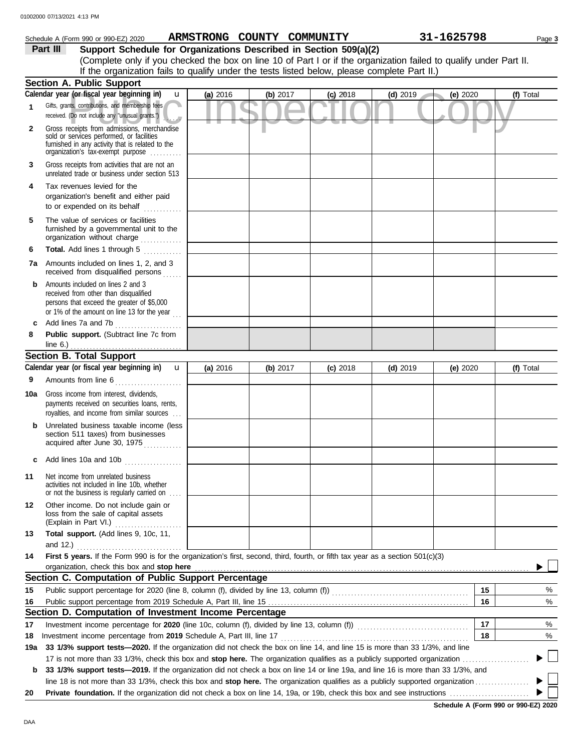|              | Schedule A (Form 990 or 990-EZ) 2020                                                                                                                                                                                                                                                                |            |            | ARMSTRONG COUNTY COMMUNITY |            |            | 31-1625798 | Page 3    |
|--------------|-----------------------------------------------------------------------------------------------------------------------------------------------------------------------------------------------------------------------------------------------------------------------------------------------------|------------|------------|----------------------------|------------|------------|------------|-----------|
|              | Support Schedule for Organizations Described in Section 509(a)(2)<br>Part III<br>(Complete only if you checked the box on line 10 of Part I or if the organization failed to qualify under Part II.<br>If the organization fails to qualify under the tests listed below, please complete Part II.) |            |            |                            |            |            |            |           |
|              | <b>Section A. Public Support</b>                                                                                                                                                                                                                                                                    |            |            |                            |            |            |            |           |
|              | Calendar year (or fiscal year beginning in)<br>$\mathbf{u}$                                                                                                                                                                                                                                         | (a) 2016   | (b) $2017$ |                            | $(c)$ 2018 | $(d)$ 2019 | (e) 2020   | (f) Total |
| 1            | Gifts, grants, contributions, and membership fees<br>received. (Do not include any "unusual grants.")                                                                                                                                                                                               |            |            |                            |            |            |            |           |
| $\mathbf{2}$ | Gross receipts from admissions, merchandise<br>sold or services performed, or facilities<br>furnished in any activity that is related to the<br>organization's tax-exempt purpose                                                                                                                   |            |            |                            |            |            |            |           |
| 3            | Gross receipts from activities that are not an<br>unrelated trade or business under section 513                                                                                                                                                                                                     |            |            |                            |            |            |            |           |
| 4            | Tax revenues levied for the<br>organization's benefit and either paid<br>to or expended on its behalf<br>in and dealers and the second services.                                                                                                                                                    |            |            |                            |            |            |            |           |
| 5            | The value of services or facilities<br>furnished by a governmental unit to the<br>organization without charge                                                                                                                                                                                       |            |            |                            |            |            |            |           |
| 6            | Total. Add lines 1 through 5                                                                                                                                                                                                                                                                        |            |            |                            |            |            |            |           |
|              | 7a Amounts included on lines 1, 2, and 3<br>received from disqualified persons                                                                                                                                                                                                                      |            |            |                            |            |            |            |           |
| b            | Amounts included on lines 2 and 3<br>received from other than disqualified<br>persons that exceed the greater of \$5,000<br>or 1% of the amount on line 13 for the year $\ldots$                                                                                                                    |            |            |                            |            |            |            |           |
|              | Add lines 7a and 7b                                                                                                                                                                                                                                                                                 |            |            |                            |            |            |            |           |
| 8            | Public support. (Subtract line 7c from<br>line $6.$ )                                                                                                                                                                                                                                               |            |            |                            |            |            |            |           |
|              | <b>Section B. Total Support</b>                                                                                                                                                                                                                                                                     |            |            |                            |            |            |            |           |
|              | Calendar year (or fiscal year beginning in)<br>$\mathbf{u}$                                                                                                                                                                                                                                         | (a) $2016$ | (b) $2017$ |                            | $(c)$ 2018 | $(d)$ 2019 | (e) $2020$ | (f) Total |
| 9            | Amounts from line 6                                                                                                                                                                                                                                                                                 |            |            |                            |            |            |            |           |
| 10a          | Gross income from interest, dividends,<br>payments received on securities loans, rents,<br>royalties, and income from similar sources                                                                                                                                                               |            |            |                            |            |            |            |           |
|              | <b>b</b> Unrelated business taxable income (less<br>section 511 taxes) from businesses<br>acquired after June 30, 1975                                                                                                                                                                              |            |            |                            |            |            |            |           |
| c            | Add lines 10a and 10b                                                                                                                                                                                                                                                                               |            |            |                            |            |            |            |           |
| 11           | Net income from unrelated business<br>activities not included in line 10b, whether<br>or not the business is regularly carried on                                                                                                                                                                   |            |            |                            |            |            |            |           |
| 12           | Other income. Do not include gain or<br>loss from the sale of capital assets<br>(Explain in Part VI.)                                                                                                                                                                                               |            |            |                            |            |            |            |           |
| 13           | Total support. (Add lines 9, 10c, 11,<br>and 12.)                                                                                                                                                                                                                                                   |            |            |                            |            |            |            |           |

|     | and 12.)                                                                                                                                                                                                                       |  |  |    |      |
|-----|--------------------------------------------------------------------------------------------------------------------------------------------------------------------------------------------------------------------------------|--|--|----|------|
| 14  | First 5 years. If the Form 990 is for the organization's first, second, third, fourth, or fifth tax year as a section 501(c)(3)                                                                                                |  |  |    |      |
|     | organization, check this box and stop here manufactured and stop here contained and stop here are all the state of the state of the state of the state of the state of the state of the state of the state of the state of the |  |  |    |      |
|     | Section C. Computation of Public Support Percentage                                                                                                                                                                            |  |  |    |      |
| 15  | Public support percentage for 2020 (line 8, column (f), divided by line 13, column (f))                                                                                                                                        |  |  | 15 | %    |
| 16  |                                                                                                                                                                                                                                |  |  | 16 | %    |
|     | Section D. Computation of Investment Income Percentage                                                                                                                                                                         |  |  |    |      |
| 17  | Investment income percentage for 2020 (line 10c, column (f), divided by line 13, column (f))                                                                                                                                   |  |  | 17 | $\%$ |
| 18  | Investment income percentage from 2019 Schedule A, Part III, line 17                                                                                                                                                           |  |  | 18 | %    |
| 19а | 33 1/3% support tests—2020. If the organization did not check the box on line 14, and line 15 is more than 33 1/3%, and line                                                                                                   |  |  |    |      |
|     | 17 is not more than 33 1/3%, check this box and <b>stop here.</b> The organization qualifies as a publicly supported organization                                                                                              |  |  |    |      |
| b   | 33 1/3% support tests—2019. If the organization did not check a box on line 14 or line 19a, and line 16 is more than 33 1/3%, and                                                                                              |  |  |    |      |
|     | line 18 is not more than 33 1/3%, check this box and <b>stop here.</b> The organization qualifies as a publicly supported organization                                                                                         |  |  |    |      |
| 20  | <b>Private foundation.</b> If the organization did not check a box on line 14, 19a, or 19b, check this box and see instructions <i>manimum</i>                                                                                 |  |  |    |      |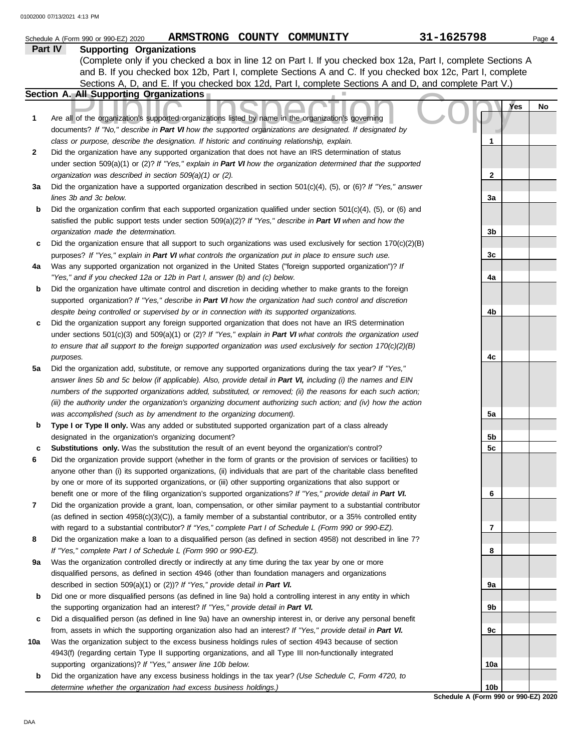|     | ARMSTRONG COUNTY COMMUNITY<br>Schedule A (Form 990 or 990-EZ) 2020                                                                                                                                                 | 31-1625798                           | Page 4 |
|-----|--------------------------------------------------------------------------------------------------------------------------------------------------------------------------------------------------------------------|--------------------------------------|--------|
|     | Part IV<br><b>Supporting Organizations</b>                                                                                                                                                                         |                                      |        |
|     | (Complete only if you checked a box in line 12 on Part I. If you checked box 12a, Part I, complete Sections A                                                                                                      |                                      |        |
|     | and B. If you checked box 12b, Part I, complete Sections A and C. If you checked box 12c, Part I, complete                                                                                                         |                                      |        |
|     | Sections A, D, and E. If you checked box 12d, Part I, complete Sections A and D, and complete Part V.)                                                                                                             |                                      |        |
|     | Section A. All Supporting Organizations                                                                                                                                                                            |                                      |        |
|     |                                                                                                                                                                                                                    | Yes                                  | No     |
| 1   | Are all of the organization's supported organizations listed by name in the organization's governing                                                                                                               |                                      |        |
|     | documents? If "No," describe in Part VI how the supported organizations are designated. If designated by                                                                                                           |                                      |        |
|     | class or purpose, describe the designation. If historic and continuing relationship, explain.                                                                                                                      | 1                                    |        |
| 2   | Did the organization have any supported organization that does not have an IRS determination of status                                                                                                             |                                      |        |
|     | under section 509(a)(1) or (2)? If "Yes," explain in Part VI how the organization determined that the supported                                                                                                    |                                      |        |
|     | organization was described in section 509(a)(1) or (2).                                                                                                                                                            | $\mathbf{2}$                         |        |
| За  | Did the organization have a supported organization described in section $501(c)(4)$ , (5), or (6)? If "Yes," answer                                                                                                |                                      |        |
|     | lines 3b and 3c below.                                                                                                                                                                                             | За                                   |        |
| b   | Did the organization confirm that each supported organization qualified under section 501(c)(4), (5), or (6) and                                                                                                   |                                      |        |
|     | satisfied the public support tests under section 509(a)(2)? If "Yes," describe in Part VI when and how the                                                                                                         |                                      |        |
|     | organization made the determination.                                                                                                                                                                               | 3b                                   |        |
| c   | Did the organization ensure that all support to such organizations was used exclusively for section $170(c)(2)(B)$                                                                                                 |                                      |        |
|     | purposes? If "Yes," explain in Part VI what controls the organization put in place to ensure such use.                                                                                                             | 3c                                   |        |
| 4a  | Was any supported organization not organized in the United States ("foreign supported organization")? If                                                                                                           |                                      |        |
|     | "Yes," and if you checked 12a or 12b in Part I, answer (b) and (c) below.                                                                                                                                          | 4a                                   |        |
| b   | Did the organization have ultimate control and discretion in deciding whether to make grants to the foreign                                                                                                        |                                      |        |
|     | supported organization? If "Yes," describe in Part VI how the organization had such control and discretion                                                                                                         |                                      |        |
| c   | despite being controlled or supervised by or in connection with its supported organizations.<br>Did the organization support any foreign supported organization that does not have an IRS determination            | 4b                                   |        |
|     | under sections $501(c)(3)$ and $509(a)(1)$ or (2)? If "Yes," explain in Part VI what controls the organization used                                                                                                |                                      |        |
|     | to ensure that all support to the foreign supported organization was used exclusively for section $170(c)(2)(B)$                                                                                                   |                                      |        |
|     | purposes.                                                                                                                                                                                                          | 4c                                   |        |
| 5a  | Did the organization add, substitute, or remove any supported organizations during the tax year? If "Yes,"                                                                                                         |                                      |        |
|     | answer lines 5b and 5c below (if applicable). Also, provide detail in Part VI, including (i) the names and EIN                                                                                                     |                                      |        |
|     | numbers of the supported organizations added, substituted, or removed; (ii) the reasons for each such action;                                                                                                      |                                      |        |
|     | (iii) the authority under the organization's organizing document authorizing such action; and (iv) how the action                                                                                                  |                                      |        |
|     | was accomplished (such as by amendment to the organizing document).                                                                                                                                                | 5a                                   |        |
| b   | Type I or Type II only. Was any added or substituted supported organization part of a class already                                                                                                                |                                      |        |
|     | designated in the organization's organizing document?                                                                                                                                                              | 5b                                   |        |
|     | Substitutions only. Was the substitution the result of an event beyond the organization's control?                                                                                                                 | 5c                                   |        |
| 6   | Did the organization provide support (whether in the form of grants or the provision of services or facilities) to                                                                                                 |                                      |        |
|     | anyone other than (i) its supported organizations, (ii) individuals that are part of the charitable class benefited                                                                                                |                                      |        |
|     | by one or more of its supported organizations, or (iii) other supporting organizations that also support or                                                                                                        |                                      |        |
|     | benefit one or more of the filing organization's supported organizations? If "Yes," provide detail in Part VI.                                                                                                     | 6                                    |        |
| 7   | Did the organization provide a grant, loan, compensation, or other similar payment to a substantial contributor                                                                                                    |                                      |        |
|     | (as defined in section $4958(c)(3)(C)$ ), a family member of a substantial contributor, or a 35% controlled entity                                                                                                 |                                      |        |
|     | with regard to a substantial contributor? If "Yes," complete Part I of Schedule L (Form 990 or 990-EZ).                                                                                                            | 7                                    |        |
| 8   | Did the organization make a loan to a disqualified person (as defined in section 4958) not described in line 7?                                                                                                    |                                      |        |
|     | If "Yes," complete Part I of Schedule L (Form 990 or 990-EZ).                                                                                                                                                      | 8                                    |        |
| 9а  | Was the organization controlled directly or indirectly at any time during the tax year by one or more                                                                                                              |                                      |        |
|     | disqualified persons, as defined in section 4946 (other than foundation managers and organizations                                                                                                                 |                                      |        |
|     | described in section 509(a)(1) or (2))? If "Yes," provide detail in Part VI.                                                                                                                                       | 9а                                   |        |
| b   | Did one or more disqualified persons (as defined in line 9a) hold a controlling interest in any entity in which                                                                                                    |                                      |        |
|     | the supporting organization had an interest? If "Yes," provide detail in Part VI.                                                                                                                                  | 9b                                   |        |
| c   | Did a disqualified person (as defined in line 9a) have an ownership interest in, or derive any personal benefit                                                                                                    |                                      |        |
|     | from, assets in which the supporting organization also had an interest? If "Yes," provide detail in Part VI.                                                                                                       | 9с                                   |        |
| 10a | Was the organization subject to the excess business holdings rules of section 4943 because of section<br>4943(f) (regarding certain Type II supporting organizations, and all Type III non-functionally integrated |                                      |        |
|     | supporting organizations)? If "Yes," answer line 10b below.                                                                                                                                                        | 10a                                  |        |
| b   | Did the organization have any excess business holdings in the tax year? (Use Schedule C, Form 4720, to                                                                                                             |                                      |        |
|     | determine whether the organization had excess business holdings.)                                                                                                                                                  | 10b                                  |        |
|     |                                                                                                                                                                                                                    | Schedule A (Form 990 or 990-EZ) 2020 |        |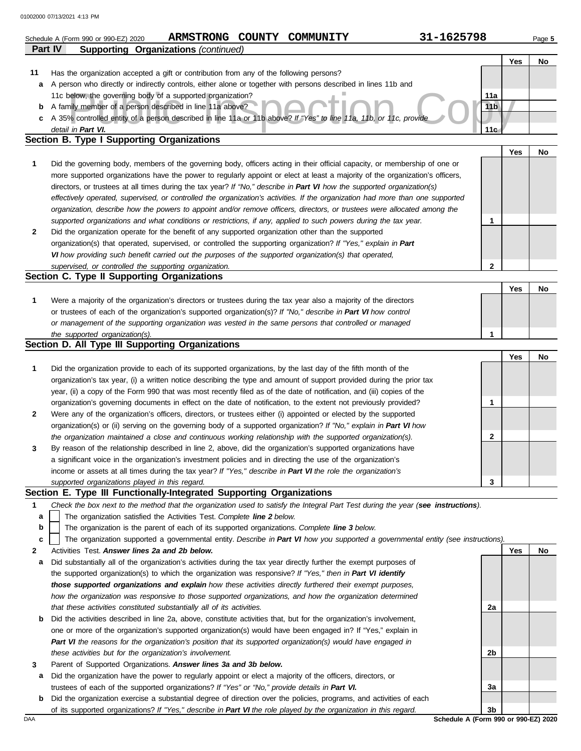|    | 31-1625798<br>ARMSTRONG COUNTY COMMUNITY<br>Schedule A (Form 990 or 990-EZ) 2020                                                                                                                                                                         |                 |     | Page 5 |
|----|----------------------------------------------------------------------------------------------------------------------------------------------------------------------------------------------------------------------------------------------------------|-----------------|-----|--------|
|    | <b>Supporting Organizations (continued)</b><br><b>Part IV</b>                                                                                                                                                                                            |                 |     |        |
|    |                                                                                                                                                                                                                                                          |                 | Yes | No     |
| 11 | Has the organization accepted a gift or contribution from any of the following persons?                                                                                                                                                                  |                 |     |        |
| a  | A person who directly or indirectly controls, either alone or together with persons described in lines 11b and                                                                                                                                           |                 |     |        |
|    | 11c below, the governing body of a supported organization?                                                                                                                                                                                               | 11a             |     |        |
| b  | A family member of a person described in line 11a above?                                                                                                                                                                                                 | 11 <sub>b</sub> |     |        |
| c  | A 35% controlled entity of a person described in line 11a or 11b above? If "Yes" to line 11a, 11b, or 11c, provide                                                                                                                                       |                 |     |        |
|    | detail in Part VI.                                                                                                                                                                                                                                       | 11c             |     |        |
|    | Section B. Type I Supporting Organizations                                                                                                                                                                                                               |                 |     |        |
|    |                                                                                                                                                                                                                                                          |                 | Yes | No     |
| 1  | Did the governing body, members of the governing body, officers acting in their official capacity, or membership of one or                                                                                                                               |                 |     |        |
|    | more supported organizations have the power to regularly appoint or elect at least a majority of the organization's officers,<br>directors, or trustees at all times during the tax year? If "No," describe in Part VI how the supported organization(s) |                 |     |        |
|    | effectively operated, supervised, or controlled the organization's activities. If the organization had more than one supported                                                                                                                           |                 |     |        |
|    | organization, describe how the powers to appoint and/or remove officers, directors, or trustees were allocated among the                                                                                                                                 |                 |     |        |
|    | supported organizations and what conditions or restrictions, if any, applied to such powers during the tax year.                                                                                                                                         | 1               |     |        |
| 2  | Did the organization operate for the benefit of any supported organization other than the supported                                                                                                                                                      |                 |     |        |
|    | organization(s) that operated, supervised, or controlled the supporting organization? If "Yes," explain in Part                                                                                                                                          |                 |     |        |
|    | VI how providing such benefit carried out the purposes of the supported organization(s) that operated,                                                                                                                                                   |                 |     |        |
|    | supervised, or controlled the supporting organization.                                                                                                                                                                                                   | 2               |     |        |
|    | Section C. Type II Supporting Organizations                                                                                                                                                                                                              |                 |     |        |
|    |                                                                                                                                                                                                                                                          |                 | Yes | No     |
| 1  | Were a majority of the organization's directors or trustees during the tax year also a majority of the directors                                                                                                                                         |                 |     |        |
|    | or trustees of each of the organization's supported organization(s)? If "No," describe in Part VI how control                                                                                                                                            |                 |     |        |
|    | or management of the supporting organization was vested in the same persons that controlled or managed                                                                                                                                                   |                 |     |        |
|    | the supported organization(s).                                                                                                                                                                                                                           | 1               |     |        |
|    | Section D. All Type III Supporting Organizations                                                                                                                                                                                                         |                 |     |        |
|    |                                                                                                                                                                                                                                                          |                 | Yes | No     |
| 1  | Did the organization provide to each of its supported organizations, by the last day of the fifth month of the                                                                                                                                           |                 |     |        |
|    | organization's tax year, (i) a written notice describing the type and amount of support provided during the prior tax                                                                                                                                    |                 |     |        |
|    | year, (ii) a copy of the Form 990 that was most recently filed as of the date of notification, and (iii) copies of the                                                                                                                                   |                 |     |        |
|    | organization's governing documents in effect on the date of notification, to the extent not previously provided?                                                                                                                                         | 1               |     |        |
| 2  | Were any of the organization's officers, directors, or trustees either (i) appointed or elected by the supported                                                                                                                                         |                 |     |        |
|    | organization(s) or (ii) serving on the governing body of a supported organization? If "No," explain in Part VI how                                                                                                                                       |                 |     |        |
|    | the organization maintained a close and continuous working relationship with the supported organization(s).                                                                                                                                              | 2               |     |        |
| 3  | By reason of the relationship described in line 2, above, did the organization's supported organizations have                                                                                                                                            |                 |     |        |
|    | a significant voice in the organization's investment policies and in directing the use of the organization's                                                                                                                                             |                 |     |        |
|    | income or assets at all times during the tax year? If "Yes," describe in Part VI the role the organization's                                                                                                                                             |                 |     |        |
|    | supported organizations played in this regard.                                                                                                                                                                                                           | 3               |     |        |
|    | Section E. Type III Functionally-Integrated Supporting Organizations                                                                                                                                                                                     |                 |     |        |
| 1  | Check the box next to the method that the organization used to satisfy the Integral Part Test during the year (see instructions).                                                                                                                        |                 |     |        |
| a  | The organization satisfied the Activities Test. Complete line 2 below.                                                                                                                                                                                   |                 |     |        |
| b  | The organization is the parent of each of its supported organizations. Complete line 3 below.                                                                                                                                                            |                 |     |        |
| c  | The organization supported a governmental entity. Describe in Part VI how you supported a governmental entity (see instructions).                                                                                                                        |                 | Yes | No     |
| 2  | Activities Test. Answer lines 2a and 2b below.<br>Did substantially all of the organization's activities during the tax year directly further the exempt purposes of                                                                                     |                 |     |        |
| а  | the supported organization(s) to which the organization was responsive? If "Yes," then in Part VI identify                                                                                                                                               |                 |     |        |
|    | those supported organizations and explain how these activities directly furthered their exempt purposes,                                                                                                                                                 |                 |     |        |
|    | how the organization was responsive to those supported organizations, and how the organization determined                                                                                                                                                |                 |     |        |
|    | that these activities constituted substantially all of its activities.                                                                                                                                                                                   | 2a              |     |        |
| b  | Did the activities described in line 2a, above, constitute activities that, but for the organization's involvement,                                                                                                                                      |                 |     |        |
|    | one or more of the organization's supported organization(s) would have been engaged in? If "Yes," explain in                                                                                                                                             |                 |     |        |
|    | Part VI the reasons for the organization's position that its supported organization(s) would have engaged in                                                                                                                                             |                 |     |        |
|    | these activities but for the organization's involvement.                                                                                                                                                                                                 | 2b              |     |        |
| 3  | Parent of Supported Organizations. Answer lines 3a and 3b below.                                                                                                                                                                                         |                 |     |        |
| а  | Did the organization have the power to regularly appoint or elect a majority of the officers, directors, or                                                                                                                                              |                 |     |        |
|    | trustees of each of the supported organizations? If "Yes" or "No," provide details in Part VI.                                                                                                                                                           | За              |     |        |
| b  | Did the organization exercise a substantial degree of direction over the policies, programs, and activities of each                                                                                                                                      |                 |     |        |

| Did the organization exercise a substantial degree of direction over the policies, programs, and activities of each |
|---------------------------------------------------------------------------------------------------------------------|
| of its supported organizations? If "Yes," describe in Part VI the role played by the organization in this regard.   |

DAA **Schedule A (Form 990 or 990-EZ) 2020 3b**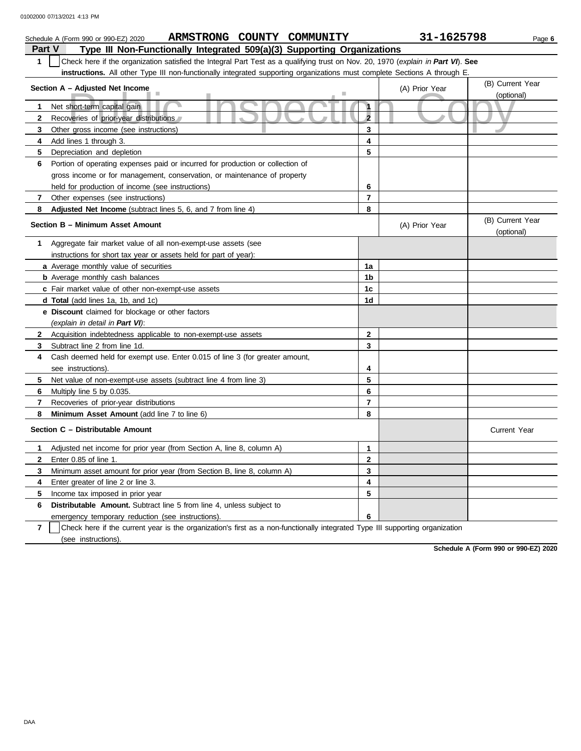|                | ARMSTRONG COUNTY COMMUNITY<br>Schedule A (Form 990 or 990-EZ) 2020                                                               |                         | 31-1625798     | Page 6                         |
|----------------|----------------------------------------------------------------------------------------------------------------------------------|-------------------------|----------------|--------------------------------|
| <b>Part V</b>  | Type III Non-Functionally Integrated 509(a)(3) Supporting Organizations                                                          |                         |                |                                |
| $\mathbf{1}$   | Check here if the organization satisfied the Integral Part Test as a qualifying trust on Nov. 20, 1970 (explain in Part VI). See |                         |                |                                |
|                | instructions. All other Type III non-functionally integrated supporting organizations must complete Sections A through E.        |                         |                |                                |
|                | Section A - Adjusted Net Income                                                                                                  |                         | (A) Prior Year | (B) Current Year<br>(optional) |
| $\mathbf{1}$   | Net short-term capital gain                                                                                                      | $\mathbf{1}$            |                |                                |
| $\mathbf{2}$   | Recoveries of prior-year distributions                                                                                           | $\overline{2}$          |                |                                |
| 3              | Other gross income (see instructions)                                                                                            | 3                       |                |                                |
| 4              | Add lines 1 through 3.                                                                                                           | 4                       |                |                                |
| 5              | Depreciation and depletion                                                                                                       | 5                       |                |                                |
| 6              | Portion of operating expenses paid or incurred for production or collection of                                                   |                         |                |                                |
|                | gross income or for management, conservation, or maintenance of property                                                         |                         |                |                                |
|                | held for production of income (see instructions)                                                                                 | 6                       |                |                                |
| $\overline{7}$ | Other expenses (see instructions)                                                                                                | 7                       |                |                                |
| 8              | Adjusted Net Income (subtract lines 5, 6, and 7 from line 4)                                                                     | 8                       |                |                                |
|                | Section B - Minimum Asset Amount                                                                                                 |                         | (A) Prior Year | (B) Current Year<br>(optional) |
| 1              | Aggregate fair market value of all non-exempt-use assets (see                                                                    |                         |                |                                |
|                | instructions for short tax year or assets held for part of year):                                                                |                         |                |                                |
|                | a Average monthly value of securities                                                                                            | 1a                      |                |                                |
|                | <b>b</b> Average monthly cash balances                                                                                           | 1b                      |                |                                |
|                | c Fair market value of other non-exempt-use assets                                                                               | 1c                      |                |                                |
|                | <b>d Total</b> (add lines 1a, 1b, and 1c)                                                                                        | 1d                      |                |                                |
|                | e Discount claimed for blockage or other factors                                                                                 |                         |                |                                |
|                | (explain in detail in Part VI):                                                                                                  |                         |                |                                |
| $\mathbf{2}$   | Acquisition indebtedness applicable to non-exempt-use assets                                                                     | $\mathbf{2}$            |                |                                |
| 3              | Subtract line 2 from line 1d.                                                                                                    | 3                       |                |                                |
| 4              | Cash deemed held for exempt use. Enter 0.015 of line 3 (for greater amount,                                                      |                         |                |                                |
|                | see instructions)                                                                                                                | 4                       |                |                                |
| 5              | Net value of non-exempt-use assets (subtract line 4 from line 3)                                                                 | 5                       |                |                                |
| 6              | Multiply line 5 by 0.035.                                                                                                        | 6                       |                |                                |
| $\overline{7}$ | Recoveries of prior-year distributions                                                                                           | $\overline{\mathbf{r}}$ |                |                                |
| 8              | Minimum Asset Amount (add line 7 to line 6)                                                                                      | 8                       |                |                                |
|                | Section C - Distributable Amount                                                                                                 |                         |                | <b>Current Year</b>            |
| 1              | Adjusted net income for prior year (from Section A, line 8, column A)                                                            | 1                       |                |                                |
| $\mathbf{2}$   | Enter 0.85 of line 1.                                                                                                            | 2                       |                |                                |
| 3              | Minimum asset amount for prior year (from Section B, line 8, column A)                                                           | 3                       |                |                                |
| 4              | Enter greater of line 2 or line 3.                                                                                               | 4                       |                |                                |
| 5              | Income tax imposed in prior year                                                                                                 | 5                       |                |                                |
| 6              | Distributable Amount. Subtract line 5 from line 4, unless subject to                                                             |                         |                |                                |
|                | emergency temporary reduction (see instructions).                                                                                | 6                       |                |                                |

**7** (see instructions). Check here if the current year is the organization's first as a non-functionally integrated Type III supporting organization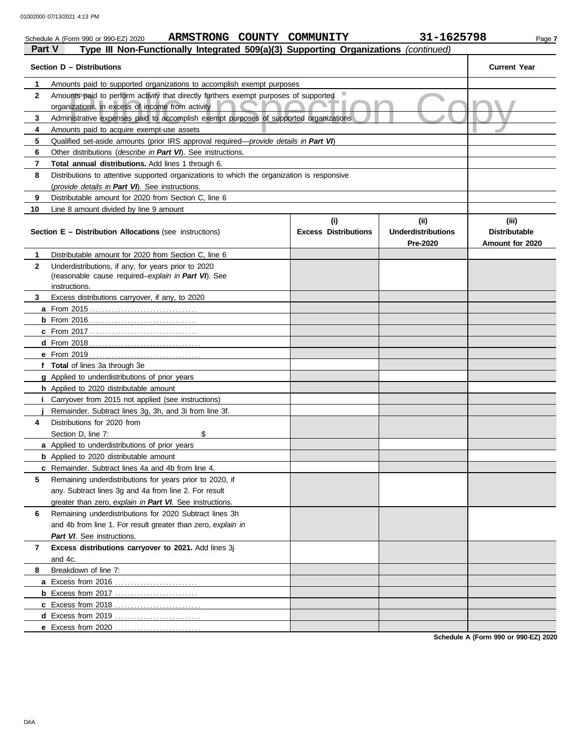|              | ARMSTRONG COUNTY COMMUNITY<br>Schedule A (Form 990 or 990-EZ) 2020                                                                       |                             | 31-1625798                            | Page 7                                  |
|--------------|------------------------------------------------------------------------------------------------------------------------------------------|-----------------------------|---------------------------------------|-----------------------------------------|
| Part V       | Type III Non-Functionally Integrated 509(a)(3) Supporting Organizations (continued)                                                      |                             |                                       |                                         |
|              | Section D - Distributions                                                                                                                |                             |                                       | <b>Current Year</b>                     |
| 1            | Amounts paid to supported organizations to accomplish exempt purposes                                                                    |                             |                                       |                                         |
| $\mathbf{2}$ | Amounts paid to perform activity that directly furthers exempt purposes of supported<br>organizations, in excess of income from activity |                             |                                       |                                         |
| 3            | Administrative expenses paid to accomplish exempt purposes of supported organizations                                                    |                             |                                       |                                         |
| 4            | Amounts paid to acquire exempt-use assets                                                                                                |                             |                                       |                                         |
| 5            | Qualified set-aside amounts (prior IRS approval required—provide details in Part VI)                                                     |                             |                                       |                                         |
| 6            | Other distributions (describe in Part VI). See instructions.                                                                             |                             |                                       |                                         |
| 7            | Total annual distributions. Add lines 1 through 6.                                                                                       |                             |                                       |                                         |
| 8            | Distributions to attentive supported organizations to which the organization is responsive                                               |                             |                                       |                                         |
|              | (provide details in Part VI). See instructions.                                                                                          |                             |                                       |                                         |
| 9            | Distributable amount for 2020 from Section C, line 6                                                                                     |                             |                                       |                                         |
| 10           | Line 8 amount divided by line 9 amount                                                                                                   |                             |                                       |                                         |
|              |                                                                                                                                          | (i)                         | (ii)                                  | (iii)                                   |
|              | <b>Section E - Distribution Allocations (see instructions)</b>                                                                           | <b>Excess Distributions</b> | <b>Underdistributions</b><br>Pre-2020 | <b>Distributable</b><br>Amount for 2020 |
| 1            | Distributable amount for 2020 from Section C, line 6                                                                                     |                             |                                       |                                         |
| $\mathbf{2}$ | Underdistributions, if any, for years prior to 2020                                                                                      |                             |                                       |                                         |
|              | (reasonable cause required-explain in Part VI). See                                                                                      |                             |                                       |                                         |
|              | instructions.                                                                                                                            |                             |                                       |                                         |
| 3            | Excess distributions carryover, if any, to 2020                                                                                          |                             |                                       |                                         |
|              |                                                                                                                                          |                             |                                       |                                         |
|              |                                                                                                                                          |                             |                                       |                                         |
|              |                                                                                                                                          |                             |                                       |                                         |
|              |                                                                                                                                          |                             |                                       |                                         |
|              |                                                                                                                                          |                             |                                       |                                         |
|              | f Total of lines 3a through 3e                                                                                                           |                             |                                       |                                         |
|              | g Applied to underdistributions of prior years                                                                                           |                             |                                       |                                         |
|              | h Applied to 2020 distributable amount                                                                                                   |                             |                                       |                                         |
| Ť.           | Carryover from 2015 not applied (see instructions)                                                                                       |                             |                                       |                                         |
|              | Remainder. Subtract lines 3g, 3h, and 3i from line 3f.                                                                                   |                             |                                       |                                         |
| 4            | Distributions for 2020 from                                                                                                              |                             |                                       |                                         |
|              | Section D, line 7:<br>\$                                                                                                                 |                             |                                       |                                         |
|              | a Applied to underdistributions of prior years                                                                                           |                             |                                       |                                         |
|              | <b>b</b> Applied to 2020 distributable amount                                                                                            |                             |                                       |                                         |
|              | c Remainder. Subtract lines 4a and 4b from line 4.                                                                                       |                             |                                       |                                         |
| 5            | Remaining underdistributions for years prior to 2020, if                                                                                 |                             |                                       |                                         |
|              | any. Subtract lines 3g and 4a from line 2. For result                                                                                    |                             |                                       |                                         |
|              | greater than zero, explain in Part VI. See instructions.                                                                                 |                             |                                       |                                         |
| 6            | Remaining underdistributions for 2020 Subtract lines 3h                                                                                  |                             |                                       |                                         |
|              | and 4b from line 1. For result greater than zero, explain in                                                                             |                             |                                       |                                         |
|              | Part VI. See instructions.                                                                                                               |                             |                                       |                                         |
| 7            | Excess distributions carryover to 2021. Add lines 3j                                                                                     |                             |                                       |                                         |
|              | and 4c.<br>Breakdown of line 7:                                                                                                          |                             |                                       |                                         |
| 8            |                                                                                                                                          |                             |                                       |                                         |
|              |                                                                                                                                          |                             |                                       |                                         |
|              | <b>b</b> Excess from 2017                                                                                                                |                             |                                       |                                         |
|              |                                                                                                                                          |                             |                                       |                                         |
|              |                                                                                                                                          |                             |                                       |                                         |
|              | e Excess from 2020                                                                                                                       |                             |                                       |                                         |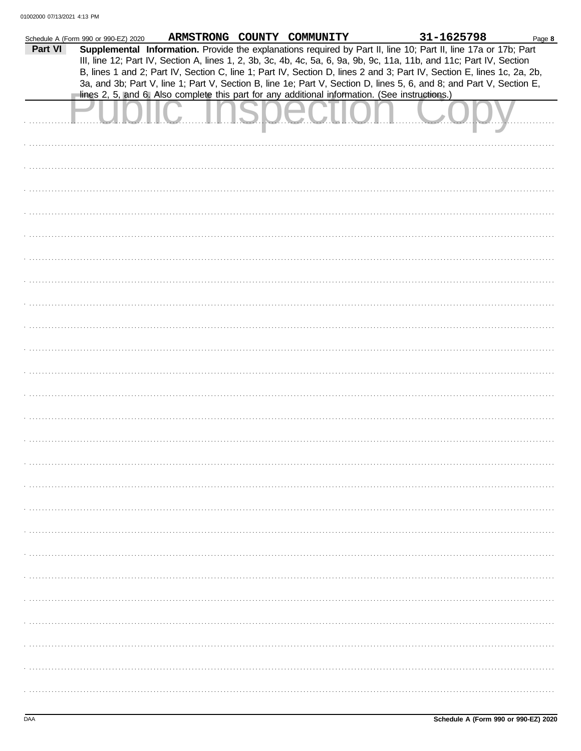|         | Schedule A (Form 990 or 990-EZ) 2020 |                                                                                                                        | ARMSTRONG COUNTY COMMUNITY | 31-1625798 | Page 8 |
|---------|--------------------------------------|------------------------------------------------------------------------------------------------------------------------|----------------------------|------------|--------|
| Part VI |                                      | Supplemental Information. Provide the explanations required by Part II, line 10; Part II, line 17a or 17b; Part        |                            |            |        |
|         |                                      | III, line 12; Part IV, Section A, lines 1, 2, 3b, 3c, 4b, 4c, 5a, 6, 9a, 9b, 9c, 11a, 11b, and 11c; Part IV, Section   |                            |            |        |
|         |                                      | B, lines 1 and 2; Part IV, Section C, line 1; Part IV, Section D, lines 2 and 3; Part IV, Section E, lines 1c, 2a, 2b, |                            |            |        |
|         |                                      |                                                                                                                        |                            |            |        |
|         |                                      | 3a, and 3b; Part V, line 1; Part V, Section B, line 1e; Part V, Section D, lines 5, 6, and 8; and Part V, Section E,   |                            |            |        |
|         |                                      | lines 2, 5, and 6. Also complete this part for any additional information. (See instructions.)                         |                            |            |        |
|         |                                      |                                                                                                                        |                            |            |        |
|         |                                      |                                                                                                                        | UUULIL                     |            |        |
|         |                                      |                                                                                                                        |                            |            |        |
|         |                                      |                                                                                                                        |                            |            |        |
|         |                                      |                                                                                                                        |                            |            |        |
|         |                                      |                                                                                                                        |                            |            |        |
|         |                                      |                                                                                                                        |                            |            |        |
|         |                                      |                                                                                                                        |                            |            |        |
|         |                                      |                                                                                                                        |                            |            |        |
|         |                                      |                                                                                                                        |                            |            |        |
|         |                                      |                                                                                                                        |                            |            |        |
|         |                                      |                                                                                                                        |                            |            |        |
|         |                                      |                                                                                                                        |                            |            |        |
|         |                                      |                                                                                                                        |                            |            |        |
|         |                                      |                                                                                                                        |                            |            |        |
|         |                                      |                                                                                                                        |                            |            |        |
|         |                                      |                                                                                                                        |                            |            |        |
|         |                                      |                                                                                                                        |                            |            |        |
|         |                                      |                                                                                                                        |                            |            |        |
|         |                                      |                                                                                                                        |                            |            |        |
|         |                                      |                                                                                                                        |                            |            |        |
|         |                                      |                                                                                                                        |                            |            |        |
|         |                                      |                                                                                                                        |                            |            |        |
|         |                                      |                                                                                                                        |                            |            |        |
|         |                                      |                                                                                                                        |                            |            |        |
|         |                                      |                                                                                                                        |                            |            |        |
|         |                                      |                                                                                                                        |                            |            |        |
|         |                                      |                                                                                                                        |                            |            |        |
|         |                                      |                                                                                                                        |                            |            |        |
|         |                                      |                                                                                                                        |                            |            |        |
|         |                                      |                                                                                                                        |                            |            |        |
|         |                                      |                                                                                                                        |                            |            |        |
|         |                                      |                                                                                                                        |                            |            |        |
|         |                                      |                                                                                                                        |                            |            |        |
|         |                                      |                                                                                                                        |                            |            |        |
|         |                                      |                                                                                                                        |                            |            |        |
|         |                                      |                                                                                                                        |                            |            |        |
|         |                                      |                                                                                                                        |                            |            |        |
|         |                                      |                                                                                                                        |                            |            |        |
|         |                                      |                                                                                                                        |                            |            |        |
|         |                                      |                                                                                                                        |                            |            |        |
|         |                                      |                                                                                                                        |                            |            |        |
|         |                                      |                                                                                                                        |                            |            |        |
|         |                                      |                                                                                                                        |                            |            |        |
|         |                                      |                                                                                                                        |                            |            |        |
|         |                                      |                                                                                                                        |                            |            |        |
|         |                                      |                                                                                                                        |                            |            |        |
|         |                                      |                                                                                                                        |                            |            |        |
|         |                                      |                                                                                                                        |                            |            |        |
|         |                                      |                                                                                                                        |                            |            |        |
|         |                                      |                                                                                                                        |                            |            |        |
|         |                                      |                                                                                                                        |                            |            |        |
|         |                                      |                                                                                                                        |                            |            |        |
|         |                                      |                                                                                                                        |                            |            |        |
|         |                                      |                                                                                                                        |                            |            |        |
|         |                                      |                                                                                                                        |                            |            |        |
|         |                                      |                                                                                                                        |                            |            |        |
|         |                                      |                                                                                                                        |                            |            |        |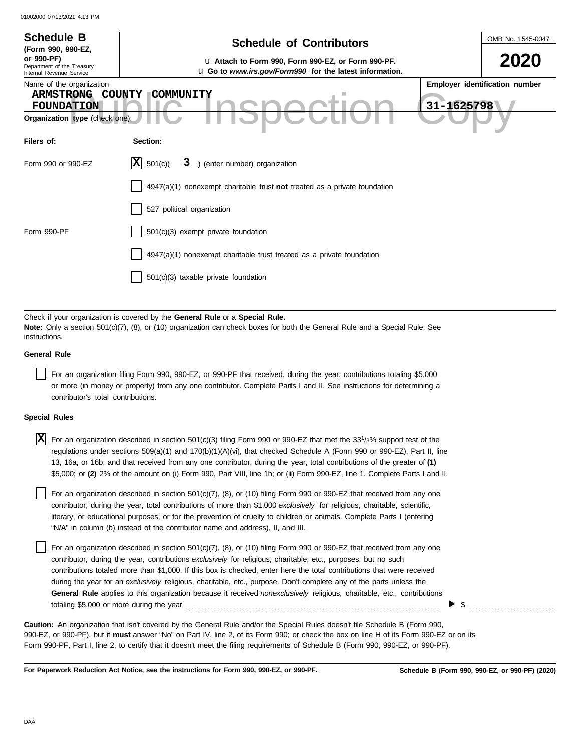| <b>Schedule B</b><br>(Form 990, 990-EZ,<br>or 990-PF)<br>Department of the Treasury<br>Internal Revenue Service<br>Name of the organization<br>ARMSTRONG COUNTY<br><b>FOUNDATION</b><br>Organization type (check one) | <b>Schedule of Contributors</b><br>u Attach to Form 990, Form 990-EZ, or Form 990-PF.<br>u Go to www.irs.gov/Form990 for the latest information.<br>COMMUNITY<br>31-1625798                                                                   | OMB No. 1545-0047<br>Employer identification number |
|-----------------------------------------------------------------------------------------------------------------------------------------------------------------------------------------------------------------------|-----------------------------------------------------------------------------------------------------------------------------------------------------------------------------------------------------------------------------------------------|-----------------------------------------------------|
| Filers of:                                                                                                                                                                                                            | Section:                                                                                                                                                                                                                                      |                                                     |
| Form 990 or 990-EZ                                                                                                                                                                                                    | X<br>501(c)<br>) (enter number) organization<br>3                                                                                                                                                                                             |                                                     |
|                                                                                                                                                                                                                       | 4947(a)(1) nonexempt charitable trust not treated as a private foundation                                                                                                                                                                     |                                                     |
|                                                                                                                                                                                                                       | 527 political organization                                                                                                                                                                                                                    |                                                     |
| Form 990-PF                                                                                                                                                                                                           | 501(c)(3) exempt private foundation                                                                                                                                                                                                           |                                                     |
|                                                                                                                                                                                                                       | 4947(a)(1) nonexempt charitable trust treated as a private foundation                                                                                                                                                                         |                                                     |
|                                                                                                                                                                                                                       | 501(c)(3) taxable private foundation                                                                                                                                                                                                          |                                                     |
|                                                                                                                                                                                                                       |                                                                                                                                                                                                                                               |                                                     |
| instructions.                                                                                                                                                                                                         | Check if your organization is covered by the General Rule or a Special Rule.<br><b>Note:</b> Only a section 501(c)(7), (8), or (10) organization can check boxes for both the General Rule and a Special Rule. See                            |                                                     |
| <b>General Rule</b>                                                                                                                                                                                                   |                                                                                                                                                                                                                                               |                                                     |
| contributor's total contributions.                                                                                                                                                                                    | For an organization filing Form 990, 990-EZ, or 990-PF that received, during the year, contributions totaling \$5,000<br>or more (in money or property) from any one contributor. Complete Parts I and II. See instructions for determining a |                                                     |
| <b>Special Rules</b>                                                                                                                                                                                                  |                                                                                                                                                                                                                                               |                                                     |

X For an organization described in section 501(c)(3) filing Form 990 or 990-EZ that met the 33<sup>1</sup>/3% support test of the regulations under sections 509(a)(1) and 170(b)(1)(A)(vi), that checked Schedule A (Form 990 or 990-EZ), Part II, line 13, 16a, or 16b, and that received from any one contributor, during the year, total contributions of the greater of **(1)** \$5,000; or **(2)** 2% of the amount on (i) Form 990, Part VIII, line 1h; or (ii) Form 990-EZ, line 1. Complete Parts I and II.

literary, or educational purposes, or for the prevention of cruelty to children or animals. Complete Parts I (entering For an organization described in section  $501(c)(7)$ , (8), or (10) filing Form 990 or 990-EZ that received from any one contributor, during the year, total contributions of more than \$1,000 *exclusively* for religious, charitable, scientific, "N/A" in column (b) instead of the contributor name and address), II, and III.

For an organization described in section 501(c)(7), (8), or (10) filing Form 990 or 990-EZ that received from any one contributor, during the year, contributions *exclusively* for religious, charitable, etc., purposes, but no such contributions totaled more than \$1,000. If this box is checked, enter here the total contributions that were received during the year for an *exclusively* religious, charitable, etc., purpose. Don't complete any of the parts unless the **General Rule** applies to this organization because it received *nonexclusively* religious, charitable, etc., contributions totaling \$5,000 or more during the year . . . . . . . . . . . . . . . . . . . . . . . . . . . . . . . . . . . . . . . . . . . . . . . . . . . . . . . . . . . . . . . . . . . . . . . . . . . . . . . .

990-EZ, or 990-PF), but it **must** answer "No" on Part IV, line 2, of its Form 990; or check the box on line H of its Form 990-EZ or on its Form 990-PF, Part I, line 2, to certify that it doesn't meet the filing requirements of Schedule B (Form 990, 990-EZ, or 990-PF). **Caution:** An organization that isn't covered by the General Rule and/or the Special Rules doesn't file Schedule B (Form 990,

**For Paperwork Reduction Act Notice, see the instructions for Form 990, 990-EZ, or 990-PF.**

 $\triangleright$   $\updownarrow$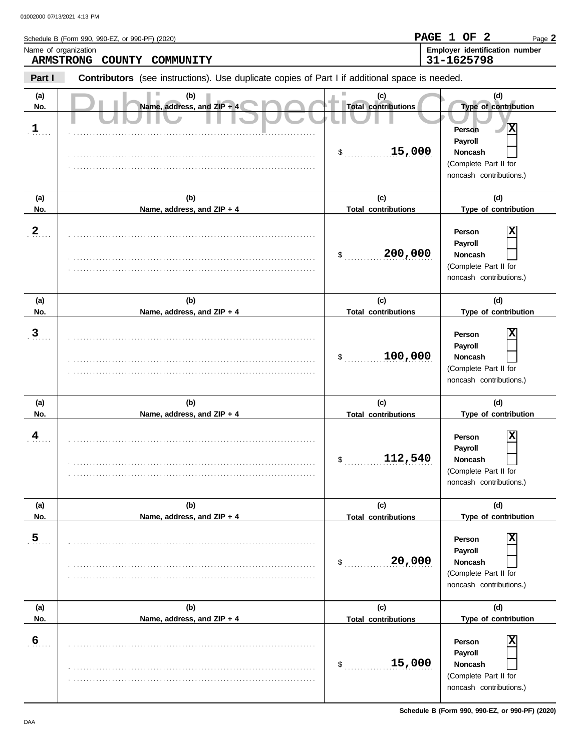|                            | Name of organization                                                                                  |                                                              | Page 2<br>Employer identification number                                                                                                   |
|----------------------------|-------------------------------------------------------------------------------------------------------|--------------------------------------------------------------|--------------------------------------------------------------------------------------------------------------------------------------------|
|                            | <b>ARMSTRONG COUNTY</b><br>COMMUNITY                                                                  |                                                              | 31-1625798                                                                                                                                 |
| Part I                     | <b>Contributors</b> (see instructions). Use duplicate copies of Part I if additional space is needed. |                                                              |                                                                                                                                            |
| (a)<br>No.<br>$\mathbf{1}$ | (b)<br>Name, address, and ZIP + 4                                                                     | (c)<br><b>Total contributions</b><br>15,000<br>$\frac{1}{2}$ | (d)<br>Type of contribution<br>$\overline{\mathbf{x}}$<br>Person<br>Payroll<br>Noncash<br>(Complete Part II for<br>noncash contributions.) |
| (a)                        | (b)                                                                                                   | (c)                                                          | (d)                                                                                                                                        |
| No.                        | Name, address, and ZIP + 4                                                                            | <b>Total contributions</b>                                   | Type of contribution                                                                                                                       |
| $\frac{2}{\cdot}$          |                                                                                                       | 200,000<br>\$                                                | X<br>Person<br>Payroll<br>Noncash<br>(Complete Part II for<br>noncash contributions.)                                                      |
| (a)                        | (b)                                                                                                   | (c)                                                          | (d)                                                                                                                                        |
| No.                        | Name, address, and ZIP + 4                                                                            | <b>Total contributions</b>                                   | Type of contribution                                                                                                                       |
| 3 <sub>1</sub>             |                                                                                                       | 100,000<br>\$                                                | X<br>Person<br>Payroll<br>Noncash<br>(Complete Part II for<br>noncash contributions.)                                                      |
| (a)                        | (b)                                                                                                   | (c)                                                          | (d)                                                                                                                                        |
| No.                        | Name, address, and ZIP + 4                                                                            | <b>Total contributions</b>                                   | Type of contribution                                                                                                                       |
| $\frac{4}{1}$              |                                                                                                       | 112,540<br>\$                                                | х<br>Person<br>Payroll<br><b>Noncash</b><br>(Complete Part II for<br>noncash contributions.)                                               |
| (a)<br>No.                 | (b)                                                                                                   | (c)                                                          | (d)<br>Type of contribution                                                                                                                |
|                            | Name, address, and ZIP + 4                                                                            | <b>Total contributions</b>                                   |                                                                                                                                            |
| 5                          |                                                                                                       | 20,000<br>\$                                                 | Person<br>Payroll<br><b>Noncash</b><br>(Complete Part II for<br>noncash contributions.)                                                    |
| (a)                        | (b)                                                                                                   | (c)                                                          | (d)                                                                                                                                        |
| No.                        | Name, address, and ZIP + 4                                                                            | <b>Total contributions</b>                                   | Type of contribution                                                                                                                       |
| 6                          |                                                                                                       | 15,000<br>\$                                                 | Person<br>Payroll<br>Noncash<br>(Complete Part II for<br>noncash contributions.)                                                           |

**Schedule B (Form 990, 990-EZ, or 990-PF) (2020)**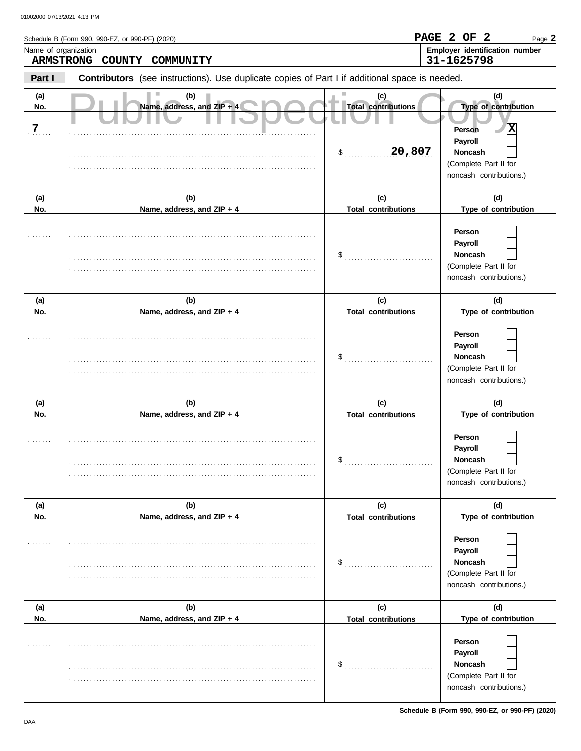| Name of organization | Schedule B (Form 990, 990-EZ, or 990-PF) (2020)                                                |                                                              | PAGE 2 OF<br>$\mathbf{2}$<br>Page 2<br>Employer identification number                                                        |
|----------------------|------------------------------------------------------------------------------------------------|--------------------------------------------------------------|------------------------------------------------------------------------------------------------------------------------------|
| <b>ARMSTRONG</b>     | COUNTY<br>COMMUNITY                                                                            |                                                              | 31-1625798                                                                                                                   |
| Part I               | Contributors (see instructions). Use duplicate copies of Part I if additional space is needed. |                                                              |                                                                                                                              |
| (a)<br>No.<br>7      | (b)<br>Name, address, and ZIP + 4                                                              | (c)<br><b>Total contributions</b><br>20,807<br>$\frac{1}{2}$ | (d)<br>Type of contribution<br>Ιx<br><b>Person</b><br>Payroll<br>Noncash<br>(Complete Part II for<br>noncash contributions.) |
| (a)                  | (b)                                                                                            | (c)                                                          | (d)                                                                                                                          |
| No.                  | Name, address, and ZIP + 4                                                                     | <b>Total contributions</b>                                   | Type of contribution                                                                                                         |
|                      |                                                                                                | \$                                                           | Person<br>Payroll<br>Noncash<br>(Complete Part II for<br>noncash contributions.)                                             |
| (a)                  | (b)                                                                                            | (c)                                                          | (d)                                                                                                                          |
| No.                  | Name, address, and ZIP + 4                                                                     | <b>Total contributions</b>                                   | Type of contribution                                                                                                         |
|                      |                                                                                                | \$                                                           | Person<br>Payroll<br>Noncash<br>(Complete Part II for<br>noncash contributions.)                                             |
| (a)                  | (b)                                                                                            | (c)                                                          | (d)                                                                                                                          |
| No.                  | Name, address, and ZIP + 4                                                                     | <b>Total contributions</b>                                   | Type of contribution                                                                                                         |
|                      |                                                                                                | \$                                                           | Person<br>Payroll<br><b>Noncash</b><br>(Complete Part II for<br>noncash contributions.)                                      |
| (a)                  | (b)                                                                                            | (c)                                                          | (d)                                                                                                                          |
| No.                  | Name, address, and ZIP + 4                                                                     | <b>Total contributions</b><br>\$                             | Type of contribution<br>Person<br>Payroll<br><b>Noncash</b><br>(Complete Part II for<br>noncash contributions.)              |
| (a)                  | (b)                                                                                            | (c)                                                          | (d)                                                                                                                          |
| No.                  | Name, address, and ZIP + 4                                                                     | <b>Total contributions</b>                                   | Type of contribution                                                                                                         |
|                      |                                                                                                | \$                                                           | Person<br>Payroll<br>Noncash<br>(Complete Part II for<br>noncash contributions.)                                             |

**Schedule B (Form 990, 990-EZ, or 990-PF) (2020)**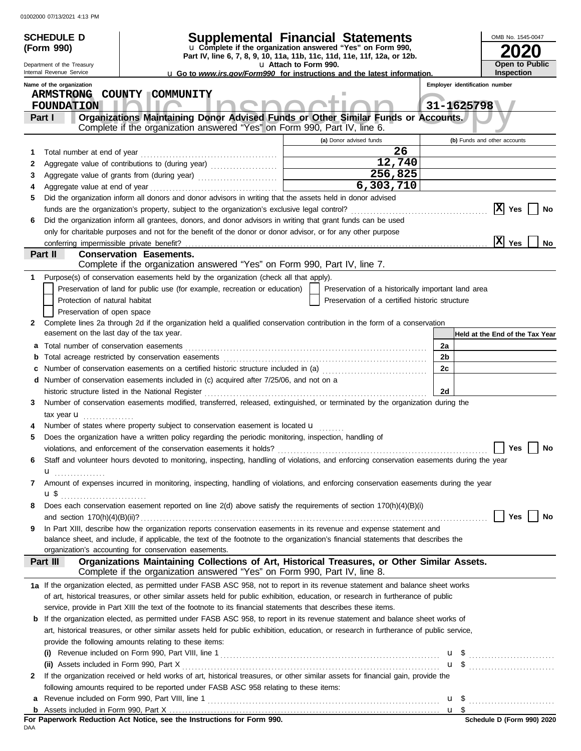|                                                        | <b>SCHEDULE D</b>                         |                                                                                                                                                                                                                                                                        | Supplemental Financial Statements                                                                                                      |                                | OMB No. 1545-0047               |
|--------------------------------------------------------|-------------------------------------------|------------------------------------------------------------------------------------------------------------------------------------------------------------------------------------------------------------------------------------------------------------------------|----------------------------------------------------------------------------------------------------------------------------------------|--------------------------------|---------------------------------|
|                                                        | (Form 990)                                |                                                                                                                                                                                                                                                                        | u Complete if the organization answered "Yes" on Form 990,<br>Part IV, line 6, 7, 8, 9, 10, 11a, 11b, 11c, 11d, 11e, 11f, 12a, or 12b. |                                |                                 |
| Department of the Treasury<br>Internal Revenue Service |                                           |                                                                                                                                                                                                                                                                        | u Attach to Form 990.                                                                                                                  |                                | Open to Public                  |
|                                                        | Name of the organization                  |                                                                                                                                                                                                                                                                        | <b>u</b> Go to <i>www.irs.gov/Form990</i> for instructions and the latest information.                                                 | Employer identification number | <b>Inspection</b>               |
|                                                        | <b>ARMSTRONG</b>                          | <b>COUNTY</b><br><b>COMMUNITY</b>                                                                                                                                                                                                                                      |                                                                                                                                        |                                |                                 |
|                                                        | <b>FOUNDATION</b>                         |                                                                                                                                                                                                                                                                        |                                                                                                                                        | 31-1625798                     |                                 |
|                                                        | Part I                                    | Organizations Maintaining Donor Advised Funds or Other Similar Funds or Accounts.                                                                                                                                                                                      |                                                                                                                                        |                                |                                 |
|                                                        |                                           | Complete if the organization answered "Yes" on Form 990, Part IV, line 6.                                                                                                                                                                                              |                                                                                                                                        |                                |                                 |
|                                                        |                                           |                                                                                                                                                                                                                                                                        | (a) Donor advised funds<br>26                                                                                                          |                                | (b) Funds and other accounts    |
| 1.<br>2                                                |                                           |                                                                                                                                                                                                                                                                        | 12,740                                                                                                                                 |                                |                                 |
| 3                                                      |                                           |                                                                                                                                                                                                                                                                        | 256,825                                                                                                                                |                                |                                 |
| 4                                                      |                                           |                                                                                                                                                                                                                                                                        | 6,303,710                                                                                                                              |                                |                                 |
| 5                                                      |                                           | Did the organization inform all donors and donor advisors in writing that the assets held in donor advised                                                                                                                                                             |                                                                                                                                        |                                |                                 |
|                                                        |                                           |                                                                                                                                                                                                                                                                        |                                                                                                                                        |                                | $ {\bf X} $<br>Yes<br>No        |
| 6                                                      |                                           | Did the organization inform all grantees, donors, and donor advisors in writing that grant funds can be used                                                                                                                                                           |                                                                                                                                        |                                |                                 |
|                                                        |                                           | only for charitable purposes and not for the benefit of the donor or donor advisor, or for any other purpose                                                                                                                                                           |                                                                                                                                        |                                |                                 |
|                                                        |                                           |                                                                                                                                                                                                                                                                        |                                                                                                                                        |                                | x <br><b>Yes</b><br>No          |
|                                                        | Part II                                   | <b>Conservation Easements.</b>                                                                                                                                                                                                                                         |                                                                                                                                        |                                |                                 |
|                                                        |                                           | Complete if the organization answered "Yes" on Form 990, Part IV, line 7.                                                                                                                                                                                              |                                                                                                                                        |                                |                                 |
| 1                                                      |                                           | Purpose(s) of conservation easements held by the organization (check all that apply).                                                                                                                                                                                  |                                                                                                                                        |                                |                                 |
|                                                        |                                           | Preservation of land for public use (for example, recreation or education)                                                                                                                                                                                             | Preservation of a historically important land area                                                                                     |                                |                                 |
|                                                        | Protection of natural habitat             |                                                                                                                                                                                                                                                                        | Preservation of a certified historic structure                                                                                         |                                |                                 |
|                                                        | Preservation of open space                |                                                                                                                                                                                                                                                                        |                                                                                                                                        |                                |                                 |
| 2                                                      |                                           | Complete lines 2a through 2d if the organization held a qualified conservation contribution in the form of a conservation                                                                                                                                              |                                                                                                                                        |                                |                                 |
|                                                        | easement on the last day of the tax year. |                                                                                                                                                                                                                                                                        |                                                                                                                                        |                                | Held at the End of the Tax Year |
| а                                                      | Total number of conservation easements    |                                                                                                                                                                                                                                                                        |                                                                                                                                        | 2a                             |                                 |
| b                                                      |                                           |                                                                                                                                                                                                                                                                        |                                                                                                                                        | 2b                             |                                 |
| c                                                      |                                           | Number of conservation easements on a certified historic structure included in (a) [[[[[ [ [ ]]]                                                                                                                                                                       |                                                                                                                                        | 2c                             |                                 |
|                                                        |                                           | d Number of conservation easements included in (c) acquired after 7/25/06, and not on a                                                                                                                                                                                |                                                                                                                                        |                                |                                 |
|                                                        |                                           | historic structure listed in the National Register                                                                                                                                                                                                                     |                                                                                                                                        | 2d                             |                                 |
| 3                                                      |                                           | Number of conservation easements modified, transferred, released, extinguished, or terminated by the organization during the                                                                                                                                           |                                                                                                                                        |                                |                                 |
|                                                        | tax year $\mathbf{u}$                     |                                                                                                                                                                                                                                                                        |                                                                                                                                        |                                |                                 |
|                                                        |                                           | Number of states where property subject to conservation easement is located u<br>Does the organization have a written policy regarding the periodic monitoring, inspection, handling of                                                                                |                                                                                                                                        |                                |                                 |
| 5                                                      |                                           |                                                                                                                                                                                                                                                                        |                                                                                                                                        |                                |                                 |
| 6                                                      |                                           |                                                                                                                                                                                                                                                                        |                                                                                                                                        |                                |                                 |
|                                                        |                                           | Staff and volunteer hours devoted to monitoring, inspecting, handling of violations, and enforcing conservation easements during the year                                                                                                                              |                                                                                                                                        |                                |                                 |
| 7                                                      | $\mathbf{u}$                              | Amount of expenses incurred in monitoring, inspecting, handling of violations, and enforcing conservation easements during the year                                                                                                                                    |                                                                                                                                        |                                |                                 |
|                                                        | $\mathbf{u} \mathbf{\,}\mathbf{\$}$       |                                                                                                                                                                                                                                                                        |                                                                                                                                        |                                |                                 |
| 8                                                      |                                           | Does each conservation easement reported on line 2(d) above satisfy the requirements of section 170(h)(4)(B)(i)                                                                                                                                                        |                                                                                                                                        |                                |                                 |
|                                                        |                                           |                                                                                                                                                                                                                                                                        |                                                                                                                                        |                                | Yes<br>No                       |
| 9                                                      |                                           | In Part XIII, describe how the organization reports conservation easements in its revenue and expense statement and                                                                                                                                                    |                                                                                                                                        |                                |                                 |
|                                                        |                                           | balance sheet, and include, if applicable, the text of the footnote to the organization's financial statements that describes the                                                                                                                                      |                                                                                                                                        |                                |                                 |
|                                                        |                                           | organization's accounting for conservation easements.                                                                                                                                                                                                                  |                                                                                                                                        |                                |                                 |
|                                                        | Part III                                  | Organizations Maintaining Collections of Art, Historical Treasures, or Other Similar Assets.                                                                                                                                                                           |                                                                                                                                        |                                |                                 |
|                                                        |                                           | Complete if the organization answered "Yes" on Form 990, Part IV, line 8.                                                                                                                                                                                              |                                                                                                                                        |                                |                                 |
|                                                        |                                           | 1a If the organization elected, as permitted under FASB ASC 958, not to report in its revenue statement and balance sheet works                                                                                                                                        |                                                                                                                                        |                                |                                 |
|                                                        |                                           | of art, historical treasures, or other similar assets held for public exhibition, education, or research in furtherance of public                                                                                                                                      |                                                                                                                                        |                                |                                 |
|                                                        |                                           | service, provide in Part XIII the text of the footnote to its financial statements that describes these items.                                                                                                                                                         |                                                                                                                                        |                                |                                 |
| b                                                      |                                           | If the organization elected, as permitted under FASB ASC 958, to report in its revenue statement and balance sheet works of<br>art, historical treasures, or other similar assets held for public exhibition, education, or research in furtherance of public service, |                                                                                                                                        |                                |                                 |
|                                                        |                                           | provide the following amounts relating to these items:                                                                                                                                                                                                                 |                                                                                                                                        |                                |                                 |
|                                                        |                                           |                                                                                                                                                                                                                                                                        |                                                                                                                                        |                                |                                 |
|                                                        |                                           |                                                                                                                                                                                                                                                                        |                                                                                                                                        | u \$                           |                                 |
| 2                                                      | (ii) Assets included in Form 990, Part X  | If the organization received or held works of art, historical treasures, or other similar assets for financial gain, provide the                                                                                                                                       |                                                                                                                                        |                                |                                 |
|                                                        |                                           | following amounts required to be reported under FASB ASC 958 relating to these items:                                                                                                                                                                                  |                                                                                                                                        |                                |                                 |
|                                                        |                                           |                                                                                                                                                                                                                                                                        |                                                                                                                                        | u \$                           |                                 |
|                                                        |                                           |                                                                                                                                                                                                                                                                        |                                                                                                                                        |                                |                                 |
|                                                        |                                           |                                                                                                                                                                                                                                                                        |                                                                                                                                        |                                |                                 |

**For Paperwork Reduction Act Notice, see the Instructions for Form 990.**<br><sub>DAA</sub>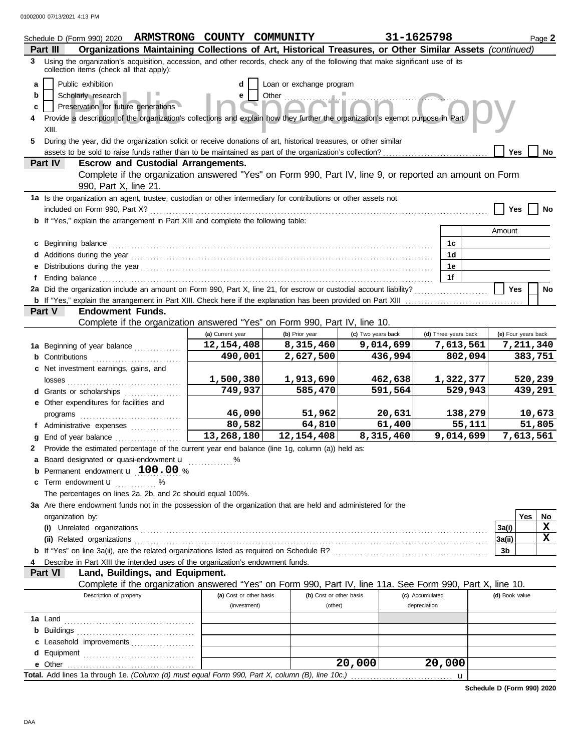|   | Schedule D (Form 990) 2020                                                                                                                                                    | ARMSTRONG COUNTY COMMUNITY       |                             |                                 | 31-1625798      |                      |         |                     |         | Page 2 |
|---|-------------------------------------------------------------------------------------------------------------------------------------------------------------------------------|----------------------------------|-----------------------------|---------------------------------|-----------------|----------------------|---------|---------------------|---------|--------|
|   | Organizations Maintaining Collections of Art, Historical Treasures, or Other Similar Assets (continued)<br>Part III                                                           |                                  |                             |                                 |                 |                      |         |                     |         |        |
|   | 3 Using the organization's acquisition, accession, and other records, check any of the following that make significant use of its<br>collection items (check all that apply): |                                  |                             |                                 |                 |                      |         |                     |         |        |
| a | Public exhibition                                                                                                                                                             | d                                | Loan or exchange program    |                                 |                 |                      |         |                     |         |        |
| b | Scholarly research                                                                                                                                                            | е                                | Other                       |                                 |                 |                      |         |                     |         |        |
| c | Preservation for future generations                                                                                                                                           |                                  |                             |                                 |                 |                      |         |                     |         |        |
|   | Provide a description of the organization's collections and explain how they further the organization's exempt purpose in Part                                                |                                  |                             |                                 |                 |                      |         |                     |         |        |
|   | XIII.                                                                                                                                                                         |                                  |                             |                                 |                 |                      |         |                     |         |        |
|   | 5 During the year, did the organization solicit or receive donations of art, historical treasures, or other similar                                                           |                                  |                             |                                 |                 |                      |         |                     |         |        |
|   |                                                                                                                                                                               |                                  |                             |                                 |                 |                      |         | Yes                 |         | No     |
|   | <b>Escrow and Custodial Arrangements.</b><br>Part IV                                                                                                                          |                                  |                             |                                 |                 |                      |         |                     |         |        |
|   | Complete if the organization answered "Yes" on Form 990, Part IV, line 9, or reported an amount on Form                                                                       |                                  |                             |                                 |                 |                      |         |                     |         |        |
|   | 990, Part X, line 21.                                                                                                                                                         |                                  |                             |                                 |                 |                      |         |                     |         |        |
|   | 1a Is the organization an agent, trustee, custodian or other intermediary for contributions or other assets not                                                               |                                  |                             |                                 |                 |                      |         |                     |         |        |
|   | included on Form 990, Part X?                                                                                                                                                 |                                  |                             |                                 |                 |                      |         | Yes                 |         | No     |
|   | <b>b</b> If "Yes," explain the arrangement in Part XIII and complete the following table:                                                                                     |                                  |                             |                                 |                 |                      |         |                     |         |        |
|   |                                                                                                                                                                               |                                  |                             |                                 |                 |                      |         | Amount              |         |        |
|   | c Beginning balance                                                                                                                                                           |                                  |                             |                                 |                 | 1c                   |         |                     |         |        |
|   |                                                                                                                                                                               |                                  |                             |                                 |                 | 1 <sub>d</sub>       |         |                     |         |        |
|   |                                                                                                                                                                               |                                  |                             |                                 |                 | 1е                   |         |                     |         |        |
| f |                                                                                                                                                                               |                                  |                             |                                 |                 | 1f                   |         |                     |         |        |
|   | 2a Did the organization include an amount on Form 990, Part X, line 21, for escrow or custodial account liability?                                                            |                                  |                             |                                 |                 |                      |         | <b>Yes</b>          |         | No     |
|   | b If "Yes," explain the arrangement in Part XIII. Check here if the explanation has been provided on Part XIII                                                                |                                  |                             |                                 |                 |                      |         |                     |         |        |
|   | Part V<br><b>Endowment Funds.</b><br>Complete if the organization answered "Yes" on Form 990, Part IV, line 10.                                                               |                                  |                             |                                 |                 |                      |         |                     |         |        |
|   |                                                                                                                                                                               |                                  |                             |                                 |                 | (d) Three years back |         | (e) Four years back |         |        |
|   |                                                                                                                                                                               | (a) Current year<br>12, 154, 408 | (b) Prior year<br>8,315,460 | (c) Two years back<br>9,014,699 |                 | 7,613,561            |         | 7,211,340           |         |        |
|   | 1a Beginning of year balance                                                                                                                                                  | 490,001                          | 2,627,500                   |                                 | 436,994         |                      | 802,094 |                     | 383,751 |        |
|   | <b>b</b> Contributions                                                                                                                                                        |                                  |                             |                                 |                 |                      |         |                     |         |        |
|   | c Net investment earnings, gains, and                                                                                                                                         | 1,500,380                        | 1,913,690                   |                                 | 462,638         | 1,322,377            |         |                     | 520,239 |        |
|   | losses<br>d Grants or scholarships                                                                                                                                            | 749,937                          | 585,470                     |                                 | 591,564         |                      | 529,943 |                     | 439,291 |        |
|   | e Other expenditures for facilities and                                                                                                                                       |                                  |                             |                                 |                 |                      |         |                     |         |        |
|   |                                                                                                                                                                               | 46,090                           | 51,962                      |                                 | 20,631          |                      | 138,279 |                     | 10,673  |        |
|   | programs<br>f Administrative expenses                                                                                                                                         | 80,582                           | 64,810                      |                                 | 61,400          |                      | 55,111  |                     | 51,805  |        |
| a | End of year balance                                                                                                                                                           | 13,268,180                       | 12, 154, 408                | 8,315,460                       |                 | 9,014,699            |         | 7,613,561           |         |        |
| 2 | Provide the estimated percentage of the current year end balance (line 1g, column (a)) held as:                                                                               |                                  |                             |                                 |                 |                      |         |                     |         |        |
|   | a Board designated or quasi-endowment u                                                                                                                                       | %                                |                             |                                 |                 |                      |         |                     |         |        |
|   | Permanent endowment u 100.00 %                                                                                                                                                |                                  |                             |                                 |                 |                      |         |                     |         |        |
| c | Term endowment <b>u</b> %                                                                                                                                                     |                                  |                             |                                 |                 |                      |         |                     |         |        |
|   | The percentages on lines 2a, 2b, and 2c should equal 100%.                                                                                                                    |                                  |                             |                                 |                 |                      |         |                     |         |        |
|   | 3a Are there endowment funds not in the possession of the organization that are held and administered for the                                                                 |                                  |                             |                                 |                 |                      |         |                     |         |        |
|   | organization by:                                                                                                                                                              |                                  |                             |                                 |                 |                      |         |                     | Yes     | No     |
|   | (i) Unrelated organizations                                                                                                                                                   |                                  |                             |                                 |                 |                      |         | 3a(i)               |         | X      |
|   |                                                                                                                                                                               |                                  |                             |                                 |                 |                      |         | 3a(ii)              |         | X      |
|   |                                                                                                                                                                               |                                  |                             |                                 |                 |                      |         | 3b                  |         |        |
|   | Describe in Part XIII the intended uses of the organization's endowment funds.                                                                                                |                                  |                             |                                 |                 |                      |         |                     |         |        |
|   | Part VI<br>Land, Buildings, and Equipment.                                                                                                                                    |                                  |                             |                                 |                 |                      |         |                     |         |        |
|   | Complete if the organization answered "Yes" on Form 990, Part IV, line 11a. See Form 990, Part X, line 10.                                                                    |                                  |                             |                                 |                 |                      |         |                     |         |        |
|   | Description of property                                                                                                                                                       | (a) Cost or other basis          | (b) Cost or other basis     |                                 | (c) Accumulated |                      |         | (d) Book value      |         |        |
|   |                                                                                                                                                                               | (investment)                     | (other)                     |                                 | depreciation    |                      |         |                     |         |        |
|   | <b>1a</b> Land                                                                                                                                                                |                                  |                             |                                 |                 |                      |         |                     |         |        |
|   |                                                                                                                                                                               |                                  |                             |                                 |                 |                      |         |                     |         |        |
|   | c Leasehold improvements                                                                                                                                                      |                                  |                             |                                 |                 |                      |         |                     |         |        |
|   |                                                                                                                                                                               |                                  |                             |                                 |                 |                      |         |                     |         |        |
|   |                                                                                                                                                                               |                                  |                             | $\overline{20,000}$             |                 | 20,000               |         |                     |         |        |
|   |                                                                                                                                                                               |                                  |                             |                                 |                 | $\mathbf u$          |         |                     |         |        |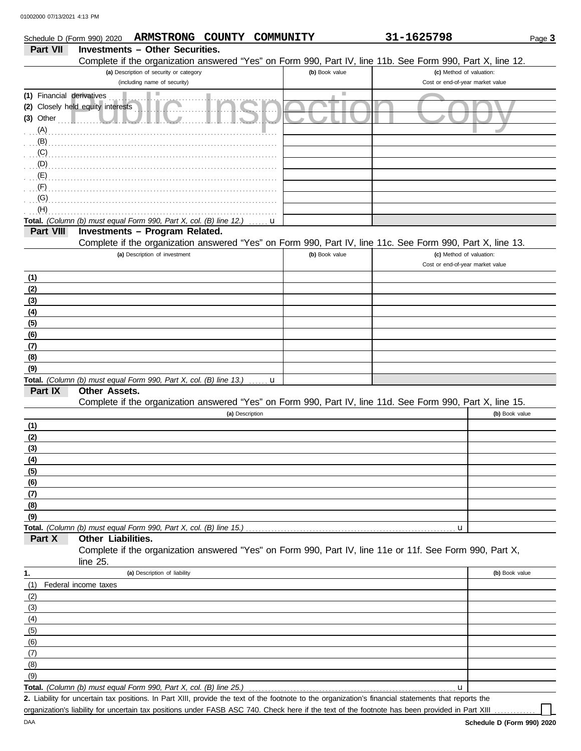| Schedule D (Form 990) 2020 |                                                                    | ARMSTRONG COUNTY COMMUNITY              |                 |             |                | 31-1625798                                                                                                 | Page 3         |
|----------------------------|--------------------------------------------------------------------|-----------------------------------------|-----------------|-------------|----------------|------------------------------------------------------------------------------------------------------------|----------------|
| Part VII                   |                                                                    | <b>Investments - Other Securities.</b>  |                 |             |                |                                                                                                            |                |
|                            |                                                                    |                                         |                 |             |                | Complete if the organization answered "Yes" on Form 990, Part IV, line 11b. See Form 990, Part X, line 12. |                |
|                            |                                                                    | (a) Description of security or category |                 |             | (b) Book value | (c) Method of valuation:                                                                                   |                |
|                            |                                                                    | (including name of security)            |                 |             |                | Cost or end-of-year market value                                                                           |                |
| (1) Financial derivatives  |                                                                    |                                         |                 |             |                |                                                                                                            |                |
| $(3)$ Other                | (2) Closely held equity interests                                  |                                         |                 |             |                |                                                                                                            |                |
| (A)                        |                                                                    |                                         |                 |             |                |                                                                                                            |                |
| (B)                        |                                                                    |                                         |                 |             |                |                                                                                                            |                |
| (C)                        |                                                                    |                                         |                 |             |                |                                                                                                            |                |
| $\mathcal{L}(\mathsf{D})$  |                                                                    |                                         |                 |             |                |                                                                                                            |                |
| $\mathcal{L}(\mathsf{E})$  |                                                                    |                                         |                 |             |                |                                                                                                            |                |
| (F)                        |                                                                    |                                         |                 |             |                |                                                                                                            |                |
| (G)                        |                                                                    |                                         |                 |             |                |                                                                                                            |                |
| (H)                        |                                                                    |                                         |                 |             |                |                                                                                                            |                |
|                            | Total. (Column (b) must equal Form 990, Part X, col. (B) line 12.) |                                         |                 | u           |                |                                                                                                            |                |
| Part VIII                  |                                                                    | Investments - Program Related.          |                 |             |                | Complete if the organization answered "Yes" on Form 990, Part IV, line 11c. See Form 990, Part X, line 13. |                |
|                            |                                                                    | (a) Description of investment           |                 |             | (b) Book value | (c) Method of valuation:                                                                                   |                |
|                            |                                                                    |                                         |                 |             |                | Cost or end-of-year market value                                                                           |                |
| (1)                        |                                                                    |                                         |                 |             |                |                                                                                                            |                |
| (2)                        |                                                                    |                                         |                 |             |                |                                                                                                            |                |
| (3)                        |                                                                    |                                         |                 |             |                |                                                                                                            |                |
| (4)                        |                                                                    |                                         |                 |             |                |                                                                                                            |                |
| (5)                        |                                                                    |                                         |                 |             |                |                                                                                                            |                |
| (6)                        |                                                                    |                                         |                 |             |                |                                                                                                            |                |
| (7)                        |                                                                    |                                         |                 |             |                |                                                                                                            |                |
| (8)                        |                                                                    |                                         |                 |             |                |                                                                                                            |                |
| (9)                        | Total. (Column (b) must equal Form 990, Part X, col. (B) line 13.) |                                         |                 | $\mathbf u$ |                |                                                                                                            |                |
| Part IX                    | Other Assets.                                                      |                                         |                 |             |                |                                                                                                            |                |
|                            |                                                                    |                                         |                 |             |                | Complete if the organization answered "Yes" on Form 990, Part IV, line 11d. See Form 990, Part X, line 15. |                |
|                            |                                                                    |                                         | (a) Description |             |                |                                                                                                            | (b) Book value |
| (1)                        |                                                                    |                                         |                 |             |                |                                                                                                            |                |
| (2)                        |                                                                    |                                         |                 |             |                |                                                                                                            |                |
| (3)                        |                                                                    |                                         |                 |             |                |                                                                                                            |                |
| (4)                        |                                                                    |                                         |                 |             |                |                                                                                                            |                |
| (5)                        |                                                                    |                                         |                 |             |                |                                                                                                            |                |
| (6)<br>(7)                 |                                                                    |                                         |                 |             |                |                                                                                                            |                |
| (8)                        |                                                                    |                                         |                 |             |                |                                                                                                            |                |
| (9)                        |                                                                    |                                         |                 |             |                |                                                                                                            |                |
|                            | Total. (Column (b) must equal Form 990, Part X, col. (B) line 15.) |                                         |                 |             |                | u                                                                                                          |                |
| Part X                     | Other Liabilities.                                                 |                                         |                 |             |                |                                                                                                            |                |
|                            |                                                                    |                                         |                 |             |                | Complete if the organization answered "Yes" on Form 990, Part IV, line 11e or 11f. See Form 990, Part X,   |                |
|                            | line 25.                                                           |                                         |                 |             |                |                                                                                                            |                |
| 1.                         |                                                                    | (a) Description of liability            |                 |             |                |                                                                                                            | (b) Book value |
| (1)                        | Federal income taxes                                               |                                         |                 |             |                |                                                                                                            |                |
| (2)                        |                                                                    |                                         |                 |             |                |                                                                                                            |                |
| (3)<br>(4)                 |                                                                    |                                         |                 |             |                |                                                                                                            |                |
| (5)                        |                                                                    |                                         |                 |             |                |                                                                                                            |                |
| (6)                        |                                                                    |                                         |                 |             |                |                                                                                                            |                |
| (7)                        |                                                                    |                                         |                 |             |                |                                                                                                            |                |
| (8)                        |                                                                    |                                         |                 |             |                |                                                                                                            |                |
| (9)                        |                                                                    |                                         |                 |             |                |                                                                                                            |                |
|                            | Total. (Column (b) must equal Form 990, Part X, col. (B) line 25.) |                                         |                 |             |                | u                                                                                                          |                |

Liability for uncertain tax positions. In Part XIII, provide the text of the footnote to the organization's financial statements that reports the **2.** organization's liability for uncertain tax positions under FASB ASC 740. Check here if the text of the footnote has been provided in Part XIII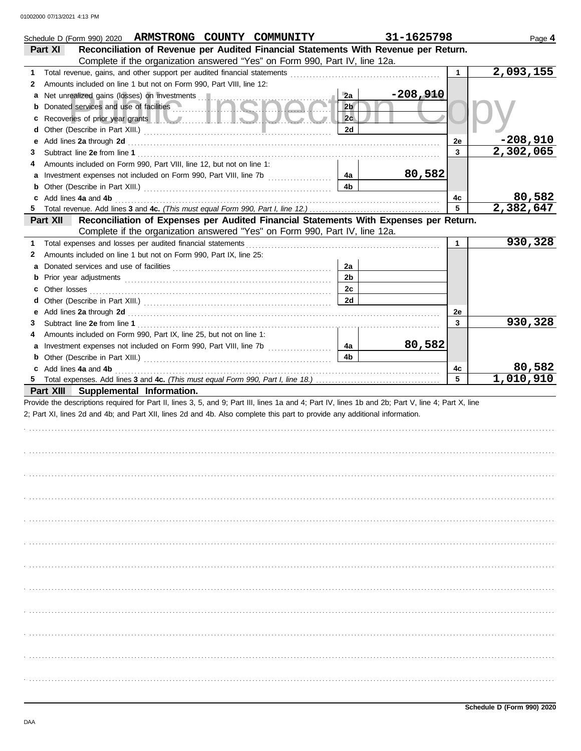|        | Schedule D (Form 990) 2020 ARMSTRONG COUNTY COMMUNITY                                                                                              |                      | 31-1625798 |              | Page 4                 |
|--------|----------------------------------------------------------------------------------------------------------------------------------------------------|----------------------|------------|--------------|------------------------|
|        | Reconciliation of Revenue per Audited Financial Statements With Revenue per Return.<br>Part XI                                                     |                      |            |              |                        |
|        | Complete if the organization answered "Yes" on Form 990, Part IV, line 12a.                                                                        |                      |            |              |                        |
| 1      | Total revenue, gains, and other support per audited financial statements                                                                           |                      |            | 1            | $\sqrt{2,093,155}$     |
| 2      | Amounts included on line 1 but not on Form 990, Part VIII, line 12:                                                                                |                      | $-208,910$ |              |                        |
|        | a Net unrealized gains (losses) on investments<br>Donated services and use of facilities                                                           | 2a<br>2 <sub>b</sub> |            |              |                        |
| b      |                                                                                                                                                    | 2c                   |            |              |                        |
| c<br>d | Recoveries of prior year grants <b>the contract of the contract of prior</b>                                                                       | 2d                   |            |              |                        |
| е      |                                                                                                                                                    |                      |            | 2e           | $-208,910$             |
| 3      |                                                                                                                                                    |                      |            | 3            | $\overline{2,302,065}$ |
| 4      | Amounts included on Form 990, Part VIII, line 12, but not on line 1:                                                                               |                      |            |              |                        |
|        | a Investment expenses not included on Form 990, Part VIII, line 7b                                                                                 | 4a                   | 80,582     |              |                        |
|        |                                                                                                                                                    | 4 <sub>b</sub>       |            |              |                        |
|        | c Add lines 4a and 4b                                                                                                                              |                      |            | 4c           | 80,582                 |
| 5.     |                                                                                                                                                    |                      |            | 5            | 2,382,647              |
|        | Reconciliation of Expenses per Audited Financial Statements With Expenses per Return.<br>Part XII                                                  |                      |            |              |                        |
|        | Complete if the organization answered "Yes" on Form 990, Part IV, line 12a.                                                                        |                      |            |              |                        |
| 1      | Total expenses and losses per audited financial statements                                                                                         |                      |            | $\mathbf{1}$ | 930,328                |
| 2      | Amounts included on line 1 but not on Form 990, Part IX, line 25:                                                                                  |                      |            |              |                        |
|        |                                                                                                                                                    | 2a                   |            |              |                        |
| b      |                                                                                                                                                    | 2 <sub>b</sub>       |            |              |                        |
|        |                                                                                                                                                    | 2c                   |            |              |                        |
|        |                                                                                                                                                    | 2d                   |            |              |                        |
|        |                                                                                                                                                    |                      |            | 2e           |                        |
| 3      |                                                                                                                                                    |                      |            | 3            | 930,328                |
| 4      | Amounts included on Form 990, Part IX, line 25, but not on line 1:                                                                                 |                      |            |              |                        |
|        | a Investment expenses not included on Form 990, Part VIII, line 7b                                                                                 | 4a                   | 80,582     |              |                        |
|        |                                                                                                                                                    | 4 <sub>b</sub>       |            |              |                        |
|        | c Add lines 4a and 4b                                                                                                                              |                      |            | 4c           | 80,582                 |
|        |                                                                                                                                                    |                      |            | 5            | 1,010,910              |
|        | Part XIII Supplemental Information.                                                                                                                |                      |            |              |                        |
|        | Provide the descriptions required for Part II, lines 3, 5, and 9; Part III, lines 1a and 4; Part IV, lines 1b and 2b; Part V, line 4; Part X, line |                      |            |              |                        |
|        | 2; Part XI, lines 2d and 4b; and Part XII, lines 2d and 4b. Also complete this part to provide any additional information.                         |                      |            |              |                        |
|        |                                                                                                                                                    |                      |            |              |                        |
|        |                                                                                                                                                    |                      |            |              |                        |
|        |                                                                                                                                                    |                      |            |              |                        |
|        |                                                                                                                                                    |                      |            |              |                        |
|        |                                                                                                                                                    |                      |            |              |                        |
|        |                                                                                                                                                    |                      |            |              |                        |
|        |                                                                                                                                                    |                      |            |              |                        |
|        |                                                                                                                                                    |                      |            |              |                        |
|        |                                                                                                                                                    |                      |            |              |                        |
|        |                                                                                                                                                    |                      |            |              |                        |
|        |                                                                                                                                                    |                      |            |              |                        |
|        |                                                                                                                                                    |                      |            |              |                        |
|        |                                                                                                                                                    |                      |            |              |                        |
|        |                                                                                                                                                    |                      |            |              |                        |
|        |                                                                                                                                                    |                      |            |              |                        |
|        |                                                                                                                                                    |                      |            |              |                        |
|        |                                                                                                                                                    |                      |            |              |                        |
|        |                                                                                                                                                    |                      |            |              |                        |
|        |                                                                                                                                                    |                      |            |              |                        |
|        |                                                                                                                                                    |                      |            |              |                        |
|        |                                                                                                                                                    |                      |            |              |                        |
|        |                                                                                                                                                    |                      |            |              |                        |
|        |                                                                                                                                                    |                      |            |              |                        |
|        |                                                                                                                                                    |                      |            |              |                        |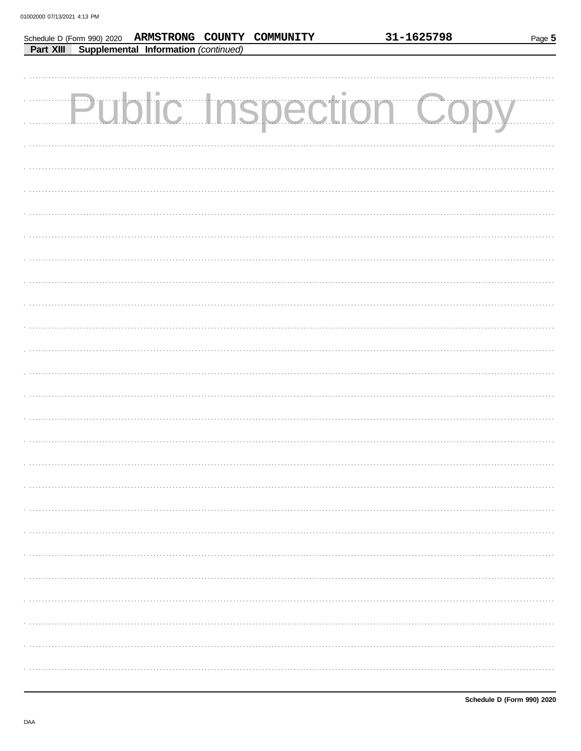|  |                                                | Schedule D (Form 990) 2020 ARMSTRONG COUNTY COMMUNITY | 31-1625798                    | Page 5 |
|--|------------------------------------------------|-------------------------------------------------------|-------------------------------|--------|
|  | Part XIII Supplemental Information (continued) |                                                       |                               |        |
|  |                                                |                                                       |                               |        |
|  |                                                |                                                       |                               |        |
|  |                                                |                                                       |                               |        |
|  |                                                |                                                       | <b>Public Inspection Copy</b> |        |
|  |                                                |                                                       |                               |        |
|  |                                                |                                                       |                               |        |
|  |                                                |                                                       |                               |        |
|  |                                                |                                                       |                               |        |
|  |                                                |                                                       |                               |        |
|  |                                                |                                                       |                               |        |
|  |                                                |                                                       |                               |        |
|  |                                                |                                                       |                               |        |
|  |                                                |                                                       |                               |        |
|  |                                                |                                                       |                               |        |
|  |                                                |                                                       |                               |        |
|  |                                                |                                                       |                               |        |
|  |                                                |                                                       |                               |        |
|  |                                                |                                                       |                               |        |
|  |                                                |                                                       |                               |        |
|  |                                                |                                                       |                               |        |
|  |                                                |                                                       |                               |        |
|  |                                                |                                                       |                               |        |
|  |                                                |                                                       |                               |        |
|  |                                                |                                                       |                               |        |
|  |                                                |                                                       |                               |        |
|  |                                                |                                                       |                               |        |
|  |                                                |                                                       |                               |        |
|  |                                                |                                                       |                               |        |
|  |                                                |                                                       |                               |        |
|  |                                                |                                                       |                               |        |
|  |                                                |                                                       |                               |        |
|  |                                                |                                                       |                               |        |
|  |                                                |                                                       |                               |        |
|  |                                                |                                                       |                               |        |
|  |                                                |                                                       |                               |        |
|  |                                                |                                                       |                               |        |
|  |                                                |                                                       |                               |        |
|  |                                                |                                                       |                               |        |
|  |                                                |                                                       |                               |        |
|  |                                                |                                                       |                               |        |
|  |                                                |                                                       |                               |        |
|  |                                                |                                                       |                               |        |
|  |                                                |                                                       |                               |        |
|  |                                                |                                                       |                               |        |
|  |                                                |                                                       |                               |        |
|  |                                                |                                                       |                               |        |
|  |                                                |                                                       |                               |        |
|  |                                                |                                                       |                               |        |
|  |                                                |                                                       |                               |        |
|  |                                                |                                                       |                               |        |
|  |                                                |                                                       |                               |        |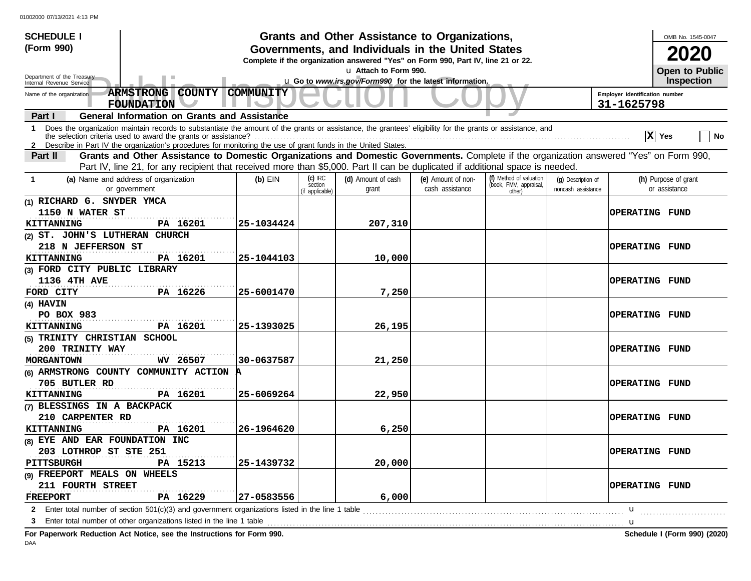| <b>SCHEDULE I</b>                                                                                                                                                                                                                                                                                             |                                                                                                                   |                                       | Grants and Other Assistance to Organizations, |                                       |                                                             |                                          |                       | OMB No. 1545-0047                     |
|---------------------------------------------------------------------------------------------------------------------------------------------------------------------------------------------------------------------------------------------------------------------------------------------------------------|-------------------------------------------------------------------------------------------------------------------|---------------------------------------|-----------------------------------------------|---------------------------------------|-------------------------------------------------------------|------------------------------------------|-----------------------|---------------------------------------|
| (Form 990)<br>Governments, and Individuals in the United States                                                                                                                                                                                                                                               |                                                                                                                   |                                       |                                               |                                       |                                                             |                                          |                       | 2020                                  |
| Complete if the organization answered "Yes" on Form 990, Part IV, line 21 or 22.                                                                                                                                                                                                                              |                                                                                                                   |                                       |                                               |                                       |                                                             |                                          |                       | Open to Public                        |
| u Attach to Form 990.<br>Department of the Treasury<br>u Go to www.irs.gov/Form990 for the latest information.                                                                                                                                                                                                |                                                                                                                   |                                       |                                               |                                       |                                                             |                                          |                       |                                       |
| Internal Revenue Service                                                                                                                                                                                                                                                                                      |                                                                                                                   |                                       |                                               |                                       |                                                             |                                          |                       | Inspection                            |
| ARMSTRONG COUNTY<br><b>COMMUNITY</b><br>Employer identification number<br>Name of the organization<br><b>FOUNDATION</b><br>31-1625798                                                                                                                                                                         |                                                                                                                   |                                       |                                               |                                       |                                                             |                                          |                       |                                       |
| <b>General Information on Grants and Assistance</b><br>Part I                                                                                                                                                                                                                                                 |                                                                                                                   |                                       |                                               |                                       |                                                             |                                          |                       |                                       |
| Does the organization maintain records to substantiate the amount of the grants or assistance, the grantees' eligibility for the grants or assistance, and<br>$\mathbf 1$<br>X Yes<br>∣ No<br>2 Describe in Part IV the organization's procedures for monitoring the use of grant funds in the United States. |                                                                                                                   |                                       |                                               |                                       |                                                             |                                          |                       |                                       |
| Grants and Other Assistance to Domestic Organizations and Domestic Governments. Complete if the organization answered "Yes" on Form 990,<br>Part II                                                                                                                                                           |                                                                                                                   |                                       |                                               |                                       |                                                             |                                          |                       |                                       |
| Part IV, line 21, for any recipient that received more than \$5,000. Part II can be duplicated if additional space is needed.                                                                                                                                                                                 |                                                                                                                   |                                       |                                               |                                       |                                                             |                                          |                       |                                       |
| (a) Name and address of organization<br>$\mathbf{1}$<br>or government                                                                                                                                                                                                                                         | $(b)$ EIN                                                                                                         | (c) IRC<br>section<br>(if applicable) | (d) Amount of cash<br>grant                   | (e) Amount of non-<br>cash assistance | (f) Method of valuation<br>(book, FMV, appraisal,<br>other) | (q) Description of<br>noncash assistance |                       | (h) Purpose of grant<br>or assistance |
| (1) RICHARD G. SNYDER YMCA                                                                                                                                                                                                                                                                                    |                                                                                                                   |                                       |                                               |                                       |                                                             |                                          |                       |                                       |
| 1150 N WATER ST                                                                                                                                                                                                                                                                                               |                                                                                                                   |                                       |                                               |                                       |                                                             |                                          | OPERATING FUND        |                                       |
| PA 16201<br><b>KITTANNING</b>                                                                                                                                                                                                                                                                                 | 25-1034424                                                                                                        |                                       | 207,310                                       |                                       |                                                             |                                          |                       |                                       |
| (2) ST. JOHN'S LUTHERAN CHURCH                                                                                                                                                                                                                                                                                |                                                                                                                   |                                       |                                               |                                       |                                                             |                                          |                       |                                       |
| 218 N JEFFERSON ST                                                                                                                                                                                                                                                                                            |                                                                                                                   |                                       |                                               |                                       |                                                             |                                          | <b>OPERATING FUND</b> |                                       |
| <b>KITTANNING</b><br>PA 16201                                                                                                                                                                                                                                                                                 | 25-1044103                                                                                                        |                                       | 10,000                                        |                                       |                                                             |                                          |                       |                                       |
| (3) FORD CITY PUBLIC LIBRARY                                                                                                                                                                                                                                                                                  |                                                                                                                   |                                       |                                               |                                       |                                                             |                                          |                       |                                       |
| 1136 4TH AVE                                                                                                                                                                                                                                                                                                  |                                                                                                                   |                                       |                                               |                                       |                                                             |                                          | <b>OPERATING FUND</b> |                                       |
| PA 16226<br>FORD CITY                                                                                                                                                                                                                                                                                         | 25-6001470                                                                                                        |                                       | 7,250                                         |                                       |                                                             |                                          |                       |                                       |
| (4) HAVIN                                                                                                                                                                                                                                                                                                     |                                                                                                                   |                                       |                                               |                                       |                                                             |                                          |                       |                                       |
| PO BOX 983                                                                                                                                                                                                                                                                                                    |                                                                                                                   |                                       |                                               |                                       |                                                             |                                          | <b>OPERATING FUND</b> |                                       |
| PA 16201<br><b>KITTANNING</b>                                                                                                                                                                                                                                                                                 | 25-1393025                                                                                                        |                                       | 26,195                                        |                                       |                                                             |                                          |                       |                                       |
| (5) TRINITY CHRISTIAN SCHOOL                                                                                                                                                                                                                                                                                  |                                                                                                                   |                                       |                                               |                                       |                                                             |                                          |                       |                                       |
| 200 TRINITY WAY                                                                                                                                                                                                                                                                                               |                                                                                                                   |                                       |                                               |                                       |                                                             |                                          | <b>OPERATING FUND</b> |                                       |
| WV 26507<br><b>MORGANTOWN</b>                                                                                                                                                                                                                                                                                 | 30-0637587                                                                                                        |                                       | 21,250                                        |                                       |                                                             |                                          |                       |                                       |
| (6) ARMSTRONG COUNTY COMMUNITY ACTION A                                                                                                                                                                                                                                                                       |                                                                                                                   |                                       |                                               |                                       |                                                             |                                          |                       |                                       |
| 705 BUTLER RD                                                                                                                                                                                                                                                                                                 |                                                                                                                   |                                       |                                               |                                       |                                                             |                                          | <b>OPERATING FUND</b> |                                       |
| <b>KITTANNING</b><br>PA 16201                                                                                                                                                                                                                                                                                 | 25-6069264                                                                                                        |                                       | 22,950                                        |                                       |                                                             |                                          |                       |                                       |
| (7) BLESSINGS IN A BACKPACK                                                                                                                                                                                                                                                                                   |                                                                                                                   |                                       |                                               |                                       |                                                             |                                          |                       |                                       |
| 210 CARPENTER RD                                                                                                                                                                                                                                                                                              |                                                                                                                   |                                       |                                               |                                       |                                                             |                                          | <b>OPERATING FUND</b> |                                       |
| <b>KITTANNING</b><br>PA 16201                                                                                                                                                                                                                                                                                 | 26-1964620                                                                                                        |                                       | 6,250                                         |                                       |                                                             |                                          |                       |                                       |
| (8) EYE AND EAR FOUNDATION INC                                                                                                                                                                                                                                                                                |                                                                                                                   |                                       |                                               |                                       |                                                             |                                          |                       |                                       |
| 203 LOTHROP ST STE 251                                                                                                                                                                                                                                                                                        |                                                                                                                   |                                       |                                               |                                       |                                                             |                                          | <b>OPERATING FUND</b> |                                       |
| <b>PITTSBURGH</b><br>PA 15213                                                                                                                                                                                                                                                                                 | 25-1439732                                                                                                        |                                       | 20,000                                        |                                       |                                                             |                                          |                       |                                       |
| (9) FREEPORT MEALS ON WHEELS                                                                                                                                                                                                                                                                                  |                                                                                                                   |                                       |                                               |                                       |                                                             |                                          |                       |                                       |
| 211 FOURTH STREET                                                                                                                                                                                                                                                                                             |                                                                                                                   |                                       |                                               |                                       |                                                             |                                          | <b>OPERATING FUND</b> |                                       |
| PA 16229<br><b>FREEPORT</b>                                                                                                                                                                                                                                                                                   | 27-0583556                                                                                                        |                                       | 6,000                                         |                                       |                                                             |                                          |                       |                                       |
|                                                                                                                                                                                                                                                                                                               | 2 Enter total number of section 501(c)(3) and government organizations listed in the line 1 table<br>$\mathbf{u}$ |                                       |                                               |                                       |                                                             |                                          |                       |                                       |
| 3                                                                                                                                                                                                                                                                                                             |                                                                                                                   |                                       |                                               |                                       |                                                             |                                          | . <b>. u</b>          |                                       |
|                                                                                                                                                                                                                                                                                                               |                                                                                                                   |                                       |                                               |                                       |                                                             |                                          |                       |                                       |

**For Paperwork Reduction Act Notice, see the Instructions for Form 990. Schedule I (Form 990) (2020)** DAA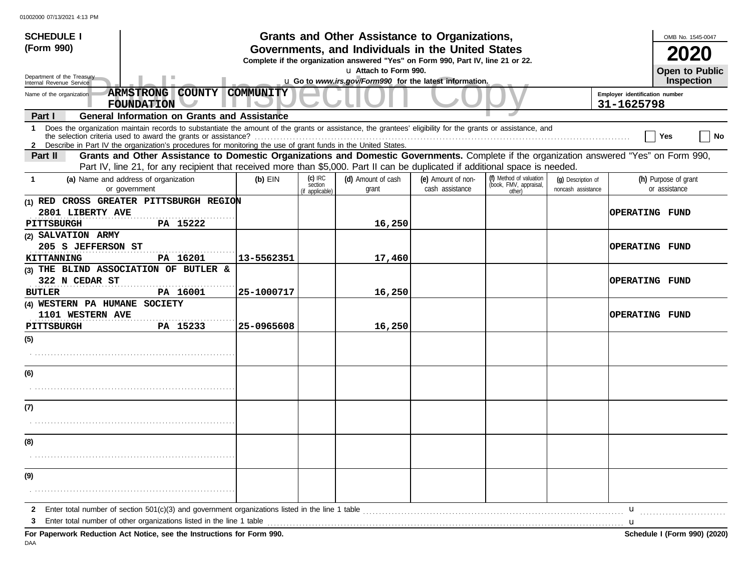| <b>SCHEDULE I</b>                                                                                                                                                                                                                                                                                                                                 |                                                                                                                                       |                                         | Grants and Other Assistance to Organizations,           |                                       |                                                             |                                          |                       | OMB No. 1545-0047                     |  |
|---------------------------------------------------------------------------------------------------------------------------------------------------------------------------------------------------------------------------------------------------------------------------------------------------------------------------------------------------|---------------------------------------------------------------------------------------------------------------------------------------|-----------------------------------------|---------------------------------------------------------|---------------------------------------|-------------------------------------------------------------|------------------------------------------|-----------------------|---------------------------------------|--|
| (Form 990)                                                                                                                                                                                                                                                                                                                                        | Governments, and Individuals in the United States<br>Complete if the organization answered "Yes" on Form 990, Part IV, line 21 or 22. |                                         |                                                         |                                       |                                                             |                                          |                       |                                       |  |
| u Attach to Form 990.<br>Department of the Treasury                                                                                                                                                                                                                                                                                               |                                                                                                                                       |                                         |                                                         |                                       |                                                             |                                          | <b>Open to Public</b> |                                       |  |
| Internal Revenue Service                                                                                                                                                                                                                                                                                                                          |                                                                                                                                       |                                         | u Go to www.irs.gov/Form990 for the latest information. |                                       |                                                             |                                          |                       | Inspection                            |  |
| <b>ARMSTRONG COUNTY</b><br>Name of the organization<br><b>FOUNDATION</b>                                                                                                                                                                                                                                                                          | <b>COMMUNITY</b><br>Employer identification number<br>31-1625798                                                                      |                                         |                                                         |                                       |                                                             |                                          |                       |                                       |  |
| <b>General Information on Grants and Assistance</b><br>Part I                                                                                                                                                                                                                                                                                     |                                                                                                                                       |                                         |                                                         |                                       |                                                             |                                          |                       |                                       |  |
| 1 Does the organization maintain records to substantiate the amount of the grants or assistance, the grantees' eligibility for the grants or assistance, and<br>the selection criteria used to award the grants or assistance?<br>2 Describe in Part IV the organization's procedures for monitoring the use of grant funds in the United States. |                                                                                                                                       |                                         |                                                         |                                       |                                                             |                                          |                       | Yes<br>∣ No                           |  |
| Grants and Other Assistance to Domestic Organizations and Domestic Governments. Complete if the organization answered "Yes" on Form 990,<br>Part II<br>Part IV, line 21, for any recipient that received more than \$5,000. Part II can be duplicated if additional space is needed.                                                              |                                                                                                                                       |                                         |                                                         |                                       |                                                             |                                          |                       |                                       |  |
| (a) Name and address of organization<br>-1<br>or government                                                                                                                                                                                                                                                                                       | $(b)$ EIN                                                                                                                             | $(c)$ IRC<br>section<br>(if applicable) | (d) Amount of cash<br>grant                             | (e) Amount of non-<br>cash assistance | (f) Method of valuation<br>(book, FMV, appraisal,<br>other) | (q) Description of<br>noncash assistance |                       | (h) Purpose of grant<br>or assistance |  |
| (1) RED CROSS GREATER PITTSBURGH REGION<br>2801 LIBERTY AVE<br><b>PITTSBURGH</b><br>PA 15222                                                                                                                                                                                                                                                      |                                                                                                                                       |                                         | 16,250                                                  |                                       |                                                             |                                          | <b>OPERATING FUND</b> |                                       |  |
| (2) SALVATION ARMY<br>205 S JEFFERSON ST<br>PA 16201<br><b>KITTANNING</b>                                                                                                                                                                                                                                                                         | 13-5562351                                                                                                                            |                                         | 17,460                                                  |                                       | OPERATING FUND                                              |                                          |                       |                                       |  |
| (3) THE BLIND ASSOCIATION OF BUTLER &<br>322 N CEDAR ST                                                                                                                                                                                                                                                                                           |                                                                                                                                       |                                         |                                                         |                                       |                                                             |                                          | <b>OPERATING FUND</b> |                                       |  |
| <b>BUTLER</b><br>PA 16001                                                                                                                                                                                                                                                                                                                         | 25-1000717                                                                                                                            |                                         | 16,250                                                  |                                       |                                                             |                                          |                       |                                       |  |
| (4) WESTERN PA HUMANE SOCIETY<br>1101 WESTERN AVE                                                                                                                                                                                                                                                                                                 |                                                                                                                                       |                                         |                                                         |                                       |                                                             |                                          | <b>OPERATING FUND</b> |                                       |  |
| PITTSBURGH<br>PA 15233                                                                                                                                                                                                                                                                                                                            | 25-0965608                                                                                                                            |                                         | 16,250                                                  |                                       |                                                             |                                          |                       |                                       |  |
| (5)                                                                                                                                                                                                                                                                                                                                               |                                                                                                                                       |                                         |                                                         |                                       |                                                             |                                          |                       |                                       |  |
| (6)                                                                                                                                                                                                                                                                                                                                               |                                                                                                                                       |                                         |                                                         |                                       |                                                             |                                          |                       |                                       |  |
|                                                                                                                                                                                                                                                                                                                                                   |                                                                                                                                       |                                         |                                                         |                                       |                                                             |                                          |                       |                                       |  |
| (7)                                                                                                                                                                                                                                                                                                                                               |                                                                                                                                       |                                         |                                                         |                                       |                                                             |                                          |                       |                                       |  |
|                                                                                                                                                                                                                                                                                                                                                   |                                                                                                                                       |                                         |                                                         |                                       |                                                             |                                          |                       |                                       |  |
| (8)                                                                                                                                                                                                                                                                                                                                               |                                                                                                                                       |                                         |                                                         |                                       |                                                             |                                          |                       |                                       |  |
|                                                                                                                                                                                                                                                                                                                                                   |                                                                                                                                       |                                         |                                                         |                                       |                                                             |                                          |                       |                                       |  |
| (9)                                                                                                                                                                                                                                                                                                                                               |                                                                                                                                       |                                         |                                                         |                                       |                                                             |                                          |                       |                                       |  |
|                                                                                                                                                                                                                                                                                                                                                   |                                                                                                                                       |                                         |                                                         |                                       |                                                             |                                          |                       |                                       |  |
| $\mathbf{2}$                                                                                                                                                                                                                                                                                                                                      |                                                                                                                                       |                                         |                                                         |                                       |                                                             |                                          | u                     |                                       |  |
| 3                                                                                                                                                                                                                                                                                                                                                 |                                                                                                                                       |                                         |                                                         |                                       |                                                             |                                          |                       |                                       |  |
| For Paperwork Reduction Act Notice, see the Instructions for Form 990.                                                                                                                                                                                                                                                                            |                                                                                                                                       |                                         |                                                         |                                       |                                                             |                                          |                       | Schedule I (Form 990) (2020)          |  |

DAA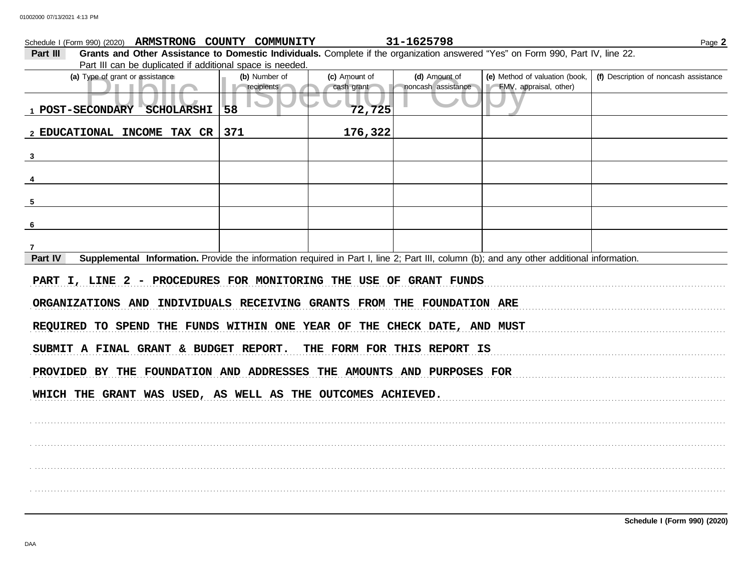|                                                                         | Schedule I (Form 990) (2020) ARMSTRONG COUNTY COMMUNITY                                                                                   |               |               | 31-1625798                  |                                | Page 2                                |  |  |
|-------------------------------------------------------------------------|-------------------------------------------------------------------------------------------------------------------------------------------|---------------|---------------|-----------------------------|--------------------------------|---------------------------------------|--|--|
| Part III                                                                | Grants and Other Assistance to Domestic Individuals. Complete if the organization answered "Yes" on Form 990, Part IV, line 22.           |               |               |                             |                                |                                       |  |  |
|                                                                         | Part III can be duplicated if additional space is needed.                                                                                 |               |               |                             |                                |                                       |  |  |
|                                                                         | (a) Type of grant or assistance                                                                                                           | (b) Number of | (c) Amount of | (d) Amount of               | (e) Method of valuation (book, | (f) Description of noncash assistance |  |  |
|                                                                         | ٠                                                                                                                                         | recipients    | cash grant    | noncash assistance          | FMV, appraisal, other)         |                                       |  |  |
|                                                                         | 1 POST-SECONDARY SCHOLARSHI                                                                                                               | 58            | 72,725        |                             |                                |                                       |  |  |
|                                                                         |                                                                                                                                           |               |               |                             |                                |                                       |  |  |
|                                                                         | 2 EDUCATIONAL INCOME TAX CR                                                                                                               | 371           | 176,322       |                             |                                |                                       |  |  |
|                                                                         |                                                                                                                                           |               |               |                             |                                |                                       |  |  |
| $\mathbf{3}$                                                            |                                                                                                                                           |               |               |                             |                                |                                       |  |  |
|                                                                         |                                                                                                                                           |               |               |                             |                                |                                       |  |  |
|                                                                         |                                                                                                                                           |               |               |                             |                                |                                       |  |  |
|                                                                         |                                                                                                                                           |               |               |                             |                                |                                       |  |  |
| 5                                                                       |                                                                                                                                           |               |               |                             |                                |                                       |  |  |
|                                                                         |                                                                                                                                           |               |               |                             |                                |                                       |  |  |
| 6                                                                       |                                                                                                                                           |               |               |                             |                                |                                       |  |  |
|                                                                         |                                                                                                                                           |               |               |                             |                                |                                       |  |  |
|                                                                         |                                                                                                                                           |               |               |                             |                                |                                       |  |  |
| Part IV                                                                 | Supplemental Information. Provide the information required in Part I, line 2; Part III, column (b); and any other additional information. |               |               |                             |                                |                                       |  |  |
|                                                                         | PART I, LINE 2 - PROCEDURES FOR MONITORING THE USE OF GRANT FUNDS                                                                         |               |               |                             |                                |                                       |  |  |
| ORGANIZATIONS AND INDIVIDUALS RECEIVING GRANTS FROM THE FOUNDATION ARE  |                                                                                                                                           |               |               |                             |                                |                                       |  |  |
| REQUIRED TO SPEND THE FUNDS WITHIN ONE YEAR OF THE CHECK DATE, AND MUST |                                                                                                                                           |               |               |                             |                                |                                       |  |  |
|                                                                         | SUBMIT A FINAL GRANT & BUDGET REPORT.                                                                                                     |               |               | THE FORM FOR THIS REPORT IS |                                |                                       |  |  |
|                                                                         | PROVIDED BY THE FOUNDATION AND ADDRESSES THE AMOUNTS AND PURPOSES FOR                                                                     |               |               |                             |                                |                                       |  |  |
|                                                                         |                                                                                                                                           |               |               |                             |                                |                                       |  |  |
|                                                                         | WHICH THE GRANT WAS USED, AS WELL AS THE OUTCOMES ACHIEVED.                                                                               |               |               |                             |                                |                                       |  |  |
|                                                                         |                                                                                                                                           |               |               |                             |                                |                                       |  |  |
|                                                                         |                                                                                                                                           |               |               |                             |                                |                                       |  |  |
|                                                                         |                                                                                                                                           |               |               |                             |                                |                                       |  |  |
|                                                                         |                                                                                                                                           |               |               |                             |                                |                                       |  |  |
|                                                                         |                                                                                                                                           |               |               |                             |                                |                                       |  |  |
|                                                                         |                                                                                                                                           |               |               |                             |                                |                                       |  |  |
|                                                                         |                                                                                                                                           |               |               |                             |                                |                                       |  |  |
|                                                                         |                                                                                                                                           |               |               |                             |                                |                                       |  |  |
|                                                                         |                                                                                                                                           |               |               |                             |                                |                                       |  |  |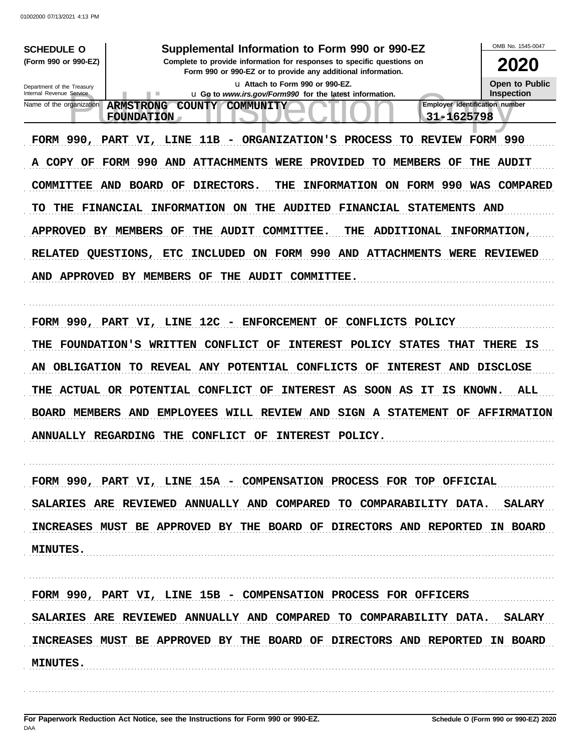| 01002000 07/13/2021 4:13 PM                                                                                                                                                                                                                                                                                                                                                                                                                                                                                                                                                                                                                                                                                                                                                                                                                                                                                                                                                                                                                                                                                                                                                                                                                                                                                                                                                                                            |                                                                                                                                                                         |
|------------------------------------------------------------------------------------------------------------------------------------------------------------------------------------------------------------------------------------------------------------------------------------------------------------------------------------------------------------------------------------------------------------------------------------------------------------------------------------------------------------------------------------------------------------------------------------------------------------------------------------------------------------------------------------------------------------------------------------------------------------------------------------------------------------------------------------------------------------------------------------------------------------------------------------------------------------------------------------------------------------------------------------------------------------------------------------------------------------------------------------------------------------------------------------------------------------------------------------------------------------------------------------------------------------------------------------------------------------------------------------------------------------------------|-------------------------------------------------------------------------------------------------------------------------------------------------------------------------|
| Supplemental Information to Form 990 or 990-EZ<br><b>SCHEDULE O</b><br>(Form 990 or 990-EZ)<br>Complete to provide information for responses to specific questions on<br>Form 990 or 990-EZ or to provide any additional information.<br>La Attach to Form 990 or 990-EZ.<br>Department of the Treasury<br>Internal Revenue Service<br><b>u</b> Go to www.irs.gov/Form990 for the latest information.<br>п<br>Employer identification number<br>Name of the organization<br><b>ARMSTRONG</b><br><b>COUNTY</b><br>COMMUNITY<br>31-1625798<br><b>FOUNDATION</b><br>11B<br>FORM 990, PART VI, LINE<br>ORGANIZATION'S<br><b>PROCESS</b><br><b>REVIEW</b><br>TO<br>$\overline{\phantom{a}}$<br><b>FORM 990</b><br>AND<br><b>ATTACHMENTS</b><br>A<br>COPY OF<br><b>WERE</b><br><b>PROVIDED</b><br>TO<br><b>MEMBERS</b><br>OF<br>990<br><b>BOARD</b><br><b>DIRECTORS.</b><br>ON<br>FORM<br><b>COMMITTEE</b><br>AND<br>OF<br>THE<br><b>INFORMATION</b><br>WAS<br><b>FINANCIAL</b><br><b>INFORMATION</b><br><b>FINANCIAL</b><br><b>STATEMENTS</b><br>TO.<br>THE<br>ON<br>THE<br><b>AUDITED</b><br><b>APPROVED</b><br><b>COMMITTEE.</b><br>BY MEMBERS<br>OF<br>THE<br><b>AUDIT</b><br>THE<br><b>ADDITIONAL</b><br>990<br><b>FORM</b><br>AND<br><b>ATTACHMENTS</b><br><b>RELATED</b><br>QUESTIONS, ETC<br>INCLUDED<br>ON<br>WERE<br><b>APPROVED</b><br><b>AND</b><br>BY MEMBERS<br>OF<br>THE<br><b>AUDIT</b><br><b>COMMITTEE.</b> | OMB No. 1545-0047<br>2020<br><b>Open to Public</b><br><b>Inspection</b><br>FORM 990<br>THE<br><b>AUDIT</b><br>COMPARED<br>AND<br><b>INFORMATION,</b><br><b>REVIEWED</b> |
| 12C - ENFORCEMENT<br>FORM 990, PART VI, LINE<br><b>CONFLICTS</b><br>OF<br><b>POLICY</b><br>THE<br><b>FOUNDATION'S</b><br><b>WRITTEN</b><br><b>CONFLICT</b><br>OF<br><b>INTEREST</b><br><b>POLICY</b><br><b>STATES</b><br>THAT<br><b>OBLIGATION</b><br>TО<br><b>REVEAL</b><br>ANY<br><b>POTENTIAL</b><br><b>CONFLICTS</b><br>AND<br>AN<br>OF<br><b>INTEREST</b><br><b>ACTUAL</b><br>OR POTENTIAL<br><b>CONFLICT</b><br>OF<br><b>INTEREST</b><br>AS<br><b>SOON</b><br>AS<br>IS<br>THE<br>IТ<br><b>BOARD MEMBERS</b><br><b>EMPLOYEES</b><br>WILL REVIEW<br>AND<br>SIGN<br><b>A STATEMENT</b><br><b>AND</b><br>OF<br>ANNUALLY REGARDING THE CONFLICT OF INTEREST POLICY.                                                                                                                                                                                                                                                                                                                                                                                                                                                                                                                                                                                                                                                                                                                                                   | THERE<br>ΙS<br><b>DISCLOSE</b><br><b>ALL</b><br>KNOWN.<br><b>AFFIRMATION</b>                                                                                            |
| FORM 990, PART VI, LINE 15A - COMPENSATION PROCESS FOR TOP OFFICIAL<br>SALARIES ARE REVIEWED ANNUALLY AND COMPARED TO COMPARABILITY DATA.<br>INCREASES MUST BE APPROVED BY THE BOARD OF DIRECTORS AND REPORTED IN BOARD<br><b>MINUTES.</b>                                                                                                                                                                                                                                                                                                                                                                                                                                                                                                                                                                                                                                                                                                                                                                                                                                                                                                                                                                                                                                                                                                                                                                             | <b>SALARY</b>                                                                                                                                                           |
| FORM 990, PART VI, LINE 15B - COMPENSATION PROCESS FOR OFFICERS<br>SALARIES ARE REVIEWED ANNUALLY AND COMPARED TO COMPARABILITY DATA. SALARY                                                                                                                                                                                                                                                                                                                                                                                                                                                                                                                                                                                                                                                                                                                                                                                                                                                                                                                                                                                                                                                                                                                                                                                                                                                                           |                                                                                                                                                                         |

INCREASES MUST BE APPROVED BY THE BOARD OF DIRECTORS AND REPORTED IN BOARD MINUTES .

For Paperwork Reduction Act Notice, see the Instructions for Form 990 or 990-EZ. DAA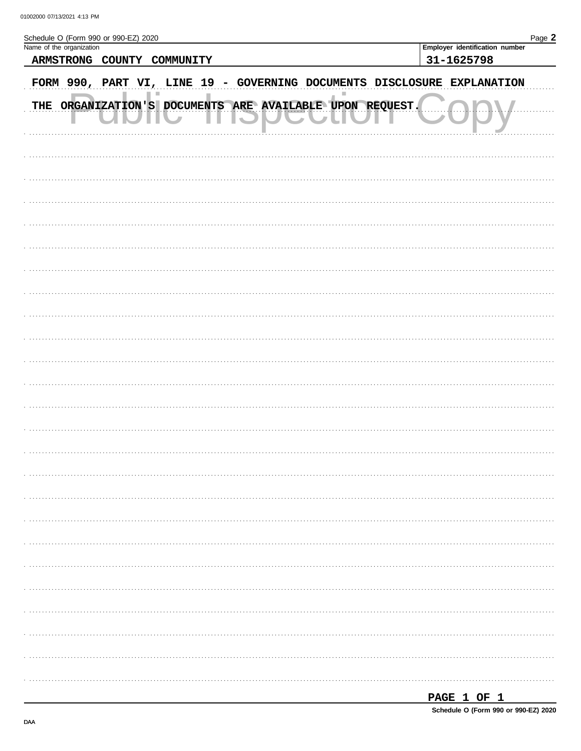| Schedule O (Form 990 or 990-EZ) 2020<br>Name of the organization           | Page 2                                       |
|----------------------------------------------------------------------------|----------------------------------------------|
| ARMSTRONG COUNTY COMMUNITY                                                 | Employer identification number<br>31-1625798 |
| FORM 990, PART VI, LINE 19 - GOVERNING DOCUMENTS DISCLOSURE EXPLANATION    |                                              |
| THE ORGANIZATION'S DOCUMENTS ARE AVAILABLE UPON REQUEST.<br>$\blacksquare$ |                                              |
|                                                                            |                                              |
|                                                                            |                                              |
|                                                                            |                                              |
|                                                                            |                                              |
|                                                                            |                                              |
|                                                                            |                                              |
|                                                                            |                                              |
|                                                                            |                                              |
|                                                                            |                                              |
|                                                                            |                                              |
|                                                                            |                                              |
|                                                                            |                                              |
|                                                                            |                                              |
|                                                                            |                                              |
|                                                                            |                                              |
|                                                                            |                                              |
|                                                                            |                                              |
|                                                                            |                                              |
|                                                                            |                                              |
|                                                                            |                                              |
|                                                                            |                                              |
|                                                                            |                                              |
|                                                                            |                                              |

| <b>DACT</b><br>. |  |  |  |  |
|------------------|--|--|--|--|
|------------------|--|--|--|--|

DAA